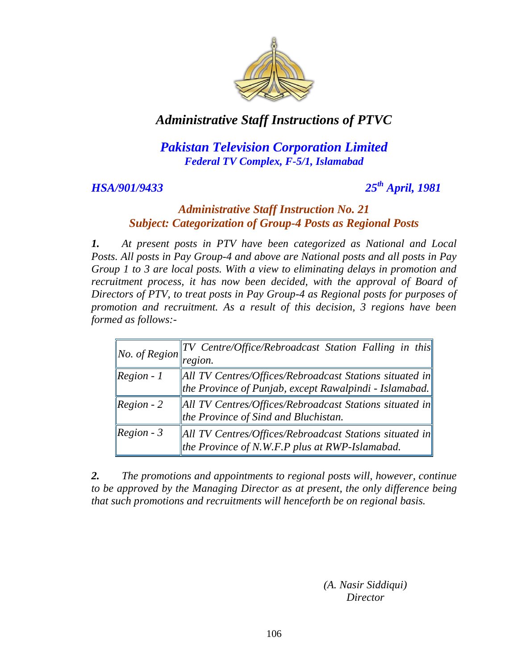

## *Pakistan Television Corporation Limited Federal TV Complex, F-5/1, Islamabad*

### *HSA/901/9433*

## *th April, 1981*

#### *Administrative Staff Instruction No. 21 Subject: Categorization of Group-4 Posts as Regional Posts*

*1. At present posts in PTV have been categorized as National and Local Posts. All posts in Pay Group-4 and above are National posts and all posts in Pay Group 1 to 3 are local posts. With a view to eliminating delays in promotion and*  recruitment process, it has now been decided, with the approval of Board of *Directors of PTV, to treat posts in Pay Group-4 as Regional posts for purposes of promotion and recruitment. As a result of this decision, 3 regions have been formed as follows:-*

|                                          | $\  TV \text{ Centre/Office/Rebroadcast Station Falling in this} \ $    |  |
|------------------------------------------|-------------------------------------------------------------------------|--|
| <i>No.</i> of Region $\vert \cdot \vert$ | region.                                                                 |  |
| $\textcolor{red}{\textbf{Region - 1}}$   | $\Vert$ All TV Centres/Offices/Rebroadcast Stations situated in $\Vert$ |  |
|                                          | the Province of Punjab, except Rawalpindi - Islamabad.                  |  |
| $\textcolor{red}{\textbf{Region-2}}$     | All TV Centres/Offices/Rebroadcast Stations situated in                 |  |
|                                          | the Province of Sind and Bluchistan.                                    |  |
| $\text{Region - 3}$                      | All TV Centres/Offices/Rebroadcast Stations situated in                 |  |
|                                          | the Province of N.W.F.P plus at RWP-Islamabad.                          |  |

*2. The promotions and appointments to regional posts will, however, continue to be approved by the Managing Director as at present, the only difference being that such promotions and recruitments will henceforth be on regional basis.*

> *(A. Nasir Siddiqui) Director*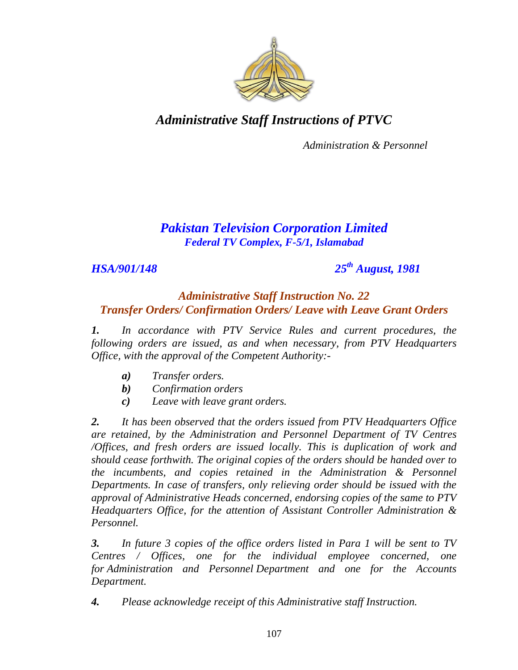

*Administration & Personnel*

## *Pakistan Television Corporation Limited Federal TV Complex, F-5/1, Islamabad*

*HSA/901/148 25th August, 1981*

#### *Administrative Staff Instruction No. 22 Transfer Orders/ Confirmation Orders/ Leave with Leave Grant Orders*

*1. In accordance with PTV Service Rules and current procedures, the following orders are issued, as and when necessary, from PTV Headquarters Office, with the approval of the Competent Authority:-*

- *a) Transfer orders.*
- *b) Confirmation orders*
- *c) Leave with leave grant orders.*

*2. It has been observed that the orders issued from PTV Headquarters Office are retained, by the Administration and Personnel Department of TV Centres /Offices, and fresh orders are issued locally. This is duplication of work and should cease forthwith. The original copies of the orders should be handed over to the incumbents, and copies retained in the Administration & Personnel Departments. In case of transfers, only relieving order should be issued with the approval of Administrative Heads concerned, endorsing copies of the same to PTV Headquarters Office, for the attention of Assistant Controller Administration & Personnel.*

*3. In future 3 copies of the office orders listed in Para 1 will be sent to TV Centres / Offices, one for the individual employee concerned, one for Administration and Personnel Department and one for the Accounts Department.*

*4. Please acknowledge receipt of this Administrative staff Instruction.*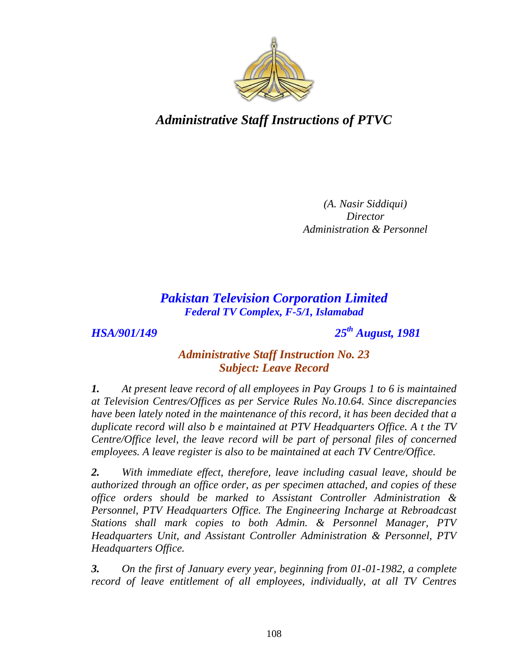

*(A. Nasir Siddiqui) Director Administration & Personnel*

*Pakistan Television Corporation Limited Federal TV Complex, F-5/1, Islamabad*

*HSA/901/149 25th August, 1981*

### *Administrative Staff Instruction No. 23 Subject: Leave Record*

*1. At present leave record of all employees in Pay Groups 1 to 6 is maintained at Television Centres/Offices as per Service Rules No.10.64. Since discrepancies have been lately noted in the maintenance of this record, it has been decided that a duplicate record will also b e maintained at PTV Headquarters Office. A t the TV Centre/Office level, the leave record will be part of personal files of concerned employees. A leave register is also to be maintained at each TV Centre/Office.*

*2. With immediate effect, therefore, leave including casual leave, should be authorized through an office order, as per specimen attached, and copies of these office orders should be marked to Assistant Controller Administration & Personnel, PTV Headquarters Office. The Engineering Incharge at Rebroadcast Stations shall mark copies to both Admin. & Personnel Manager, PTV Headquarters Unit, and Assistant Controller Administration & Personnel, PTV Headquarters Office.*

*3. On the first of January every year, beginning from 01-01-1982, a complete record of leave entitlement of all employees, individually, at all TV Centres*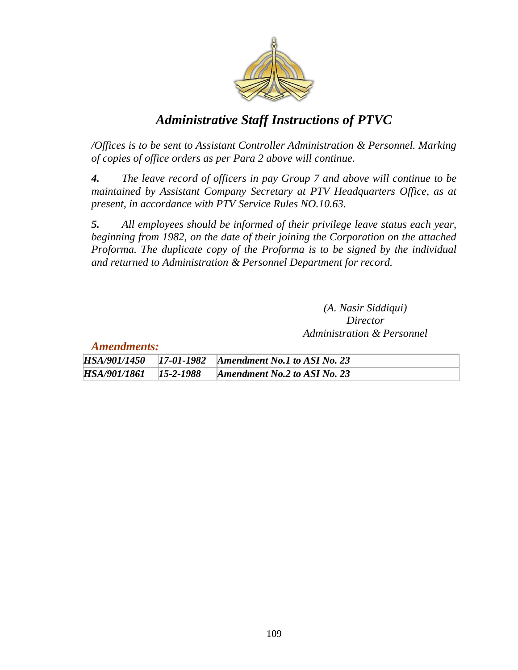

*/Offices is to be sent to Assistant Controller Administration & Personnel. Marking of copies of office orders as per Para 2 above will continue.*

*4. The leave record of officers in pay Group 7 and above will continue to be maintained by Assistant Company Secretary at PTV Headquarters Office, as at present, in accordance with PTV Service Rules NO.10.63.*

*5. All employees should be informed of their privilege leave status each year, beginning from 1982, on the date of their joining the Corporation on the attached Proforma. The duplicate copy of the Proforma is to be signed by the individual and returned to Administration & Personnel Department for record.*

> *(A. Nasir Siddiqui) Director Administration & Personnel*

*Amendments:*

|  | HSA/901/1450 17-01-1982 Amendment No.1 to ASI No. 23    |
|--|---------------------------------------------------------|
|  | HSA/901/1861   15-2-1988   Amendment No.2 to ASI No. 23 |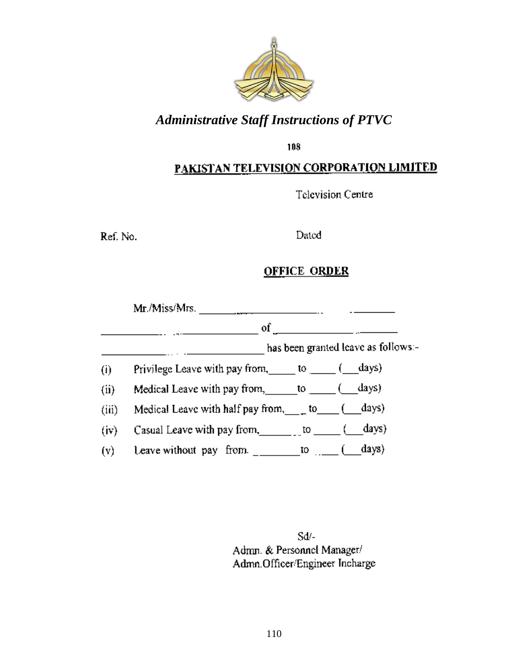

108

# PAKISTAN TELEVISION CORPORATION LIMITED

Television Centre

Ref. No.

## Dated

## **OFFICE ORDER**

|                   | Mr/Miss/Mrs.                                                                                                                |                                     |
|-------------------|-----------------------------------------------------------------------------------------------------------------------------|-------------------------------------|
|                   | $of$ and $\overline{a}$                                                                                                     |                                     |
|                   |                                                                                                                             | has been granted leave as follows:- |
| $\left( i\right)$ | Privilege Leave with pay from, to $\_\_$ ( _days)                                                                           |                                     |
| (ii)              | Medical Leave with pay from, to $\underline{\hspace{1cm}}$ to $\underline{\hspace{1cm}}$ ( $\underline{\hspace{1cm}}$ days) |                                     |
| (iii)             | Medical Leave with half pay from, $\_\_$ to $\_\_$ ( $\_\_$ days)                                                           |                                     |
| (iv)              | Casual Leave with pay from, $\qquad \qquad$ to $\qquad \qquad$ ( ___ days)                                                  |                                     |
| (v)               | Leave without pay from. _________to ____(_____days)                                                                         |                                     |

Sd/-Admn. & Personnel Manager/ Admn.Officer/Engineer Incharge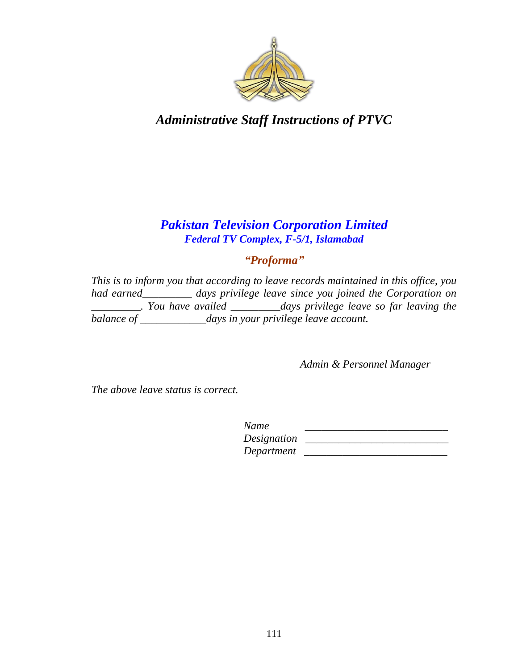

## *Pakistan Television Corporation Limited Federal TV Complex, F-5/1, Islamabad*

# *"Proforma"*

*This is to inform you that according to leave records maintained in this office, you had earned\_\_\_\_\_\_\_\_\_ days privilege leave since you joined the Corporation on \_\_\_\_\_\_\_\_\_. You have availed \_\_\_\_\_\_\_\_\_days privilege leave so far leaving the balance of \_\_\_\_\_\_\_\_\_\_\_\_days in your privilege leave account.*

*Admin & Personnel Manager*

*The above leave status is correct.*

| Name        |  |
|-------------|--|
| Designation |  |
| Department  |  |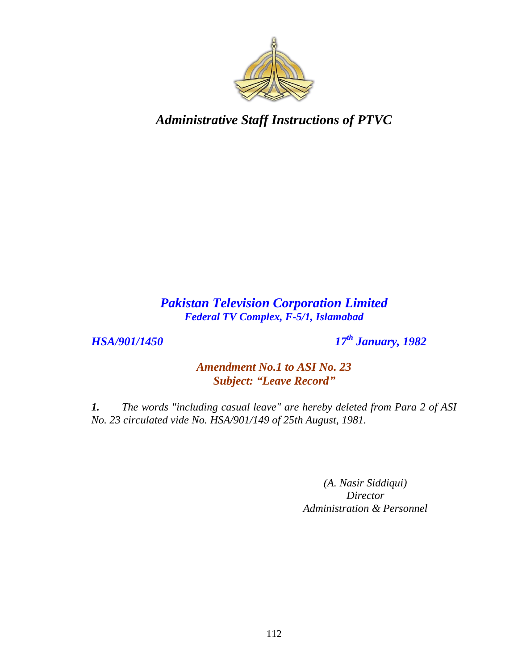

## *Pakistan Television Corporation Limited Federal TV Complex, F-5/1, Islamabad*

*HSA/901/1450 17th January, 1982*

*Amendment No.1 to ASI No. 23 Subject: "Leave Record"*

*1. The words "including casual leave" are hereby deleted from Para 2 of ASI No. 23 circulated vide No. HSA/901/149 of 25th August, 1981.*

> *(A. Nasir Siddiqui) Director Administration & Personnel*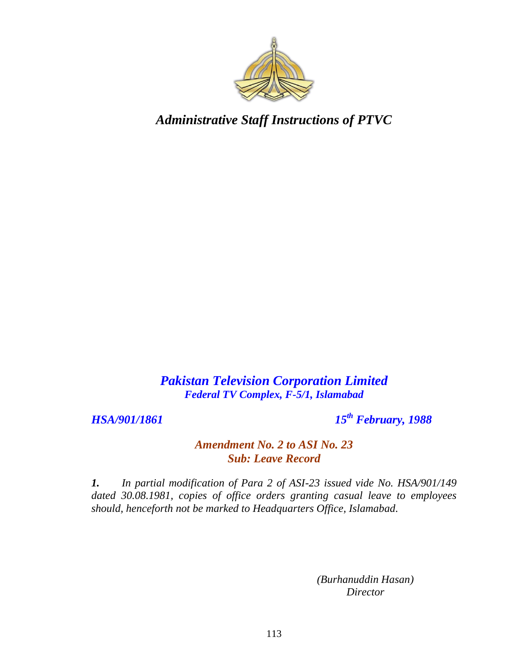

*Pakistan Television Corporation Limited Federal TV Complex, F-5/1, Islamabad*

*HSA/901/1861* 

*th February, 1988*

#### *Amendment No. 2 to ASI No. 23 Sub: Leave Record*

*1. In partial modification of Para 2 of ASI-23 issued vide No. HSA/901/149 dated 30.08.1981, copies of office orders granting casual leave to employees should, henceforth not be marked to Headquarters Office, Islamabad.*

> *(Burhanuddin Hasan) Director*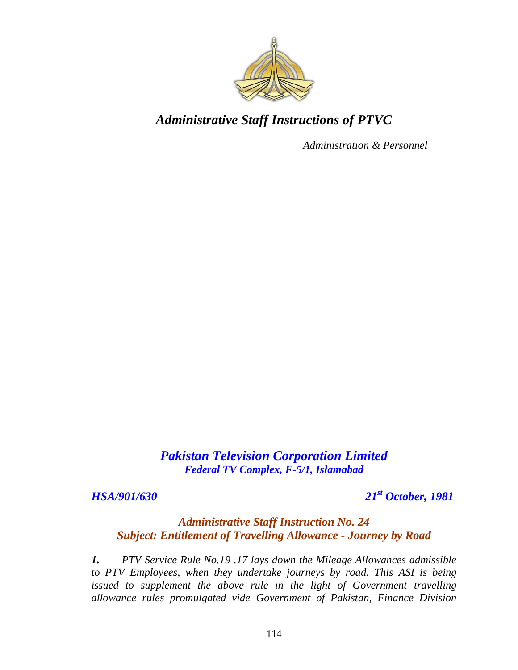

*Administration & Personnel*

*Pakistan Television Corporation Limited Federal TV Complex, F-5/1, Islamabad*

*HSA/901/630 21st October, 1981*

#### *Administrative Staff Instruction No. 24 Subject: Entitlement of Travelling Allowance - Journey by Road*

*1. PTV Service Rule No.19 .17 lays down the Mileage Allowances admissible to PTV Employees, when they undertake journeys by road. This ASI is being issued to supplement the above rule in the light of Government travelling allowance rules promulgated vide Government of Pakistan, Finance Division*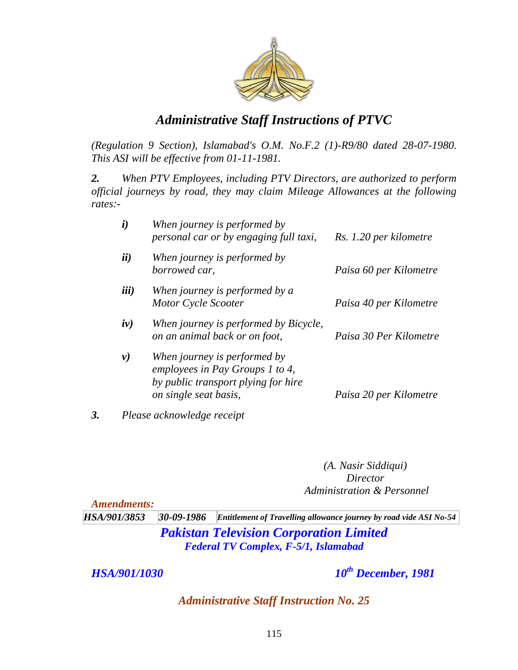

*(Regulation 9 Section), Islamabad's O.M. No.F.2 (1)-R9/80 dated 28-07-1980. This ASI will be effective from 01-11-1981.*

*2. When PTV Employees, including PTV Directors, are authorized to perform official journeys by road, they may claim Mileage Allowances at the following rates:-* 

|    | $\boldsymbol{i}$ | When journey is performed by<br>personal car or by engaging full taxi,                                                          | Rs. 1.20 per kilometre |
|----|------------------|---------------------------------------------------------------------------------------------------------------------------------|------------------------|
|    | ii)              | When journey is performed by<br>borrowed car.                                                                                   | Paisa 60 per Kilometre |
|    | <i>iii</i> )     | When journey is performed by a<br>Motor Cycle Scooter                                                                           | Paisa 40 per Kilometre |
|    | iv)              | When journey is performed by Bicycle,<br>on an animal back or on foot,                                                          | Paisa 30 Per Kilometre |
|    | $\nu)$           | When journey is performed by<br>employees in Pay Groups 1 to 4,<br>by public transport plying for hire<br>on single seat basis, | Paisa 20 per Kilometre |
| 3. |                  | Please acknowledge receipt                                                                                                      |                        |

*(A. Nasir Siddiqui) Director Administration & Personnel*

*Amendments: HSA/901/3853 30-09-1986 Entitlement of Travelling allowance journey by road vide ASI No-54 Pakistan Television Corporation Limited Federal TV Complex, F-5/1, Islamabad*

*HSA/901/1030 10th December, 1981*

*Administrative Staff Instruction No. 25*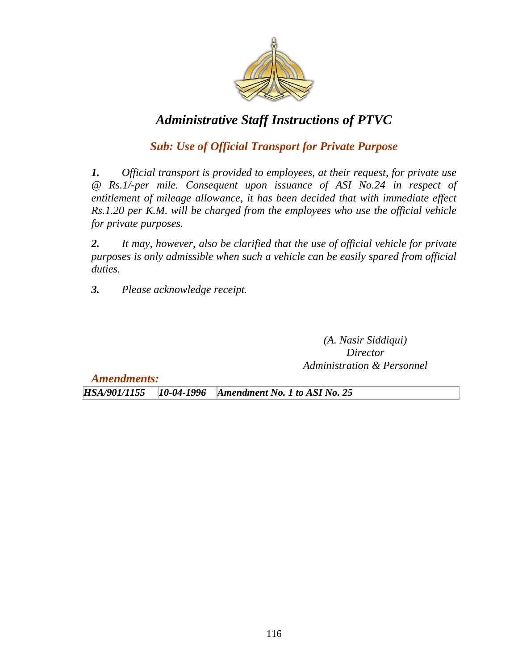

# *Sub: Use of Official Transport for Private Purpose*

*1. Official transport is provided to employees, at their request, for private use @ Rs.1/-per mile. Consequent upon issuance of ASI No.24 in respect of entitlement of mileage allowance, it has been decided that with immediate effect Rs.1.20 per K.M. will be charged from the employees who use the official vehicle for private purposes.*

*2. It may, however, also be clarified that the use of official vehicle for private purposes is only admissible when such a vehicle can be easily spared from official duties.*

*3. Please acknowledge receipt.*

*(A. Nasir Siddiqui) Director Administration & Personnel*

*Amendments:*

*HSA/901/1155 10-04-1996 Amendment No. 1 to ASI No. 25*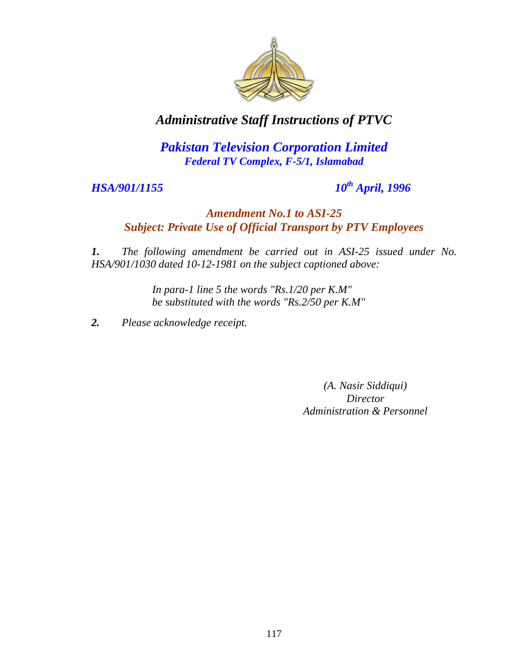

*Pakistan Television Corporation Limited Federal TV Complex, F-5/1, Islamabad*

*HSA/901/1155 10th April, 1996*

## *Amendment No.1 to ASI-25 Subject: Private Use of Official Transport by PTV Employees*

*1. The following amendment be carried out in ASI-25 issued under No. HSA/901/1030 dated 10-12-1981 on the subject captioned above:*

> *In para-1 line 5 the words "Rs.1/20 per K.M" be substituted with the words "Rs.2/50 per K.M"*

*2. Please acknowledge receipt.*

*(A. Nasir Siddiqui) Director Administration & Personnel*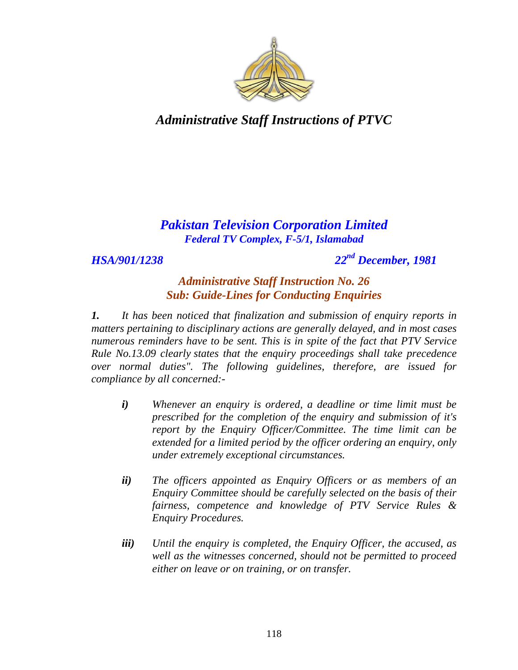

## *Pakistan Television Corporation Limited Federal TV Complex, F-5/1, Islamabad*

*HSA/901/1238 22nd December, 1981*

### *Administrative Staff Instruction No. 26 Sub: Guide-Lines for Conducting Enquiries*

*1. It has been noticed that finalization and submission of enquiry reports in matters pertaining to disciplinary actions are generally delayed, and in most cases numerous reminders have to be sent. This is in spite of the fact that PTV Service Rule No.13.09 clearly states that the enquiry proceedings shall take precedence over normal duties". The following guidelines, therefore, are issued for compliance by all concerned:-*

- *i) Whenever an enquiry is ordered, a deadline or time limit must be prescribed for the completion of the enquiry and submission of it's report by the Enquiry Officer/Committee. The time limit can be extended for a limited period by the officer ordering an enquiry, only under extremely exceptional circumstances.*
- *ii) The officers appointed as Enquiry Officers or as members of an Enquiry Committee should be carefully selected on the basis of their fairness, competence and knowledge of PTV Service Rules & Enquiry Procedures.*
- *iii) Until the enquiry is completed, the Enquiry Officer, the accused, as well as the witnesses concerned, should not be permitted to proceed either on leave or on training, or on transfer.*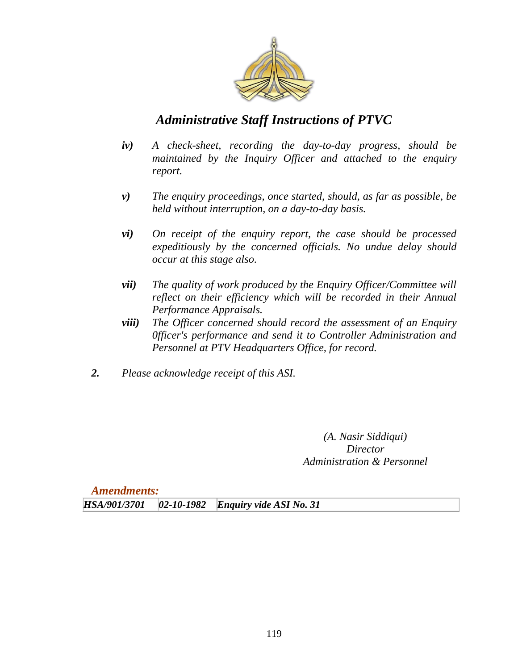

- *iv) A check-sheet, recording the day-to-day progress, should be maintained by the Inquiry Officer and attached to the enquiry report.*
- *v) The enquiry proceedings, once started, should, as far as possible, be held without interruption, on a day-to-day basis.*
- *vi) On receipt of the enquiry report, the case should be processed expeditiously by the concerned officials. No undue delay should occur at this stage also.*
- *vii) The quality of work produced by the Enquiry Officer/Committee will reflect on their efficiency which will be recorded in their Annual Performance Appraisals.*
- *viii) The Officer concerned should record the assessment of an Enquiry 0fficer's performance and send it to Controller Administration and Personnel at PTV Headquarters Office, for record.*
- *2. Please acknowledge receipt of this ASI.*

*(A. Nasir Siddiqui) Director Administration & Personnel*

*Amendments:*

*HSA/901/3701 02-10-1982 Enquiry vide ASI No. 31*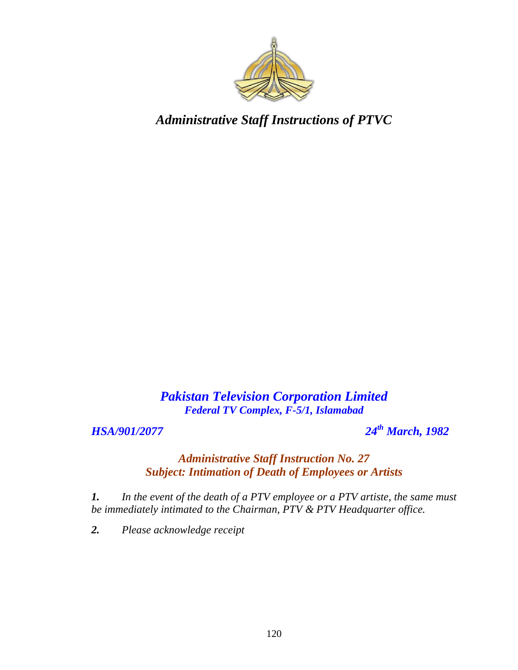

*Pakistan Television Corporation Limited Federal TV Complex, F-5/1, Islamabad*

*HSA/901/2077 24th March, 1982*

### *Administrative Staff Instruction No. 27 Subject: Intimation of Death of Employees or Artists*

*1. In the event of the death of a PTV employee or a PTV artiste, the same must be immediately intimated to the Chairman, PTV & PTV Headquarter office.*

*2. Please acknowledge receipt*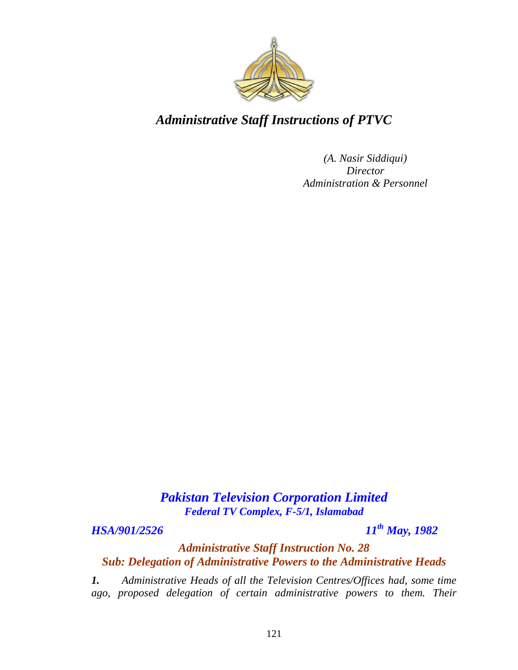

*(A. Nasir Siddiqui) Director Administration & Personnel*

# *Pakistan Television Corporation Limited Federal TV Complex, F-5/1, Islamabad*

*HSA/901/2526 11th May, 1982*

*Administrative Staff Instruction No. 28 Sub: Delegation of Administrative Powers to the Administrative Heads*

*1. Administrative Heads of all the Television Centres/Offices had, some time ago, proposed delegation of certain administrative powers to them. Their*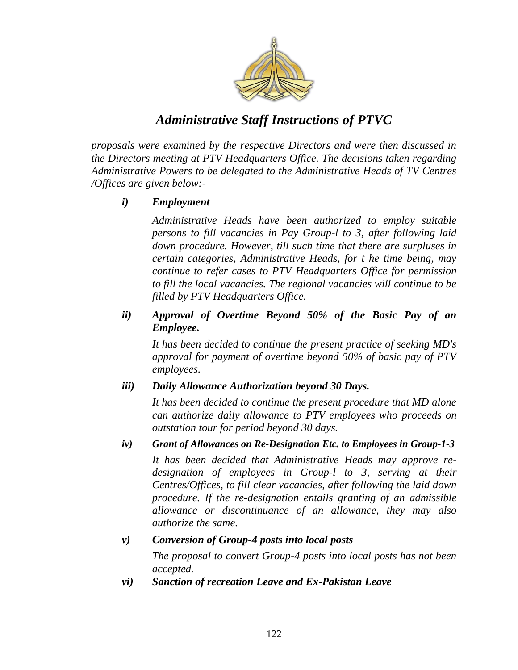

*proposals were examined by the respective Directors and were then discussed in the Directors meeting at PTV Headquarters Office. The decisions taken regarding Administrative Powers to be delegated to the Administrative Heads of TV Centres /Offices are given below:-*

### *i) Employment*

*Administrative Heads have been authorized to employ suitable persons to fill vacancies in Pay Group-l to 3, after following laid down procedure. However, till such time that there are surpluses in certain categories, Administrative Heads, for t he time being, may continue to refer cases to PTV Headquarters Office for permission to fill the local vacancies. The regional vacancies will continue to be filled by PTV Headquarters Office.* 

#### *ii) Approval of Overtime Beyond 50% of the Basic Pay of an Employee.*

*It has been decided to continue the present practice of seeking MD's approval for payment of overtime beyond 50% of basic pay of PTV employees.*

#### *iii) Daily Allowance Authorization beyond 30 Days.*

*It has been decided to continue the present procedure that MD alone can authorize daily allowance to PTV employees who proceeds on outstation tour for period beyond 30 days.*

#### *iv) Grant of Allowances on Re-Designation Etc. to Employees in Group-1-3*

*It has been decided that Administrative Heads may approve redesignation of employees in Group-l to 3, serving at their Centres/Offices, to fill clear vacancies, after following the laid down procedure. If the re-designation entails granting of an admissible allowance or discontinuance of an allowance, they may also authorize the same.*

#### *v) Conversion of Group-4 posts into local posts*

*The proposal to convert Group-4 posts into local posts has not been accepted.*

*vi) Sanction of recreation Leave and Ex-Pakistan Leave*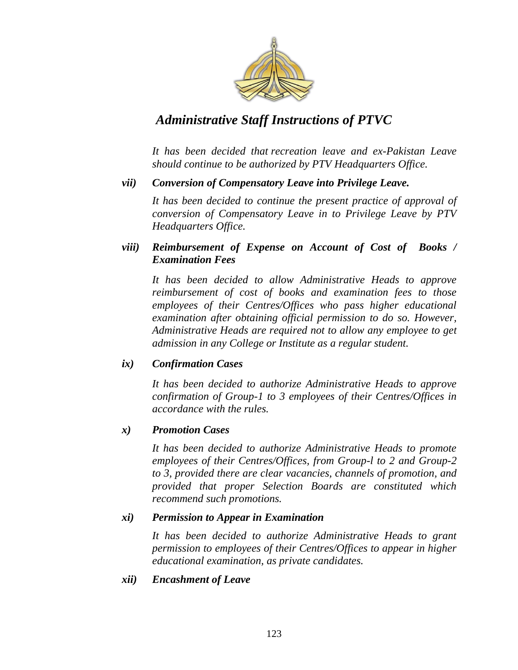

*It has been decided that recreation leave and ex-Pakistan Leave should continue to be authorized by PTV Headquarters Office.*

#### *vii) Conversion of Compensatory Leave into Privilege Leave.*

*It has been decided to continue the present practice of approval of conversion of Compensatory Leave in to Privilege Leave by PTV Headquarters Office.*

#### *viii) Reimbursement of Expense on Account of Cost of Books / Examination Fees*

*It has been decided to allow Administrative Heads to approve reimbursement of cost of books and examination fees to those employees of their Centres/Offices who pass higher educational examination after obtaining official permission to do so. However, Administrative Heads are required not to allow any employee to get admission in any College or Institute as a regular student.*

#### *ix) Confirmation Cases*

*It has been decided to authorize Administrative Heads to approve confirmation of Group-1 to 3 employees of their Centres/Offices in accordance with the rules.* 

#### *x) Promotion Cases*

*It has been decided to authorize Administrative Heads to promote employees of their Centres/Offices, from Group-l to 2 and Group-2 to 3, provided there are clear vacancies, channels of promotion, and provided that proper Selection Boards are constituted which recommend such promotions.*

#### *xi) Permission to Appear in Examination*

*It has been decided to authorize Administrative Heads to grant permission to employees of their Centres/Offices to appear in higher educational examination, as private candidates.*

#### *xii) Encashment of Leave*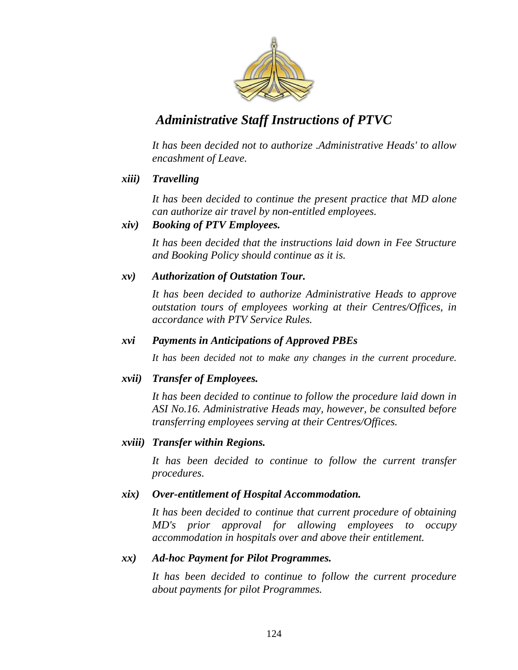

*It has been decided not to authorize .Administrative Heads' to allow encashment of Leave.*

#### *xiii) Travelling*

*It has been decided to continue the present practice that MD alone can authorize air travel by non-entitled employees.*

#### *xiv) Booking of PTV Employees.*

*It has been decided that the instructions laid down in Fee Structure and Booking Policy should continue as it is.*

#### *xv) Authorization of Outstation Tour.*

*It has been decided to authorize Administrative Heads to approve outstation tours of employees working at their Centres/Offices, in accordance with PTV Service Rules.*

#### *xvi Payments in Anticipations of Approved PBEs*

*It has been decided not to make any changes in the current procedure.*

#### *xvii) Transfer of Employees.*

*It has been decided to continue to follow the procedure laid down in ASI No.16. Administrative Heads may, however, be consulted before transferring employees serving at their Centres/Offices.*

#### *xviii) Transfer within Regions.*

*It has been decided to continue to follow the current transfer procedures.*

#### *xix) Over-entitlement of Hospital Accommodation.*

*It has been decided to continue that current procedure of obtaining MD's prior approval for allowing employees to occupy accommodation in hospitals over and above their entitlement.*

#### *xx) Ad-hoc Payment for Pilot Programmes.*

*It has been decided to continue to follow the current procedure about payments for pilot Programmes.*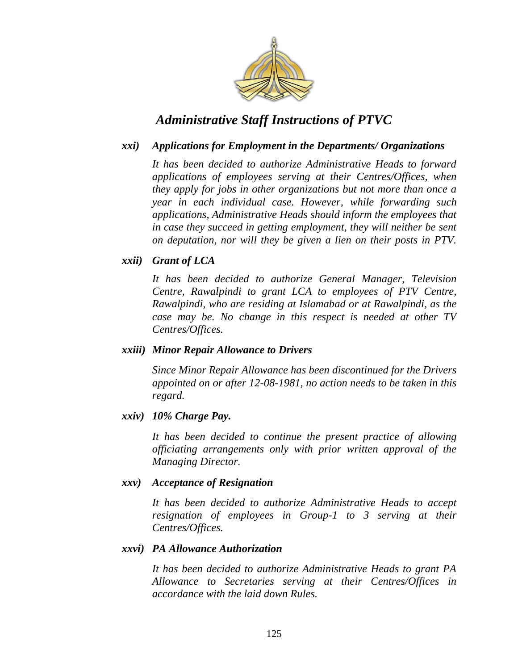

#### *xxi) Applications for Employment in the Departments/ Organizations*

*It has been decided to authorize Administrative Heads to forward applications of employees serving at their Centres/Offices, when they apply for jobs in other organizations but not more than once a year in each individual case. However, while forwarding such applications, Administrative Heads should inform the employees that in case they succeed in getting employment, they will neither be sent on deputation, nor will they be given a lien on their posts in PTV.*

#### *xxii) Grant of LCA*

*It has been decided to authorize General Manager, Television Centre, Rawalpindi to grant LCA to employees of PTV Centre, Rawalpindi, who are residing at Islamabad or at Rawalpindi, as the case may be. No change in this respect is needed at other TV Centres/Offices.*

#### *xxiii) Minor Repair Allowance to Drivers*

*Since Minor Repair Allowance has been discontinued for the Drivers appointed on or after 12-08-1981, no action needs to be taken in this regard.*

#### *xxiv) 10% Charge Pay.*

*It has been decided to continue the present practice of allowing officiating arrangements only with prior written approval of the Managing Director.*

#### *xxv) Acceptance of Resignation*

*It has been decided to authorize Administrative Heads to accept resignation of employees in Group-1 to 3 serving at their Centres/Offices.*

#### *xxvi) PA Allowance Authorization*

*It has been decided to authorize Administrative Heads to grant PA Allowance to Secretaries serving at their Centres/Offices in accordance with the laid down Rules.*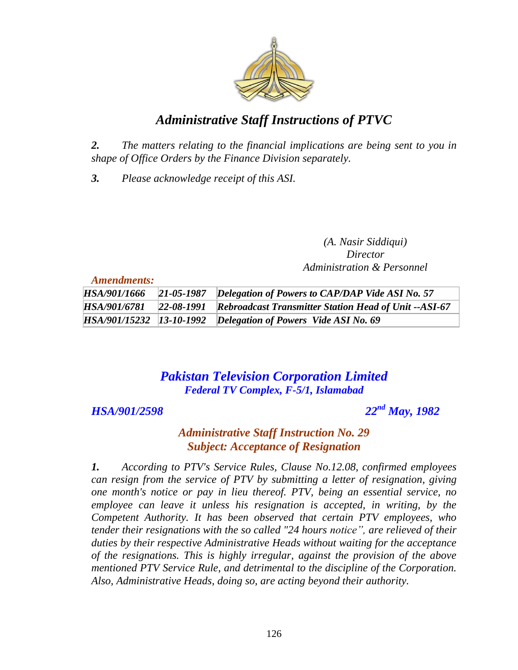

*2. The matters relating to the financial implications are being sent to you in shape of Office Orders by the Finance Division separately.*

*3. Please acknowledge receipt of this ASI.*

*(A. Nasir Siddiqui) Director Administration & Personnel*

*Amendments:*

| HSA/901/1666 | 21-05-1987 Delegation of Powers to CAP/DAP Vide ASI No. 57                    |
|--------------|-------------------------------------------------------------------------------|
|              | HSA/901/6781 22-08-1991 Rebroadcast Transmitter Station Head of Unit --ASI-67 |
|              | HSA/901/15232 13-10-1992 Delegation of Powers Vide ASI No. 69                 |

# *Pakistan Television Corporation Limited Federal TV Complex, F-5/1, Islamabad*

## *HSA/901/2598 22nd May, 1982*

## *Administrative Staff Instruction No. 29 Subject: Acceptance of Resignation*

*1. According to PTV's Service Rules, Clause No.12.08, confirmed employees can resign from the service of PTV by submitting a letter of resignation, giving one month's notice or pay in lieu thereof. PTV, being an essential service, no employee can leave it unless his resignation is accepted, in writing, by the Competent Authority. It has been observed that certain PTV employees, who tender their resignations with the so called "24 hours notice", are relieved of their duties by their respective Administrative Heads without waiting for the acceptance of the resignations. This is highly irregular, against the provision of the above mentioned PTV Service Rule, and detrimental to the discipline of the Corporation. Also, Administrative Heads, doing so, are acting beyond their authority.*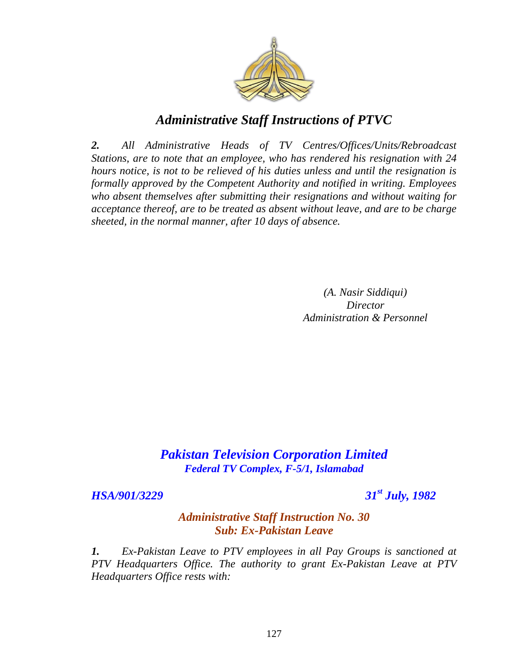

*2. All Administrative Heads of TV Centres/Offices/Units/Rebroadcast Stations, are to note that an employee, who has rendered his resignation with 24 hours notice, is not to be relieved of his duties unless and until the resignation is formally approved by the Competent Authority and notified in writing. Employees who absent themselves after submitting their resignations and without waiting for acceptance thereof, are to be treated as absent without leave, and are to be charge sheeted, in the normal manner, after 10 days of absence.*

> *(A. Nasir Siddiqui) Director Administration & Personnel*

## *Pakistan Television Corporation Limited Federal TV Complex, F-5/1, Islamabad*

*HSA/901/3229 31st July, 1982*

### *Administrative Staff Instruction No. 30 Sub: Ex-Pakistan Leave*

*1. Ex-Pakistan Leave to PTV employees in all Pay Groups is sanctioned at PTV Headquarters Office. The authority to grant Ex-Pakistan Leave at PTV Headquarters Office rests with:*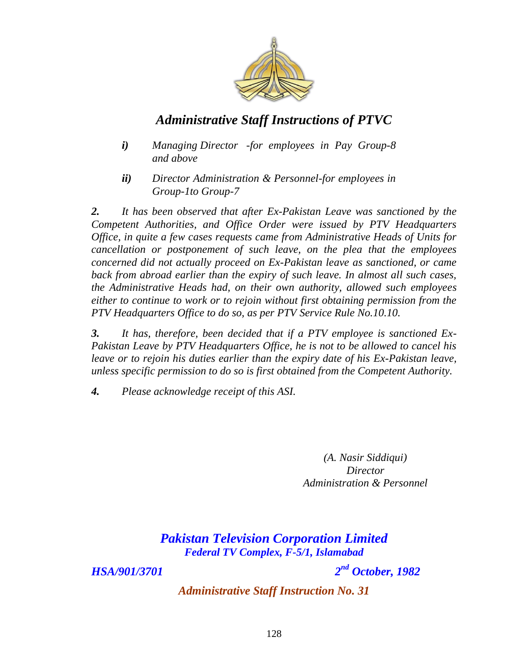

- *i) Managing Director -for employees in Pay Group-8 and above*
- *ii) Director Administration & Personnel-for employees in Group-1to Group-7*

*2. It has been observed that after Ex-Pakistan Leave was sanctioned by the Competent Authorities, and Office Order were issued by PTV Headquarters Office, in quite a few cases requests came from Administrative Heads of Units for cancellation or postponement of such leave, on the plea that the employees concerned did not actually proceed on Ex-Pakistan leave as sanctioned, or came back from abroad earlier than the expiry of such leave. In almost all such cases, the Administrative Heads had, on their own authority, allowed such employees either to continue to work or to rejoin without first obtaining permission from the PTV Headquarters Office to do so, as per PTV Service Rule No.10.10.* 

*3. It has, therefore, been decided that if a PTV employee is sanctioned Ex-Pakistan Leave by PTV Headquarters Office, he is not to be allowed to cancel his*  leave or to rejoin his duties earlier than the expiry date of his Ex-Pakistan leave, *unless specific permission to do so is first obtained from the Competent Authority.* 

*4. Please acknowledge receipt of this ASI.*

*(A. Nasir Siddiqui) Director Administration & Personnel*

*Pakistan Television Corporation Limited Federal TV Complex, F-5/1, Islamabad*

*HSA/901/3701 2*

*nd October, 1982*

*Administrative Staff Instruction No. 31*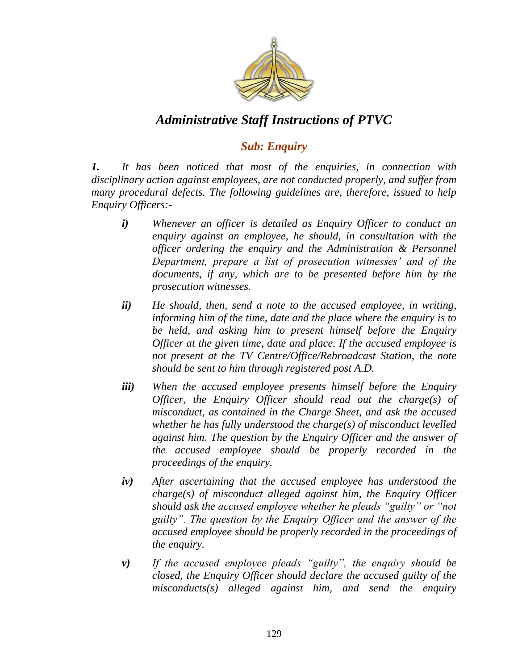

## *Sub: Enquiry*

*1. It has been noticed that most of the enquiries, in connection with disciplinary action against employees, are not conducted properly, and suffer from many procedural defects. The following guidelines are, therefore, issued to help Enquiry Officers:-*

- *i) Whenever an officer is detailed as Enquiry Officer to conduct an enquiry against an employee, he should, in consultation with the officer ordering the enquiry and the Administration & Personnel Department, prepare a list of prosecution witnesses" and of the documents, if any, which are to be presented before him by the prosecution witnesses.*
- *ii) He should, then, send a note to the accused employee, in writing, informing him of the time, date and the place where the enquiry is to be held, and asking him to present himself before the Enquiry Officer at the given time, date and place. If the accused employee is not present at the TV Centre/Office/Rebroadcast Station, the note should be sent to him through registered post A.D.*
- *iii) When the accused employee presents himself before the Enquiry Officer, the Enquiry Officer should read out the charge(s) of misconduct, as contained in the Charge Sheet, and ask the accused whether he has fully understood the charge(s) of misconduct levelled against him. The question by the Enquiry Officer and the answer of the accused employee should be properly recorded in the proceedings of the enquiry.*
- *iv) After ascertaining that the accused employee has understood the charge(s) of misconduct alleged against him, the Enquiry Officer should ask the accused employee whether he pleads "guilty" or "not guilty". The question by the Enquiry Officer and the answer of the accused employee should be properly recorded in the proceedings of the enquiry.*
- *v) If the accused employee pleads "guilty", the enquiry should be closed, the Enquiry Officer should declare the accused guilty of the misconducts(s) alleged against him, and send the enquiry*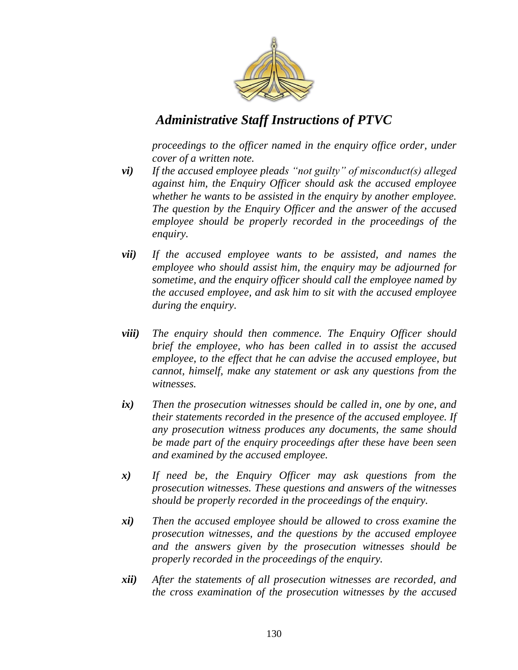

*proceedings to the officer named in the enquiry office order, under cover of a written note.*

- *vi) If the accused employee pleads "not guilty" of misconduct(s) alleged against him, the Enquiry Officer should ask the accused employee whether he wants to be assisted in the enquiry by another employee. The question by the Enquiry Officer and the answer of the accused employee should be properly recorded in the proceedings of the enquiry.*
- *vii) If the accused employee wants to be assisted, and names the employee who should assist him, the enquiry may be adjourned for sometime, and the enquiry officer should call the employee named by the accused employee, and ask him to sit with the accused employee during the enquiry.*
- *viii) The enquiry should then commence. The Enquiry Officer should brief the employee, who has been called in to assist the accused employee, to the effect that he can advise the accused employee, but cannot, himself, make any statement or ask any questions from the witnesses.*
- *ix) Then the prosecution witnesses should be called in, one by one, and their statements recorded in the presence of the accused employee. If any prosecution witness produces any documents, the same should be made part of the enquiry proceedings after these have been seen and examined by the accused employee.*
- *x) If need be, the Enquiry Officer may ask questions from the prosecution witnesses. These questions and answers of the witnesses should be properly recorded in the proceedings of the enquiry.*
- *xi) Then the accused employee should be allowed to cross examine the prosecution witnesses, and the questions by the accused employee and the answers given by the prosecution witnesses should be properly recorded in the proceedings of the enquiry.*
- *xii) After the statements of all prosecution witnesses are recorded, and the cross examination of the prosecution witnesses by the accused*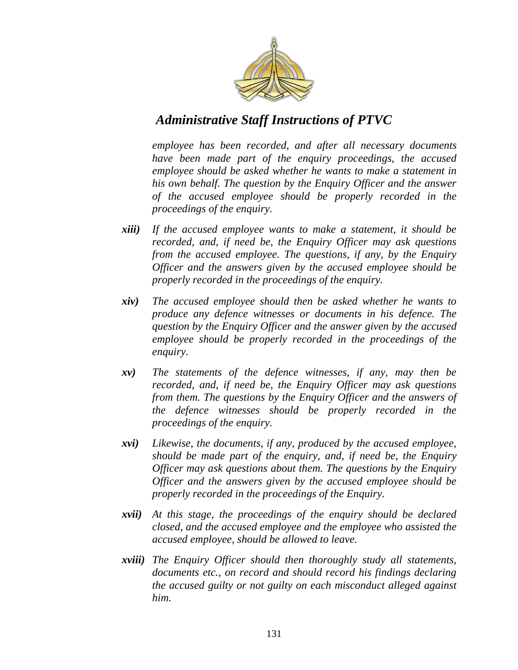

*employee has been recorded, and after all necessary documents have been made part of the enquiry proceedings, the accused employee should be asked whether he wants to make a statement in his own behalf. The question by the Enquiry Officer and the answer of the accused employee should be properly recorded in the proceedings of the enquiry.*

- *xiii) If the accused employee wants to make a statement, it should be recorded, and, if need be, the Enquiry Officer may ask questions from the accused employee. The questions, if any, by the Enquiry Officer and the answers given by the accused employee should be properly recorded in the proceedings of the enquiry.*
- *xiv) The accused employee should then be asked whether he wants to produce any defence witnesses or documents in his defence. The question by the Enquiry Officer and the answer given by the accused employee should be properly recorded in the proceedings of the enquiry.*
- *xv) The statements of the defence witnesses, if any, may then be recorded, and, if need be, the Enquiry Officer may ask questions from them. The questions by the Enquiry Officer and the answers of the defence witnesses should be properly recorded in the proceedings of the enquiry.*
- *xvi) Likewise, the documents, if any, produced by the accused employee, should be made part of the enquiry, and, if need be, the Enquiry Officer may ask questions about them. The questions by the Enquiry Officer and the answers given by the accused employee should be properly recorded in the proceedings of the Enquiry.*
- *xvii) At this stage, the proceedings of the enquiry should be declared closed, and the accused employee and the employee who assisted the accused employee, should be allowed to leave.*
- *xviii) The Enquiry Officer should then thoroughly study all statements, documents etc., on record and should record his findings declaring the accused guilty or not guilty on each misconduct alleged against him.*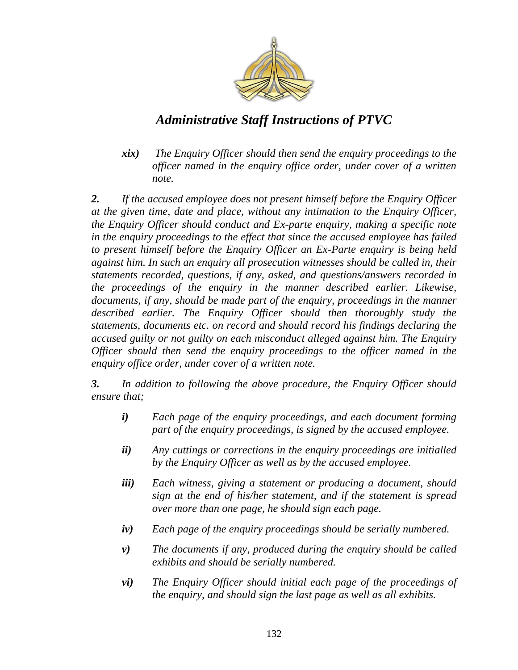

*xix) The Enquiry Officer should then send the enquiry proceedings to the officer named in the enquiry office order, under cover of a written note.*

*2. If the accused employee does not present himself before the Enquiry Officer at the given time, date and place, without any intimation to the Enquiry Officer, the Enquiry Officer should conduct and Ex-parte enquiry, making a specific note in the enquiry proceedings to the effect that since the accused employee has failed to present himself before the Enquiry Officer an Ex-Parte enquiry is being held against him. In such an enquiry all prosecution witnesses should be called in, their statements recorded, questions, if any, asked, and questions/answers recorded in the proceedings of the enquiry in the manner described earlier. Likewise, documents, if any, should be made part of the enquiry, proceedings in the manner described earlier. The Enquiry Officer should then thoroughly study the statements, documents etc. on record and should record his findings declaring the accused guilty or not guilty on each misconduct alleged against him. The Enquiry Officer should then send the enquiry proceedings to the officer named in the enquiry office order, under cover of a written note.*

*3. In addition to following the above procedure, the Enquiry Officer should ensure that;*

- *i) Each page of the enquiry proceedings, and each document forming part of the enquiry proceedings, is signed by the accused employee.*
- *ii) Any cuttings or corrections in the enquiry proceedings are initialled by the Enquiry Officer as well as by the accused employee.*
- *iii) Each witness, giving a statement or producing a document, should sign at the end of his/her statement, and if the statement is spread over more than one page, he should sign each page.*
- *iv) Each page of the enquiry proceedings should be serially numbered.*
- *v) The documents if any, produced during the enquiry should be called exhibits and should be serially numbered.*
- *vi) The Enquiry Officer should initial each page of the proceedings of the enquiry, and should sign the last page as well as all exhibits.*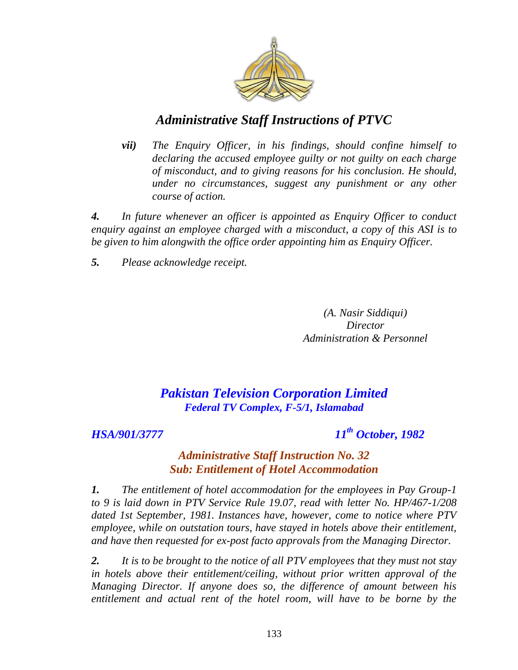

*vii) The Enquiry Officer, in his findings, should confine himself to declaring the accused employee guilty or not guilty on each charge of misconduct, and to giving reasons for his conclusion. He should, under no circumstances, suggest any punishment or any other course of action.*

*4. In future whenever an officer is appointed as Enquiry Officer to conduct enquiry against an employee charged with a misconduct, a copy of this ASI is to be given to him alongwith the office order appointing him as Enquiry Officer.*

*5. Please acknowledge receipt.*

*(A. Nasir Siddiqui) Director Administration & Personnel*

## *Pakistan Television Corporation Limited Federal TV Complex, F-5/1, Islamabad*

*HSA/901/3777 11th October, 1982*

## *Administrative Staff Instruction No. 32 Sub: Entitlement of Hotel Accommodation*

*1. The entitlement of hotel accommodation for the employees in Pay Group-1 to 9 is laid down in PTV Service Rule 19.07, read with letter No. HP/467-1/208 dated 1st September, 1981. Instances have, however, come to notice where PTV employee, while on outstation tours, have stayed in hotels above their entitlement, and have then requested for ex-post facto approvals from the Managing Director.*

*2. It is to be brought to the notice of all PTV employees that they must not stay in hotels above their entitlement/ceiling, without prior written approval of the Managing Director. If anyone does so, the difference of amount between his entitlement and actual rent of the hotel room, will have to be borne by the*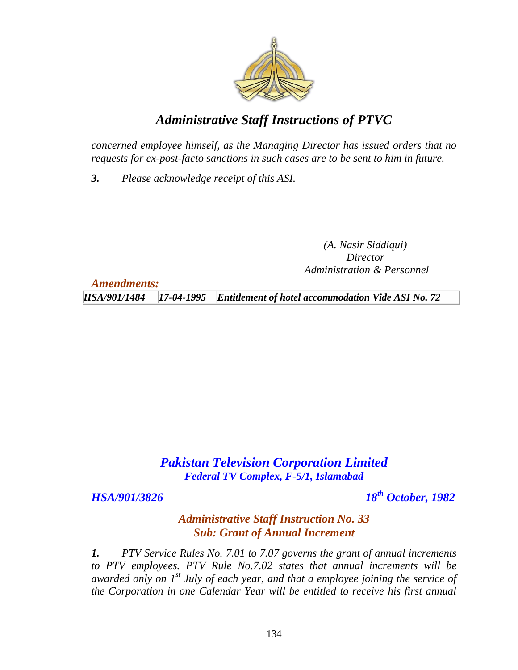

*concerned employee himself, as the Managing Director has issued orders that no requests for ex-post-facto sanctions in such cases are to be sent to him in future.* 

*3. Please acknowledge receipt of this ASI.*

*(A. Nasir Siddiqui) Director Administration & Personnel*

*Amendments:*

*HSA/901/1484 17-04-1995 Entitlement of hotel accommodation Vide ASI No. 72*

# *Pakistan Television Corporation Limited Federal TV Complex, F-5/1, Islamabad*

*HSA/901/3826 18th October, 1982*

### *Administrative Staff Instruction No. 33 Sub: Grant of Annual Increment*

*1. PTV Service Rules No. 7.01 to 7.07 governs the grant of annual increments to PTV employees. PTV Rule No.7.02 states that annual increments will be awarded only on 1st July of each year, and that a employee joining the service of the Corporation in one Calendar Year will be entitled to receive his first annual*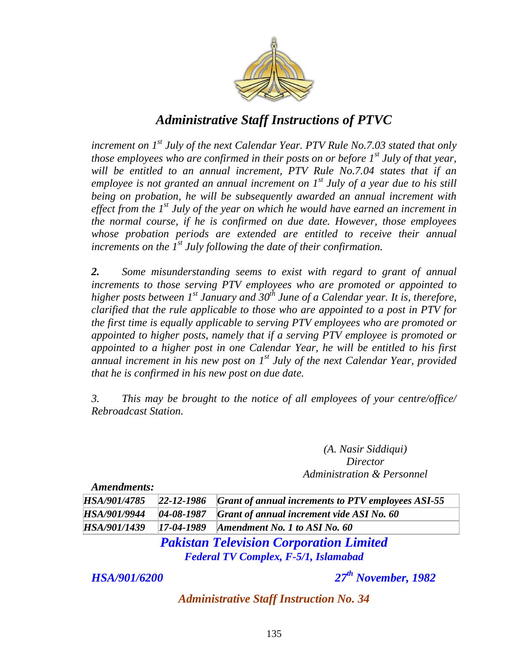

*increment on 1st July of the next Calendar Year. PTV Rule No.7.03 stated that only those employees who are confirmed in their posts on or before 1st July of that year, will be entitled to an annual increment, PTV Rule No.7.04 states that if an employee is not granted an annual increment on 1st July of a year due to his still being on probation, he will be subsequently awarded an annual increment with effect from the 1st July of the year on which he would have earned an increment in the normal course, if he is confirmed on due date. However, those employees whose probation periods are extended are entitled to receive their annual increments on the 1st July following the date of their confirmation.*

*2. Some misunderstanding seems to exist with regard to grant of annual increments to those serving PTV employees who are promoted or appointed to higher posts between 1st January and 30th June of a Calendar year. It is, therefore, clarified that the rule applicable to those who are appointed to a post in PTV for the first time is equally applicable to serving PTV employees who are promoted or appointed to higher posts, namely that if a serving PTV employee is promoted or appointed to a higher post in one Calendar Year, he will be entitled to his first annual increment in his new post on 1st July of the next Calendar Year, provided that he is confirmed in his new post on due date.*

*3. This may be brought to the notice of all employees of your centre/office/ Rebroadcast Station.*

> *(A. Nasir Siddiqui) Director Administration & Personnel*

*Amendments:*

|  | HSA/901/4785 22-12-1986 Grant of annual increments to PTV employees ASI-55 |
|--|----------------------------------------------------------------------------|
|  | HSA/901/9944   04-08-1987   Grant of annual increment vide ASI No. 60      |
|  | HSA/901/1439   17-04-1989   Amendment No. 1 to ASI No. 60                  |

*Pakistan Television Corporation Limited Federal TV Complex, F-5/1, Islamabad*

*HSA/901/6200 27th November, 1982*

*Administrative Staff Instruction No. 34*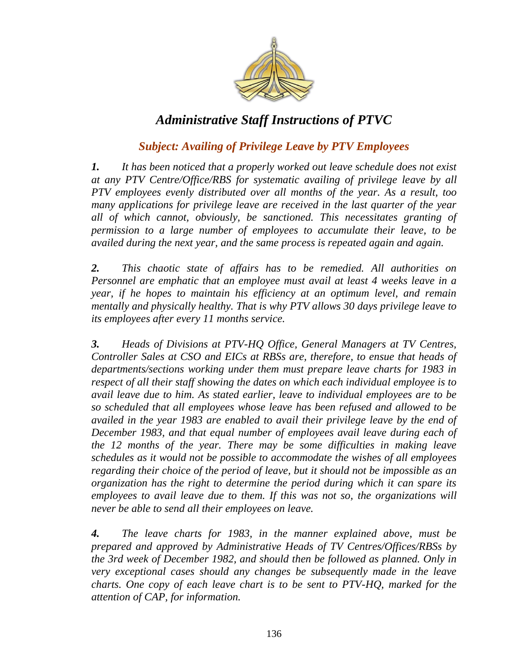

## *Subject: Availing of Privilege Leave by PTV Employees*

*1. It has been noticed that a properly worked out leave schedule does not exist at any PTV Centre/Office/RBS for systematic availing of privilege leave by all PTV employees evenly distributed over all months of the year. As a result, too many applications for privilege leave are received in the last quarter of the year all of which cannot, obviously, be sanctioned. This necessitates granting of permission to a large number of employees to accumulate their leave, to be availed during the next year, and the same process is repeated again and again.*

*2. This chaotic state of affairs has to be remedied. All authorities on Personnel are emphatic that an employee must avail at least 4 weeks leave in a year, if he hopes to maintain his efficiency at an optimum level, and remain mentally and physically healthy. That is why PTV allows 30 days privilege leave to its employees after every 11 months service.* 

*3. Heads of Divisions at PTV-HQ Office, General Managers at TV Centres, Controller Sales at CSO and EICs at RBSs are, therefore, to ensue that heads of departments/sections working under them must prepare leave charts for 1983 in respect of all their staff showing the dates on which each individual employee is to avail leave due to him. As stated earlier, leave to individual employees are to be so scheduled that all employees whose leave has been refused and allowed to be availed in the year 1983 are enabled to avail their privilege leave by the end of December 1983, and that equal number of employees avail leave during each of the 12 months of the year. There may be some difficulties in making leave schedules as it would not be possible to accommodate the wishes of all employees regarding their choice of the period of leave, but it should not be impossible as an organization has the right to determine the period during which it can spare its employees to avail leave due to them. If this was not so, the organizations will never be able to send all their employees on leave.* 

*4. The leave charts for 1983, in the manner explained above, must be prepared and approved by Administrative Heads of TV Centres/Offices/RBSs by the 3rd week of December 1982, and should then be followed as planned. Only in very exceptional cases should any changes be subsequently made in the leave charts. One copy of each leave chart is to be sent to PTV-HQ, marked for the attention of CAP, for information.*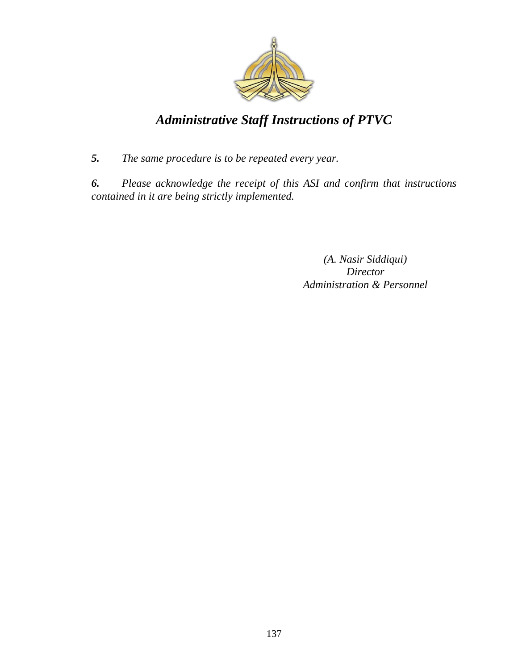

*5. The same procedure is to be repeated every year.* 

*6. Please acknowledge the receipt of this ASI and confirm that instructions contained in it are being strictly implemented.*

> *(A. Nasir Siddiqui) Director Administration & Personnel*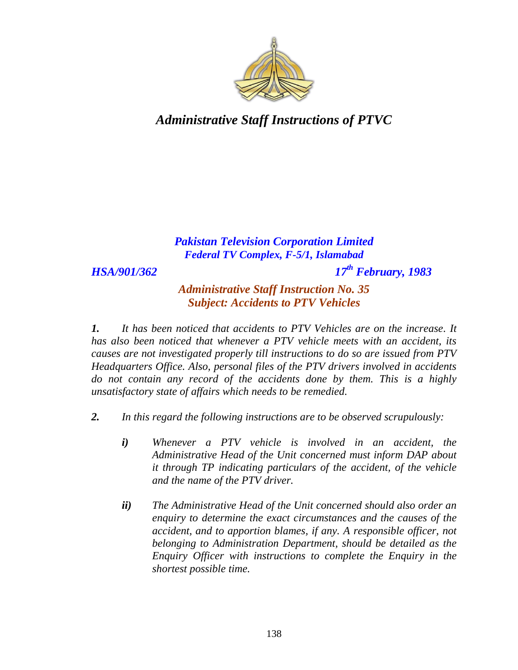

## *Pakistan Television Corporation Limited Federal TV Complex, F-5/1, Islamabad*

*HSA/901/362 17th February, 1983*

*Administrative Staff Instruction No. 35 Subject: Accidents to PTV Vehicles*

*1. It has been noticed that accidents to PTV Vehicles are on the increase. It has also been noticed that whenever a PTV vehicle meets with an accident, its causes are not investigated properly till instructions to do so are issued from PTV Headquarters Office. Also, personal files of the PTV drivers involved in accidents do not contain any record of the accidents done by them. This is a highly unsatisfactory state of affairs which needs to be remedied.* 

- *2. In this regard the following instructions are to be observed scrupulously:* 
	- *i) Whenever a PTV vehicle is involved in an accident, the Administrative Head of the Unit concerned must inform DAP about it through TP indicating particulars of the accident, of the vehicle and the name of the PTV driver.*
	- *ii) The Administrative Head of the Unit concerned should also order an enquiry to determine the exact circumstances and the causes of the accident, and to apportion blames, if any. A responsible officer, not belonging to Administration Department, should be detailed as the Enquiry Officer with instructions to complete the Enquiry in the shortest possible time.*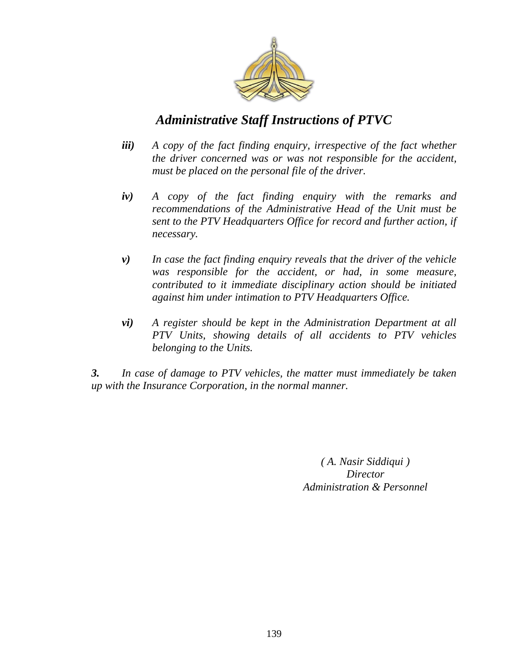

- *iii) A copy of the fact finding enquiry, irrespective of the fact whether the driver concerned was or was not responsible for the accident, must be placed on the personal file of the driver.*
- *iv) A copy of the fact finding enquiry with the remarks and recommendations of the Administrative Head of the Unit must be sent to the PTV Headquarters Office for record and further action, if necessary.*
- *v) In case the fact finding enquiry reveals that the driver of the vehicle was responsible for the accident, or had, in some measure, contributed to it immediate disciplinary action should be initiated against him under intimation to PTV Headquarters Office.*
- *vi) A register should be kept in the Administration Department at all PTV Units, showing details of all accidents to PTV vehicles belonging to the Units.*

*3. In case of damage to PTV vehicles, the matter must immediately be taken up with the Insurance Corporation, in the normal manner.*

> *( A. Nasir Siddiqui ) Director Administration & Personnel*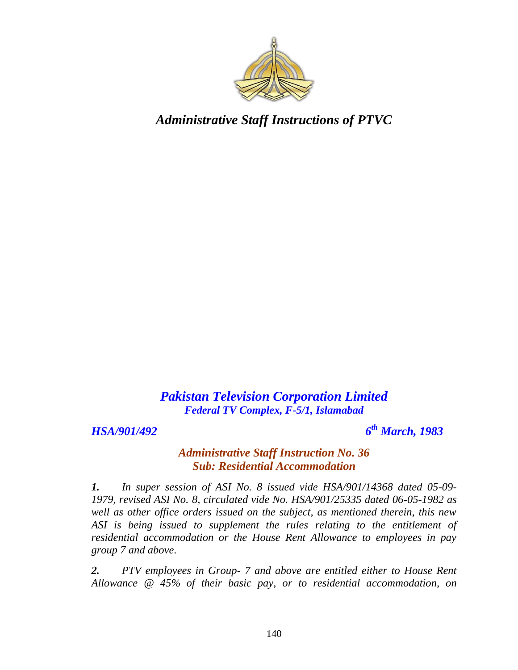

*Pakistan Television Corporation Limited Federal TV Complex, F-5/1, Islamabad*

*HSA/901/492 6*

*th March, 1983*

#### *Administrative Staff Instruction No. 36 Sub: Residential Accommodation*

*1. In super session of ASI No. 8 issued vide HSA/901/14368 dated 05-09- 1979, revised ASI No. 8, circulated vide No. HSA/901/25335 dated 06-05-1982 as well as other office orders issued on the subject, as mentioned therein, this new ASI is being issued to supplement the rules relating to the entitlement of residential accommodation or the House Rent Allowance to employees in pay group 7 and above.*

*2. PTV employees in Group- 7 and above are entitled either to House Rent Allowance @ 45% of their basic pay, or to residential accommodation, on*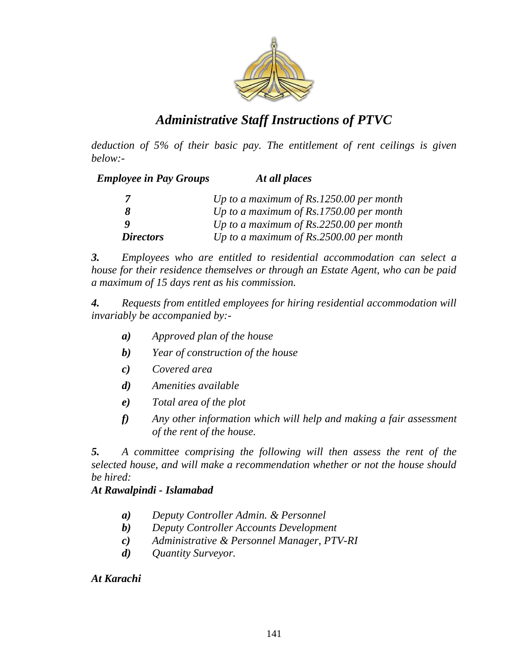

*deduction of 5% of their basic pay. The entitlement of rent ceilings is given below:-*

| <b>Employee in Pay Groups</b> | At all places                             |
|-------------------------------|-------------------------------------------|
|                               | Up to a maximum of $Rs.1250.00$ per month |
| 8                             | Up to a maximum of $Rs.1750.00$ per month |
| o                             | Up to a maximum of $Rs.2250.00$ per month |
| <b>Directors</b>              | Up to a maximum of $Rs.2500.00$ per month |

*3. Employees who are entitled to residential accommodation can select a house for their residence themselves or through an Estate Agent, who can be paid a maximum of 15 days rent as his commission.* 

*4. Requests from entitled employees for hiring residential accommodation will invariably be accompanied by:-*

- *a) Approved plan of the house*
- *b) Year of construction of the house*
- *c) Covered area*
- *d) Amenities available*
- *e) Total area of the plot*
- *f) Any other information which will help and making a fair assessment of the rent of the house.*

*5. A committee comprising the following will then assess the rent of the selected house, and will make a recommendation whether or not the house should be hired:*

#### *At Rawalpindi - Islamabad*

- *a) Deputy Controller Admin. & Personnel*
- *b) Deputy Controller Accounts Development*
- *c) Administrative & Personnel Manager, PTV-RI*
- *d) Quantity Surveyor.*

*At Karachi*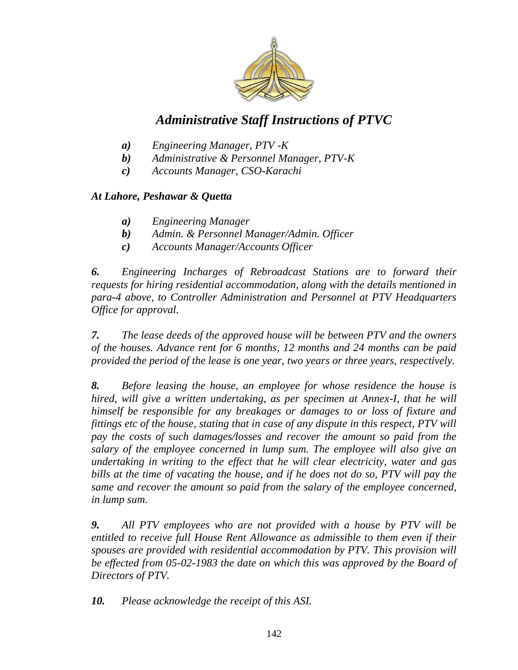

- *a) Engineering Manager, PTV -K*
- *b) Administrative & Personnel Manager, PTV-K*
- *c) Accounts Manager, CSO-Karachi*

#### *At Lahore, Peshawar & Quetta*

- *a) Engineering Manager*
- *b) Admin. & Personnel Manager/Admin. Officer*
- *c) Accounts Manager/Accounts Officer*

*6. Engineering Incharges of Rebroadcast Stations are to forward their requests for hiring residential accommodation, along with the details mentioned in para-4 above, to Controller Administration and Personnel at PTV Headquarters Office for approval.* 

*7. The lease deeds of the approved house will be between PTV and the owners of the houses. Advance rent for 6 months, 12 months and 24 months can be paid provided the period of the lease is one year, two years or three years, respectively.* 

*8. Before leasing the house, an employee for whose residence the house is hired, will give a written undertaking, as per specimen at Annex-I, that he will himself be responsible for any breakages or damages to or loss of fixture and fittings etc of the house, stating that in case of any dispute in this respect, PTV will pay the costs of such damages/losses and recover the amount so paid from the salary of the employee concerned in lump sum. The employee will also give an undertaking in writing to the effect that he will clear electricity, water and gas bills at the time of vacating the house, and if he does not do so, PTV will pay the same and recover the amount so paid from the salary of the employee concerned, in lump sum.* 

*9. All PTV employees who are not provided with a house by PTV will be entitled to receive full House Rent Allowance as admissible to them even if their spouses are provided with residential accommodation by PTV. This provision will be effected from 05-02-1983 the date on which this was approved by the Board of Directors of PTV.* 

*10. Please acknowledge the receipt of this ASI.*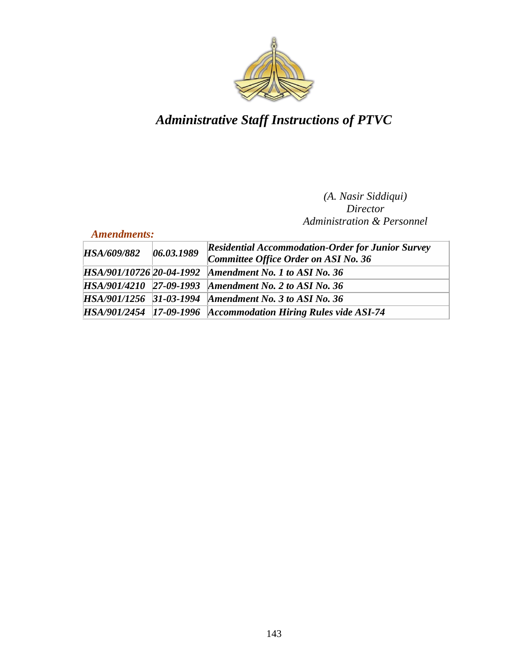

#### *(A. Nasir Siddiqui) Director Administration & Personnel*

#### *Amendments:*

| <b>HSA/609/882</b> | 06.03.1989 | <b>Residential Accommodation-Order for Junior Survey</b><br>Committee Office Order on ASI No. 36 |  |
|--------------------|------------|--------------------------------------------------------------------------------------------------|--|
|                    |            | HSA/901/10726 20-04-1992 Amendment No. 1 to ASI No. 36                                           |  |
|                    |            | HSA/901/4210 27-09-1993 Amendment No. 2 to ASI No. 36                                            |  |
|                    |            | HSA/901/1256 31-03-1994 Amendment No. 3 to ASI No. 36                                            |  |
|                    |            | HSA/901/2454 17-09-1996 Accommodation Hiring Rules vide ASI-74                                   |  |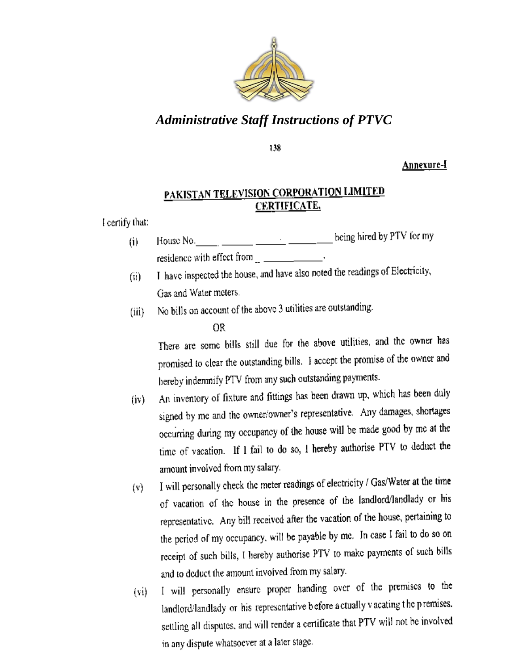

138

Annexure-I

## PAKISTAN TELEVISION CORPORATION LIMITED **CERTIFICATE,**

I certify that:

- $(i)$ residence with effect from  $\frac{1}{\sqrt{1-\frac{1}{\sqrt{1-\frac{1}{\sqrt{1-\frac{1}{\sqrt{1-\frac{1}{\sqrt{1-\frac{1}{\sqrt{1-\frac{1}{\sqrt{1-\frac{1}{\sqrt{1-\frac{1}{\sqrt{1-\frac{1}{\sqrt{1-\frac{1}{\sqrt{1-\frac{1}{\sqrt{1-\frac{1}{\sqrt{1-\frac{1}{\sqrt{1-\frac{1}{\sqrt{1-\frac{1}{\sqrt{1-\frac{1}{\sqrt{1-\frac{1}{\sqrt{1-\frac{1}{\sqrt{1-\frac{1}{\sqrt{1-\frac{1}{\sqrt{1-\frac{1$
- I have inspected the house, and have also noted the readings of Electricity,  $(ii)$ Gas and Water meters.
- No bills on account of the above 3 utilities are outstanding.  $(iii)$

OR

There are some bills still due for the above utilities, and the owner has promised to clear the outstanding bills. I accept the promise of the owner and hereby indemnify PTV from any such outstanding payments.

- An inventory of fixture and fittings has been drawn up, which has been duly  $(iv)$ signed by me and the owner/owner's representative. Any damages, shortages occurring during my occupancy of the house will be made good by me at the time of vacation. If I fail to do so, I hereby authorise PTV to deduct the amount involved from my salary.
- I will personally check the meter readings of electricity / Gas/Water at the time  $(v)$ of vacation of the house in the presence of the landlord/landlady or his representative. Any bill received after the vacation of the house, pertaining to the period of my occupancy, will be payable by me. In case I fail to do so on receipt of such bills, I hereby authorise PTV to make payments of such bills and to deduct the amount involved from my salary.
- I will personally ensure proper handing over of the premises to the  $(v<sub>i</sub>)$ landlord/landlady or his representative before a ctually vacating the premises. settling all disputes, and will render a certificate that PTV will not be involved<br>in any dispute whatsoever at a later stage.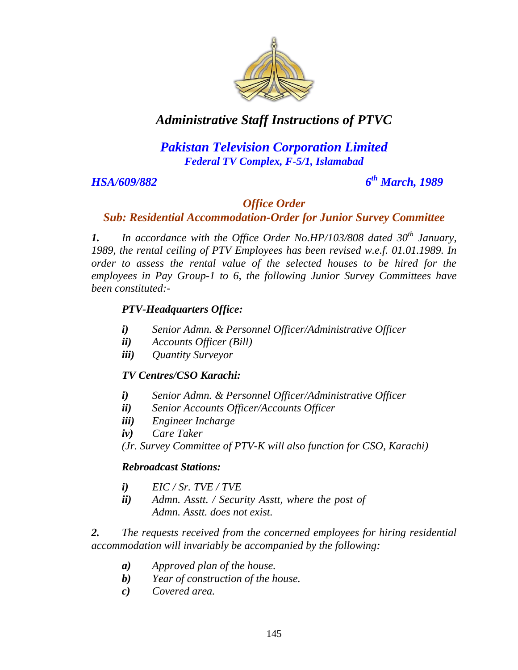

### *Pakistan Television Corporation Limited Federal TV Complex, F-5/1, Islamabad*

#### *HSA/609/882 6*

#### *th March, 1989*

#### *Office Order*

#### *Sub: Residential Accommodation-Order for Junior Survey Committee*

*1. In accordance with the Office Order No.HP/103/808 dated 30th January, 1989, the rental ceiling of PTV Employees has been revised w.e.f. 01.01.1989. In order to assess the rental value of the selected houses to be hired for the employees in Pay Group-1 to 6, the following Junior Survey Committees have been constituted:-*

#### *PTV-Headquarters Office:*

- *i) Senior Admn. & Personnel Officer/Administrative Officer*
- *ii) Accounts Officer (Bill)*
- *iii) Quantity Surveyor*

#### *TV Centres/CSO Karachi:*

- *i) Senior Admn. & Personnel Officer/Administrative Officer*
- *ii) Senior Accounts Officer/Accounts Officer*
- *iii) Engineer Incharge*
- *iv) Care Taker*

*(Jr. Survey Committee of PTV-K will also function for CSO, Karachi)*

#### *Rebroadcast Stations:*

- *i) EIC / Sr. TVE / TVE*
- *ii) Admn. Asstt. / Security Asstt, where the post of Admn. Asstt. does not exist.*

*2. The requests received from the concerned employees for hiring residential accommodation will invariably be accompanied by the following:*

- *a) Approved plan of the house.*
- *b) Year of construction of the house.*
- *c) Covered area.*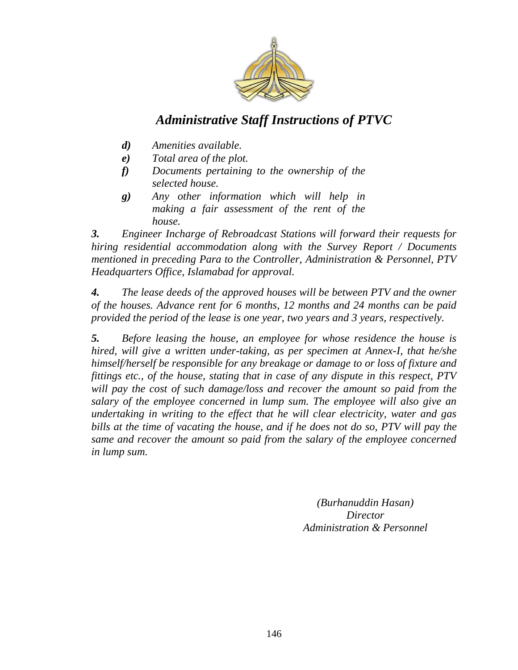

- *d) Amenities available.*
- *e) Total area of the plot.*
- *f) Documents pertaining to the ownership of the selected house.*
- *g) Any other information which will help in making a fair assessment of the rent of the house.*

*3. Engineer Incharge of Rebroadcast Stations will forward their requests for hiring residential accommodation along with the Survey Report / Documents mentioned in preceding Para to the Controller, Administration & Personnel, PTV Headquarters Office, Islamabad for approval.*

*4. The lease deeds of the approved houses will be between PTV and the owner of the houses. Advance rent for 6 months, 12 months and 24 months can be paid provided the period of the lease is one year, two years and 3 years, respectively.*

*5. Before leasing the house, an employee for whose residence the house is hired, will give a written under-taking, as per specimen at Annex-I, that he/she himself/herself be responsible for any breakage or damage to or loss of fixture and fittings etc., of the house, stating that in case of any dispute in this respect, PTV will pay the cost of such damage/loss and recover the amount so paid from the salary of the employee concerned in lump sum. The employee will also give an undertaking in writing to the effect that he will clear electricity, water and gas*  bills at the time of vacating the house, and if he does not do so, PTV will pay the *same and recover the amount so paid from the salary of the employee concerned in lump sum.*

> *(Burhanuddin Hasan) Director Administration & Personnel*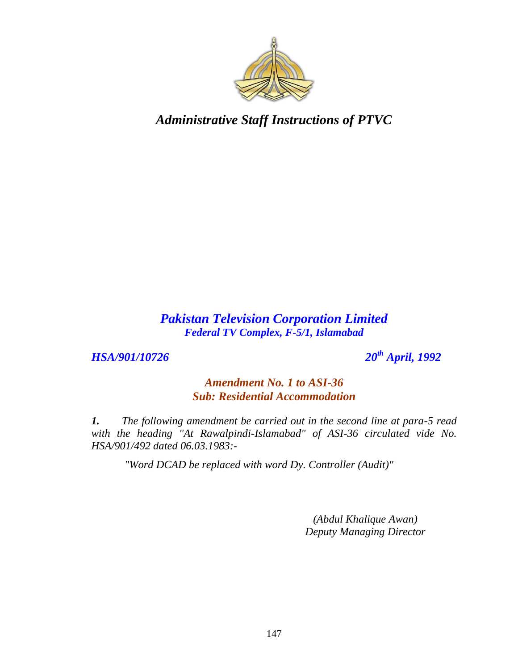

#### *Pakistan Television Corporation Limited Federal TV Complex, F-5/1, Islamabad*

*HSA/901/10726 20th April, 1992*

#### *Amendment No. 1 to ASI-36 Sub: Residential Accommodation*

*1. The following amendment be carried out in the second line at para-5 read*  with the heading "At Rawalpindi-Islamabad" of ASI-36 circulated vide No. *HSA/901/492 dated 06.03.1983:-*

*"Word DCAD be replaced with word Dy. Controller (Audit)"*

*(Abdul Khalique Awan) Deputy Managing Director*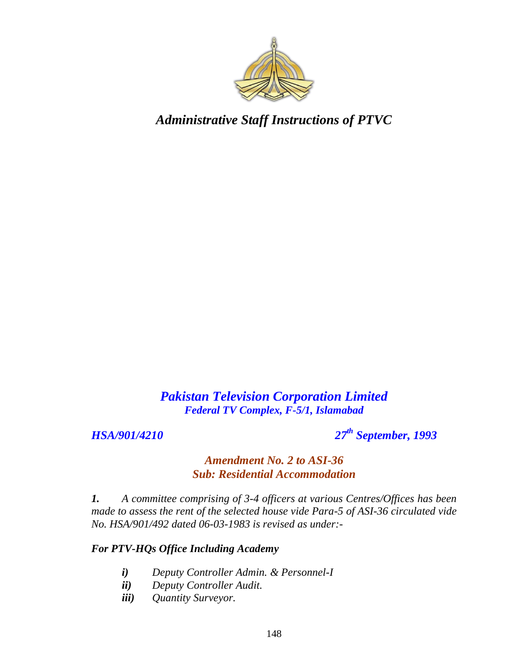

## *Pakistan Television Corporation Limited Federal TV Complex, F-5/1, Islamabad*

*HSA/901/4210 27th September, 1993*

#### *Amendment No. 2 to ASI-36 Sub: Residential Accommodation*

*1. A committee comprising of 3-4 officers at various Centres/Offices has been made to assess the rent of the selected house vide Para-5 of ASI-36 circulated vide No. HSA/901/492 dated 06-03-1983 is revised as under:-*

#### *For PTV-HQs Office Including Academy*

- *i) Deputy Controller Admin. & Personnel-I*
- *ii) Deputy Controller Audit.*
- *iii) Quantity Surveyor.*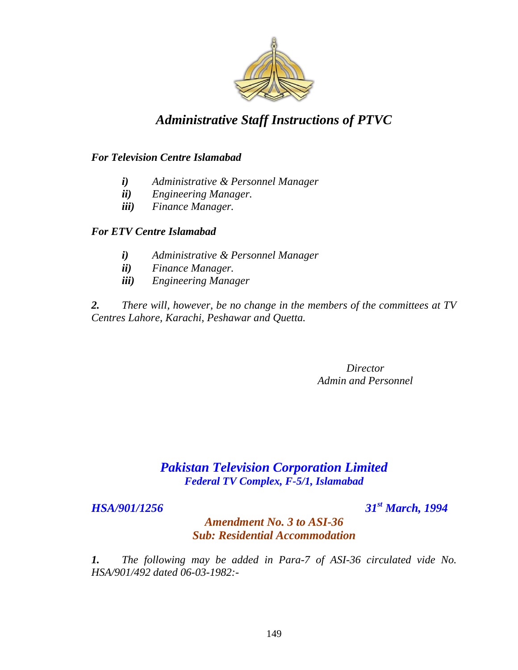

#### *For Television Centre Islamabad*

- *i) Administrative & Personnel Manager*
- *ii) Engineering Manager.*
- *iii) Finance Manager.*

#### *For ETV Centre Islamabad*

- *i) Administrative & Personnel Manager*
- *ii) Finance Manager.*
- *iii) Engineering Manager*

*2. There will, however, be no change in the members of the committees at TV Centres Lahore, Karachi, Peshawar and Quetta.*

> *Director Admin and Personnel*

### *Pakistan Television Corporation Limited Federal TV Complex, F-5/1, Islamabad*

*HSA/901/1256 31st March, 1994*

#### *Amendment No. 3 to ASI-36 Sub: Residential Accommodation*

*1. The following may be added in Para-7 of ASI-36 circulated vide No. HSA/901/492 dated 06-03-1982:-*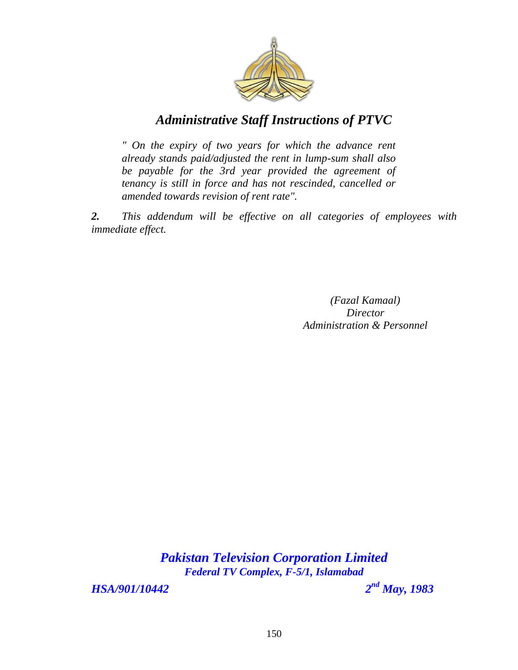

*" On the expiry of two years for which the advance rent already stands paid/adjusted the rent in lump-sum shall also be payable for the 3rd year provided the agreement of tenancy is still in force and has not rescinded, cancelled or amended towards revision of rent rate".* 

*2. This addendum will be effective on all categories of employees with immediate effect.*

> *(Fazal Kamaal) Director Administration & Personnel*

*Pakistan Television Corporation Limited Federal TV Complex, F-5/1, Islamabad*

*HSA/901/10442 2*

*nd May, 1983*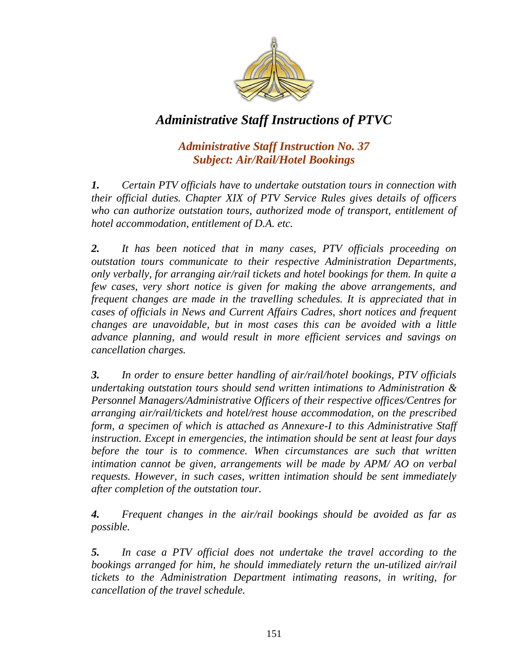

#### *Administrative Staff Instruction No. 37 Subject: Air/Rail/Hotel Bookings*

*1. Certain PTV officials have to undertake outstation tours in connection with their official duties. Chapter XIX of PTV Service Rules gives details of officers who can authorize outstation tours, authorized mode of transport, entitlement of hotel accommodation, entitlement of D.A. etc.* 

*2. It has been noticed that in many cases, PTV officials proceeding on outstation tours communicate to their respective Administration Departments, only verbally, for arranging air/rail tickets and hotel bookings for them. In quite a few cases, very short notice is given for making the above arrangements, and frequent changes are made in the travelling schedules. It is appreciated that in cases of officials in News and Current Affairs Cadres, short notices and frequent changes are unavoidable, but in most cases this can be avoided with a little advance planning, and would result in more efficient services and savings on cancellation charges.* 

*3. In order to ensure better handling of air/rail/hotel bookings, PTV officials undertaking outstation tours should send written intimations to Administration & Personnel Managers/Administrative Officers of their respective offices/Centres for arranging air/rail/tickets and hotel/rest house accommodation, on the prescribed form, a specimen of which is attached as Annexure-I to this Administrative Staff instruction. Except in emergencies, the intimation should be sent at least four days before the tour is to commence. When circumstances are such that written intimation cannot be given, arrangements will be made by APM/ AO on verbal requests. However, in such cases, written intimation should be sent immediately after completion of the outstation tour.* 

*4. Frequent changes in the air/rail bookings should be avoided as far as possible.* 

*5. In case a PTV official does not undertake the travel according to the bookings arranged for him, he should immediately return the un-utilized air/rail tickets to the Administration Department intimating reasons, in writing, for cancellation of the travel schedule.*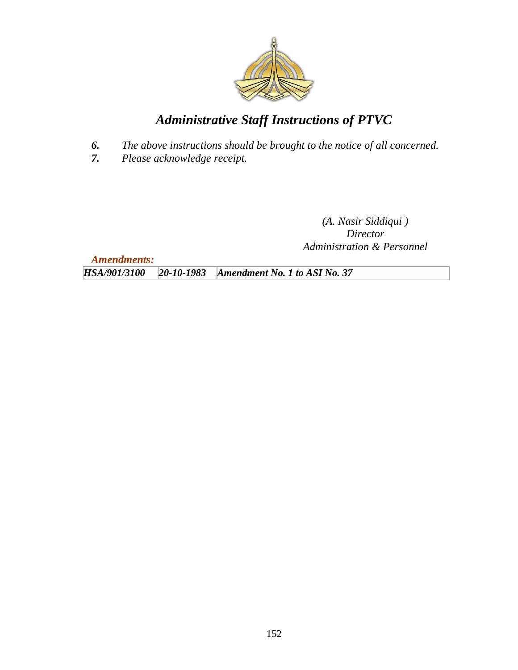

- *6. The above instructions should be brought to the notice of all concerned.*
- *7. Please acknowledge receipt.*

*(A. Nasir Siddiqui ) Director Administration & Personnel*

*Amendments:*

*HSA/901/3100 20-10-1983 Amendment No. 1 to ASI No. 37*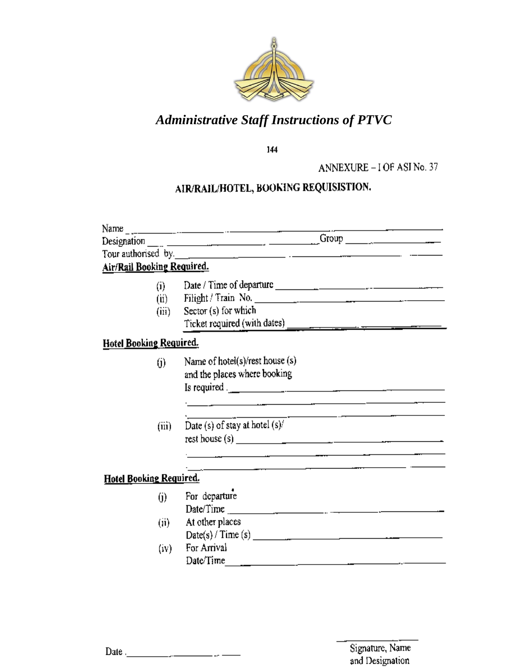

144

ANNEXURE - I OF ASI No. 37

# AIR/RAIL/HOTEL, BOOKING REQUISISTION.

|                                    |                     | Tour authorised by. $\frac{1}{\sqrt{1-\frac{1}{2}}\sqrt{1-\frac{1}{2}}\sqrt{1-\frac{1}{2}}\sqrt{1-\frac{1}{2}}\sqrt{1-\frac{1}{2}}\sqrt{1-\frac{1}{2}}\sqrt{1-\frac{1}{2}}\sqrt{1-\frac{1}{2}}\sqrt{1-\frac{1}{2}}\sqrt{1-\frac{1}{2}}\sqrt{1-\frac{1}{2}}\sqrt{1-\frac{1}{2}}\sqrt{1-\frac{1}{2}}\sqrt{1-\frac{1}{2}}\sqrt{1-\frac{1}{2}}\sqrt{1-\frac{1}{2}}\sqrt{1-\frac{1}{2}}\sqrt{1-\frac{1$ |  |  |
|------------------------------------|---------------------|----------------------------------------------------------------------------------------------------------------------------------------------------------------------------------------------------------------------------------------------------------------------------------------------------------------------------------------------------------------------------------------------------|--|--|
| Air/R <u>ail Booking Required.</u> |                     |                                                                                                                                                                                                                                                                                                                                                                                                    |  |  |
|                                    | (i)                 | Date / Time of departure $\frac{1}{2}$                                                                                                                                                                                                                                                                                                                                                             |  |  |
|                                    | (ii)                |                                                                                                                                                                                                                                                                                                                                                                                                    |  |  |
|                                    | (iii)               | Sector $(s)$ for which                                                                                                                                                                                                                                                                                                                                                                             |  |  |
|                                    |                     |                                                                                                                                                                                                                                                                                                                                                                                                    |  |  |
| <b>Hotel Booking Required.</b>     |                     |                                                                                                                                                                                                                                                                                                                                                                                                    |  |  |
|                                    | $\omega$            | Name of hotel(s)/rest house (s)<br>and the places where booking                                                                                                                                                                                                                                                                                                                                    |  |  |
|                                    |                     | Is required . $\frac{1}{2}$ $\frac{1}{2}$ $\frac{1}{2}$ $\frac{1}{2}$ $\frac{1}{2}$ $\frac{1}{2}$ $\frac{1}{2}$ $\frac{1}{2}$ $\frac{1}{2}$ $\frac{1}{2}$ $\frac{1}{2}$ $\frac{1}{2}$ $\frac{1}{2}$ $\frac{1}{2}$ $\frac{1}{2}$ $\frac{1}{2}$ $\frac{1}{2}$ $\frac{1}{2}$ $\frac{1}{2}$ $\frac{1}{2}$ $\frac{1}{2$                                                                                 |  |  |
|                                    |                     |                                                                                                                                                                                                                                                                                                                                                                                                    |  |  |
|                                    | (iii)               | Date (s) of stay at hotel $(s)$ .                                                                                                                                                                                                                                                                                                                                                                  |  |  |
|                                    |                     | rest house (s) $\qquad \qquad \qquad$                                                                                                                                                                                                                                                                                                                                                              |  |  |
|                                    |                     |                                                                                                                                                                                                                                                                                                                                                                                                    |  |  |
|                                    |                     |                                                                                                                                                                                                                                                                                                                                                                                                    |  |  |
| Hotel Booking Required.            |                     |                                                                                                                                                                                                                                                                                                                                                                                                    |  |  |
|                                    | $\ddot{\mathbf{0}}$ | For departure                                                                                                                                                                                                                                                                                                                                                                                      |  |  |
|                                    |                     | Date/Time $\frac{1}{2}$ and $\frac{1}{2}$ and $\frac{1}{2}$ and $\frac{1}{2}$ and $\frac{1}{2}$ and $\frac{1}{2}$ and $\frac{1}{2}$ and $\frac{1}{2}$ and $\frac{1}{2}$ and $\frac{1}{2}$ and $\frac{1}{2}$ and $\frac{1}{2}$ and $\frac{1}{2}$ and $\frac{1}{2}$ and $\frac{1}{2}$ and                                                                                                            |  |  |
|                                    | (ii)                | At other places                                                                                                                                                                                                                                                                                                                                                                                    |  |  |
|                                    |                     | Date(s) / Time(s)                                                                                                                                                                                                                                                                                                                                                                                  |  |  |
|                                    | (iv)                | For Arrival                                                                                                                                                                                                                                                                                                                                                                                        |  |  |
|                                    |                     | Date/Time<br>the contract of the contract of the contract of the contract of the contract of the contract of the contract of                                                                                                                                                                                                                                                                       |  |  |

Date  $\frac{1}{2}$  and  $\frac{1}{2}$  and  $\frac{1}{2}$  and  $\frac{1}{2}$  and  $\frac{1}{2}$  and  $\frac{1}{2}$  and  $\frac{1}{2}$  and  $\frac{1}{2}$  and  $\frac{1}{2}$  and  $\frac{1}{2}$  and  $\frac{1}{2}$  and  $\frac{1}{2}$  and  $\frac{1}{2}$  and  $\frac{1}{2}$  and  $\frac{1}{2}$  and  $\frac{1}{$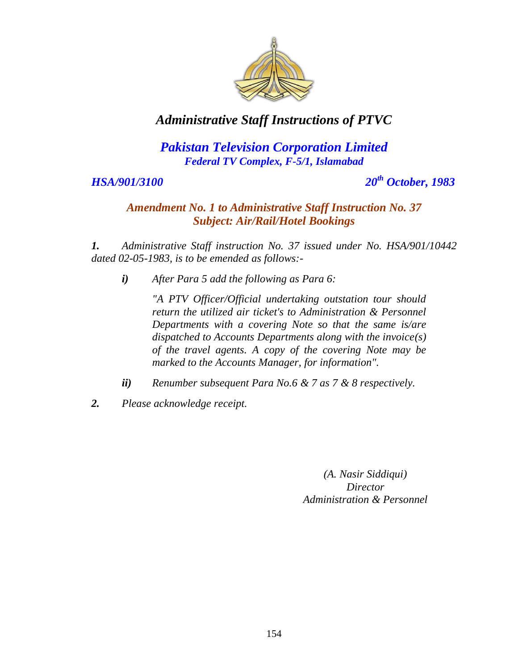

### *Pakistan Television Corporation Limited Federal TV Complex, F-5/1, Islamabad*

#### *HSA/901/3100 20th October, 1983*

#### *Amendment No. 1 to Administrative Staff Instruction No. 37 Subject: Air/Rail/Hotel Bookings*

*1. Administrative Staff instruction No. 37 issued under No. HSA/901/10442 dated 02-05-1983, is to be emended as follows:-*

*i) After Para 5 add the following as Para 6:*

*"A PTV Officer/Official undertaking outstation tour should return the utilized air ticket's to Administration & Personnel Departments with a covering Note so that the same is/are dispatched to Accounts Departments along with the invoice(s) of the travel agents. A copy of the covering Note may be marked to the Accounts Manager, for information".* 

- *ii) Renumber subsequent Para No.6 & 7 as 7 & 8 respectively.*
- *2. Please acknowledge receipt.*

*(A. Nasir Siddiqui) Director Administration & Personnel*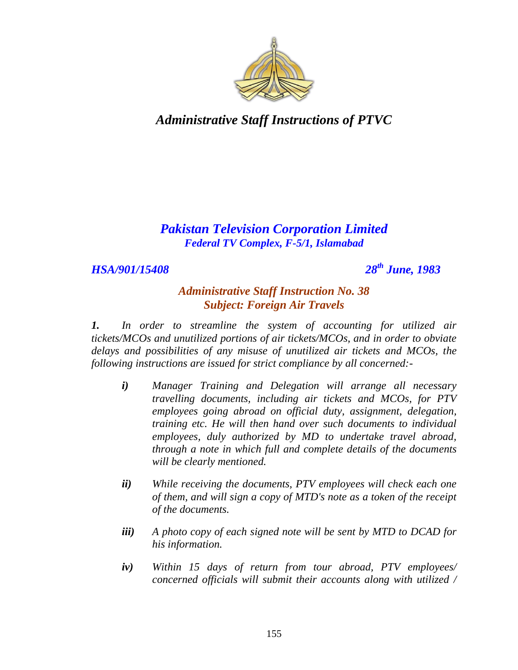

#### *Pakistan Television Corporation Limited Federal TV Complex, F-5/1, Islamabad*

#### *HSA/901/15408 28th June, 1983*

#### *Administrative Staff Instruction No. 38 Subject: Foreign Air Travels*

*1. In order to streamline the system of accounting for utilized air tickets/MCOs and unutilized portions of air tickets/MCOs, and in order to obviate delays and possibilities of any misuse of unutilized air tickets and MCOs, the following instructions are issued for strict compliance by all concerned:-*

- *i) Manager Training and Delegation will arrange all necessary travelling documents, including air tickets and MCOs, for PTV employees going abroad on official duty, assignment, delegation, training etc. He will then hand over such documents to individual employees, duly authorized by MD to undertake travel abroad, through a note in which full and complete details of the documents will be clearly mentioned.*
- *ii) While receiving the documents, PTV employees will check each one of them, and will sign a copy of MTD's note as a token of the receipt of the documents.*
- *iii) A photo copy of each signed note will be sent by MTD to DCAD for his information.*
- *iv) Within 15 days of return from tour abroad, PTV employees/ concerned officials will submit their accounts along with utilized /*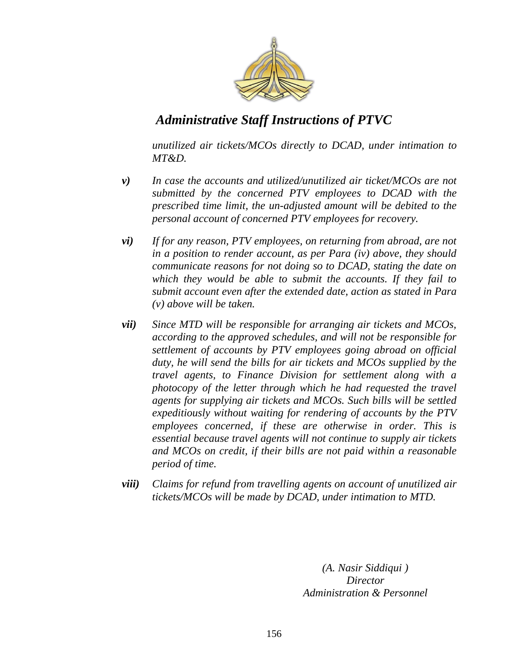

*unutilized air tickets/MCOs directly to DCAD, under intimation to MT&D.*

- *v) In case the accounts and utilized/unutilized air ticket/MCOs are not submitted by the concerned PTV employees to DCAD with the prescribed time limit, the un-adjusted amount will be debited to the personal account of concerned PTV employees for recovery.*
- *vi) If for any reason, PTV employees, on returning from abroad, are not in a position to render account, as per Para (iv) above, they should communicate reasons for not doing so to DCAD, stating the date on which they would be able to submit the accounts. If they fail to submit account even after the extended date, action as stated in Para (v) above will be taken.*
- *vii) Since MTD will be responsible for arranging air tickets and MCOs, according to the approved schedules, and will not be responsible for settlement of accounts by PTV employees going abroad on official duty, he will send the bills for air tickets and MCOs supplied by the travel agents, to Finance Division for settlement along with a photocopy of the letter through which he had requested the travel agents for supplying air tickets and MCOs. Such bills will be settled expeditiously without waiting for rendering of accounts by the PTV employees concerned, if these are otherwise in order. This is essential because travel agents will not continue to supply air tickets and MCOs on credit, if their bills are not paid within a reasonable period of time.*
- *viii) Claims for refund from travelling agents on account of unutilized air tickets/MCOs will be made by DCAD, under intimation to MTD.*

*(A. Nasir Siddiqui ) Director Administration & Personnel*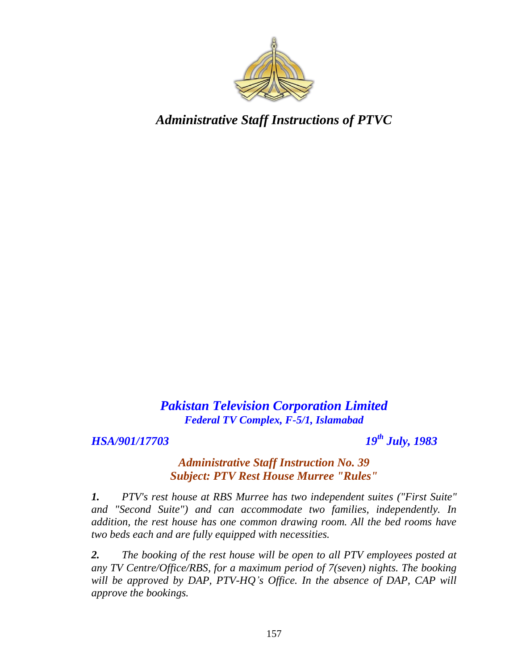

*Pakistan Television Corporation Limited Federal TV Complex, F-5/1, Islamabad*

*HSA/901/17703 19th July, 1983*

#### *Administrative Staff Instruction No. 39 Subject: PTV Rest House Murree "Rules"*

*1. PTV's rest house at RBS Murree has two independent suites ("First Suite" and "Second Suite") and can accommodate two families, independently. In addition, the rest house has one common drawing room. All the bed rooms have two beds each and are fully equipped with necessities.*

*2. The booking of the rest house will be open to all PTV employees posted at any TV Centre/Office/RBS, for a maximum period of 7(seven) nights. The booking*  will be approved by DAP, PTV-HQ's Office. In the absence of DAP, CAP will *approve the bookings.*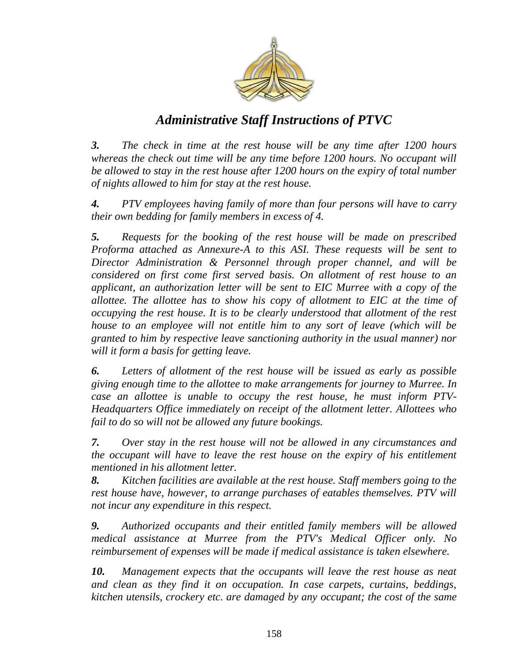

*3. The check in time at the rest house will be any time after 1200 hours whereas the check out time will be any time before 1200 hours. No occupant will be allowed to stay in the rest house after 1200 hours on the expiry of total number of nights allowed to him for stay at the rest house.* 

*4. PTV employees having family of more than four persons will have to carry their own bedding for family members in excess of 4.* 

*5. Requests for the booking of the rest house will be made on prescribed Proforma attached as Annexure-A to this ASI. These requests will be sent to Director Administration & Personnel through proper channel, and will be considered on first come first served basis. On allotment of rest house to an applicant, an authorization letter will be sent to EIC Murree with a copy of the allottee. The allottee has to show his copy of allotment to EIC at the time of occupying the rest house. It is to be clearly understood that allotment of the rest house to an employee will not entitle him to any sort of leave (which will be granted to him by respective leave sanctioning authority in the usual manner) nor will it form a basis for getting leave.* 

*6. Letters of allotment of the rest house will be issued as early as possible giving enough time to the allottee to make arrangements for journey to Murree. In case an allottee is unable to occupy the rest house, he must inform PTV-Headquarters Office immediately on receipt of the allotment letter. Allottees who fail to do so will not be allowed any future bookings.* 

*7. Over stay in the rest house will not be allowed in any circumstances and the occupant will have to leave the rest house on the expiry of his entitlement mentioned in his allotment letter.* 

*8. Kitchen facilities are available at the rest house. Staff members going to the rest house have, however, to arrange purchases of eatables themselves. PTV will not incur any expenditure in this respect.* 

*9. Authorized occupants and their entitled family members will be allowed medical assistance at Murree from the PTV's Medical Officer only. No reimbursement of expenses will be made if medical assistance is taken elsewhere.* 

*10. Management expects that the occupants will leave the rest house as neat and clean as they find it on occupation. In case carpets, curtains, beddings, kitchen utensils, crockery etc. are damaged by any occupant; the cost of the same*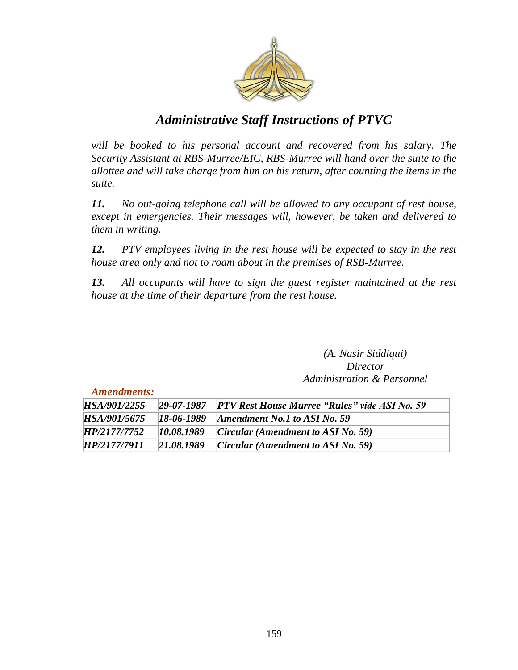

will be booked to his personal account and recovered from his salary. The *Security Assistant at RBS-Murree/EIC, RBS-Murree will hand over the suite to the allottee and will take charge from him on his return, after counting the items in the suite.* 

*11. No out-going telephone call will be allowed to any occupant of rest house, except in emergencies. Their messages will, however, be taken and delivered to them in writing.*

*12. PTV employees living in the rest house will be expected to stay in the rest house area only and not to roam about in the premises of RSB-Murree.* 

*13. All occupants will have to sign the guest register maintained at the rest house at the time of their departure from the rest house.*

> *(A. Nasir Siddiqui) Director Administration & Personnel*

*Amendments:*

| HSA/901/2255 |            | 29-07-1987 PTV Rest House Murree "Rules" vide ASI No. 59 |
|--------------|------------|----------------------------------------------------------|
| HSA/901/5675 | 18-06-1989 | Amendment No.1 to ASI No. 59                             |
| HP/2177/7752 | 10.08.1989 | <i>Circular (Amendment to ASI No. 59)</i>                |
| HP/2177/7911 | 21.08.1989 | <i>Circular (Amendment to ASI No. 59)</i>                |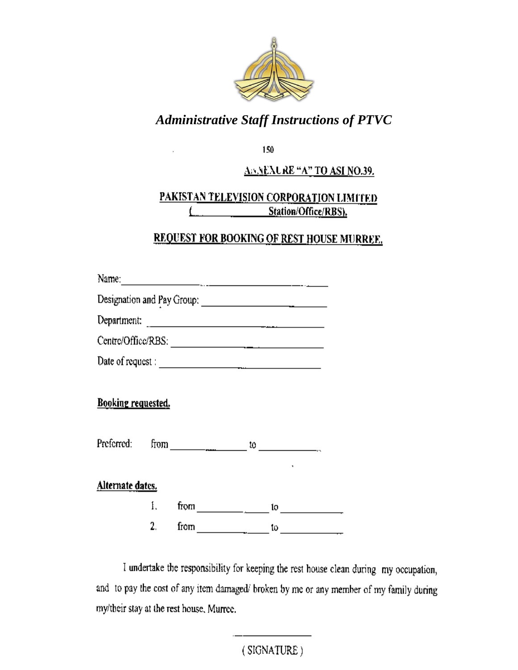

150

#### ABNEXURE "A" TO ASI NO.39.

#### PAKISTAN TELEVISION CORPORATION LIMITED Station/Office/RBS). t

## **REQUEST FOR BOOKING OF REST HOUSE MURREE.**

| Centre/Office/RBS:        |    |      |                         |  |                                                                                                                                                                                                                                                                                                                                                                                                                              |
|---------------------------|----|------|-------------------------|--|------------------------------------------------------------------------------------------------------------------------------------------------------------------------------------------------------------------------------------------------------------------------------------------------------------------------------------------------------------------------------------------------------------------------------|
| Date of request :         |    |      |                         |  |                                                                                                                                                                                                                                                                                                                                                                                                                              |
| <b>Booking requested.</b> |    |      |                         |  | Preferred: from $\frac{1}{\sqrt{1-\frac{1}{2}}\sqrt{1-\frac{1}{2}}\sqrt{1-\frac{1}{2}}\sqrt{1-\frac{1}{2}}\sqrt{1-\frac{1}{2}}\sqrt{1-\frac{1}{2}}\sqrt{1-\frac{1}{2}}\sqrt{1-\frac{1}{2}}\sqrt{1-\frac{1}{2}}\sqrt{1-\frac{1}{2}}\sqrt{1-\frac{1}{2}}\sqrt{1-\frac{1}{2}}\sqrt{1-\frac{1}{2}}\sqrt{1-\frac{1}{2}}\sqrt{1-\frac{1}{2}}\sqrt{1-\frac{1}{2}}\sqrt{1-\frac{1}{2}}\sqrt{1-\frac{1}{2}}\$                         |
| Alternate dates.          |    |      |                         |  |                                                                                                                                                                                                                                                                                                                                                                                                                              |
|                           |    |      |                         |  | 1. from $\frac{1}{\sqrt{1-\frac{1}{2}}}\cdot\frac{10}{\sqrt{1-\frac{1}{2}}}\cdot\frac{10}{\sqrt{1-\frac{1}{2}}}\cdot\frac{10}{\sqrt{1-\frac{1}{2}}}\cdot\frac{10}{\sqrt{1-\frac{1}{2}}}\cdot\frac{10}{\sqrt{1-\frac{1}{2}}}\cdot\frac{10}{\sqrt{1-\frac{1}{2}}}\cdot\frac{10}{\sqrt{1-\frac{1}{2}}}\cdot\frac{10}{\sqrt{1-\frac{1}{2}}}\cdot\frac{10}{\sqrt{1-\frac{1}{2}}}\cdot\frac{10}{\sqrt{1-\frac{1}{2}}}\cdot\frac{1$ |
|                           | 2. | from | <u> 1990 - Jan Jawa</u> |  | $\frac{1}{2}$                                                                                                                                                                                                                                                                                                                                                                                                                |

 $\ddot{\phantom{a}}$ 

I undertake the responsibility for keeping the rest house clean during my occupation, and to pay the cost of any item damaged/ broken by me or any member of my family during my/their stay at the rest house, Murree.

> 160 $(SIGNATURE)$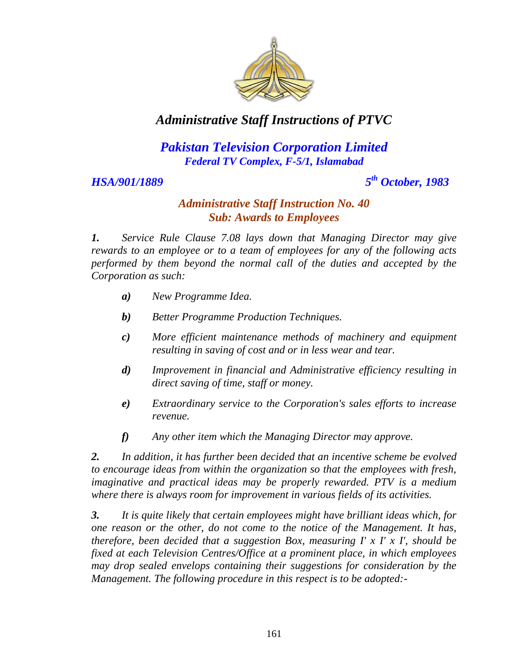

### *Pakistan Television Corporation Limited Federal TV Complex, F-5/1, Islamabad*

#### HSA/901/1889

*th October, 1983*

#### *Administrative Staff Instruction No. 40 Sub: Awards to Employees*

*1. Service Rule Clause 7.08 lays down that Managing Director may give rewards to an employee or to a team of employees for any of the following acts performed by them beyond the normal call of the duties and accepted by the Corporation as such:*

- *a) New Programme Idea.*
- *b) Better Programme Production Techniques.*
- *c) More efficient maintenance methods of machinery and equipment resulting in saving of cost and or in less wear and tear.*
- *d) Improvement in financial and Administrative efficiency resulting in direct saving of time, staff or money.*
- *e) Extraordinary service to the Corporation's sales efforts to increase revenue.*
- *f) Any other item which the Managing Director may approve.*

*2. In addition, it has further been decided that an incentive scheme be evolved to encourage ideas from within the organization so that the employees with fresh, imaginative and practical ideas may be properly rewarded. PTV is a medium where there is always room for improvement in various fields of its activities.* 

*3. It is quite likely that certain employees might have brilliant ideas which, for one reason or the other, do not come to the notice of the Management. It has, therefore, been decided that a suggestion Box, measuring I' x I' x I', should be fixed at each Television Centres/Office at a prominent place, in which employees may drop sealed envelops containing their suggestions for consideration by the Management. The following procedure in this respect is to be adopted:-*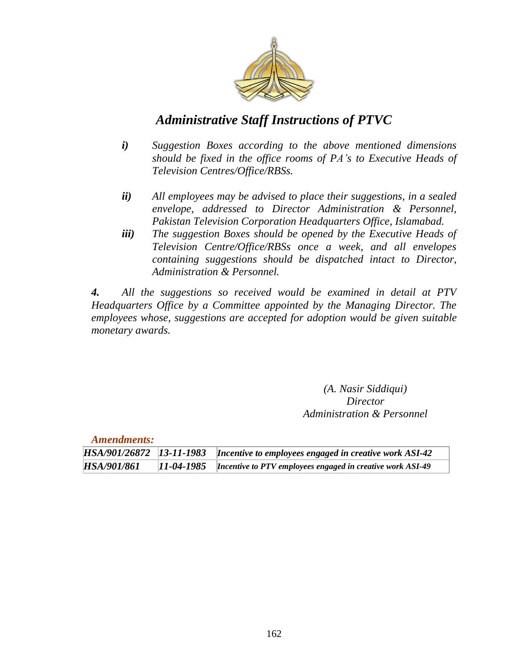

- *i) Suggestion Boxes according to the above mentioned dimensions should be fixed in the office rooms of PA"s to Executive Heads of Television Centres/Office/RBSs.*
- *ii) All employees may be advised to place their suggestions, in a sealed envelope, addressed to Director Administration & Personnel, Pakistan Television Corporation Headquarters Office, Islamabad.*
- *iii) The suggestion Boxes should be opened by the Executive Heads of Television Centre/Office/RBSs once a week, and all envelopes containing suggestions should be dispatched intact to Director, Administration & Personnel.*

*4. All the suggestions so received would be examined in detail at PTV Headquarters Office by a Committee appointed by the Managing Director. The employees whose, suggestions are accepted for adoption would be given suitable monetary awards.*

> *(A. Nasir Siddiqui) Director Administration & Personnel*

| <b>Amendments:</b> |              |                                                                                 |
|--------------------|--------------|---------------------------------------------------------------------------------|
|                    |              | HSA/901/26872 13-11-1983 Incentive to employees engaged in creative work ASI-42 |
| HSA/901/861        | $11-04-1985$ | Incentive to PTV employees engaged in creative work ASI-49                      |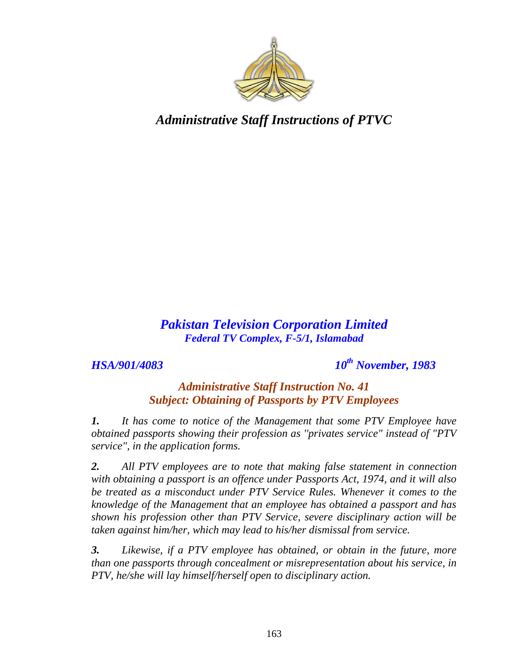

## *Pakistan Television Corporation Limited Federal TV Complex, F-5/1, Islamabad*

*HSA/901/4083 10th November, 1983*

### *Administrative Staff Instruction No. 41 Subject: Obtaining of Passports by PTV Employees*

*1. It has come to notice of the Management that some PTV Employee have obtained passports showing their profession as ''privates service" instead of "PTV service", in the application forms.*

*2. All PTV employees are to note that making false statement in connection with obtaining a passport is an offence under Passports Act, 1974, and it will also be treated as a misconduct under PTV Service Rules. Whenever it comes to the knowledge of the Management that an employee has obtained a passport and has shown his profession other than PTV Service, severe disciplinary action will be taken against him/her, which may lead to his/her dismissal from service.* 

*3. Likewise, if a PTV employee has obtained, or obtain in the future, more than one passports through concealment or misrepresentation about his service, in PTV, he/she will lay himself/herself open to disciplinary action.*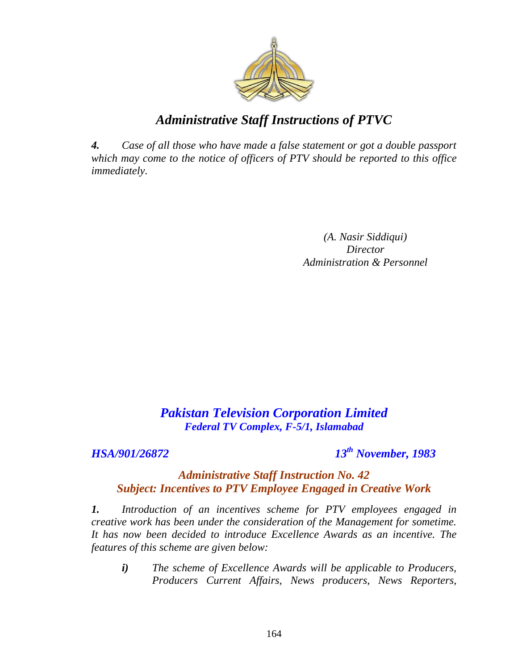

*4. Case of all those who have made a false statement or got a double passport which may come to the notice of officers of PTV should be reported to this office immediately.*

> *(A. Nasir Siddiqui) Director Administration & Personnel*

## *Pakistan Television Corporation Limited Federal TV Complex, F-5/1, Islamabad*

#### *HSA/901/26872 13th November, 1983*

#### *Administrative Staff Instruction No. 42 Subject: Incentives to PTV Employee Engaged in Creative Work*

*1. Introduction of an incentives scheme for PTV employees engaged in creative work has been under the consideration of the Management for sometime. It has now been decided to introduce Excellence Awards as an incentive. The features of this scheme are given below:*

*i) The scheme of Excellence Awards will be applicable to Producers, Producers Current Affairs, News producers, News Reporters,*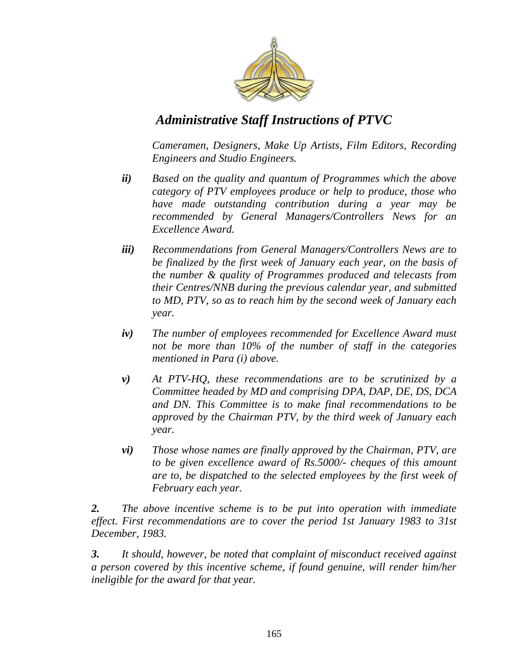

*Cameramen, Designers, Make Up Artists, Film Editors, Recording Engineers and Studio Engineers.* 

- *ii) Based on the quality and quantum of Programmes which the above category of PTV employees produce or help to produce, those who have made outstanding contribution during a year may be recommended by General Managers/Controllers News for an Excellence Award.*
- *iii) Recommendations from General Managers/Controllers News are to be finalized by the first week of January each year, on the basis of the number & quality of Programmes produced and telecasts from their Centres/NNB during the previous calendar year, and submitted to MD, PTV, so as to reach him by the second week of January each year.*
- *iv) The number of employees recommended for Excellence Award must not be more than 10% of the number of staff in the categories mentioned in Para (i) above.*
- *v) At PTV-HQ, these recommendations are to be scrutinized by a Committee headed by MD and comprising DPA, DAP, DE, DS, DCA and DN. This Committee is to make final recommendations to be approved by the Chairman PTV, by the third week of January each year.*
- *vi) Those whose names are finally approved by the Chairman, PTV, are to be given excellence award of Rs.5000/- cheques of this amount are to, be dispatched to the selected employees by the first week of February each year.*

*2. The above incentive scheme is to be put into operation with immediate effect. First recommendations are to cover the period 1st January 1983 to 31st December, 1983.* 

*3. It should, however, be noted that complaint of misconduct received against a person covered by this incentive scheme, if found genuine, will render him/her ineligible for the award for that year.*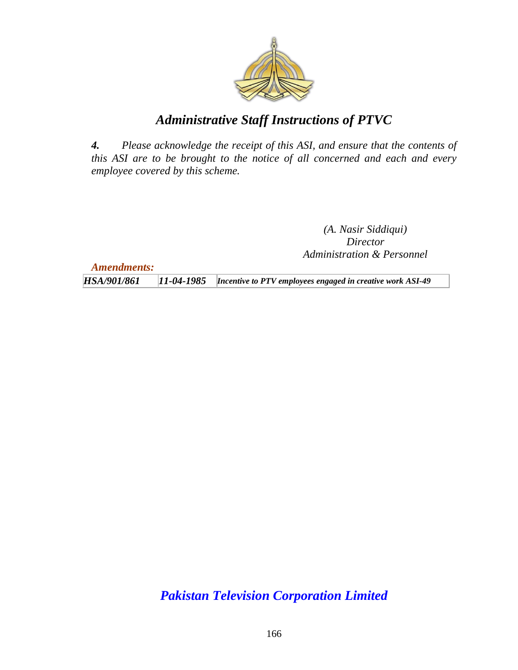

*4. Please acknowledge the receipt of this ASI, and ensure that the contents of this ASI are to be brought to the notice of all concerned and each and every employee covered by this scheme.*

> *(A. Nasir Siddiqui) Director Administration & Personnel*

*Amendments:*

*HSA/901/861 11-04-1985 Incentive to PTV employees engaged in creative work ASI-49*

*Pakistan Television Corporation Limited*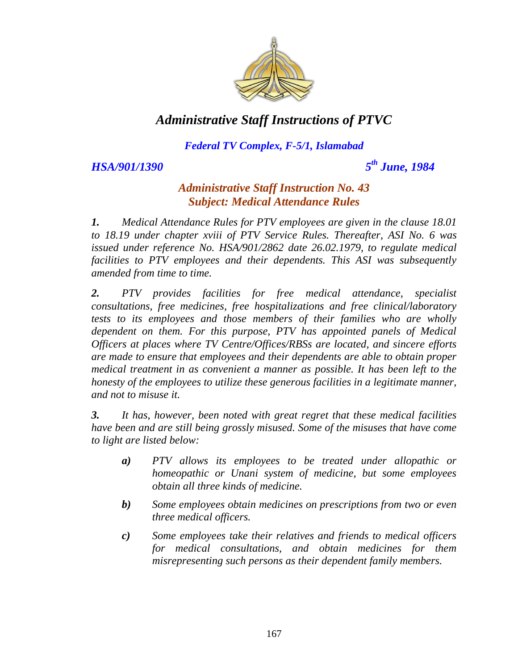

#### *Federal TV Complex, F-5/1, Islamabad*

*HSA/901/1390* 

*th June, 1984*

#### *Administrative Staff Instruction No. 43 Subject: Medical Attendance Rules*

*1. Medical Attendance Rules for PTV employees are given in the clause 18.01 to 18.19 under chapter xviii of PTV Service Rules. Thereafter, ASI No. 6 was issued under reference No. HSA/901/2862 date 26.02.1979, to regulate medical facilities to PTV employees and their dependents. This ASI was subsequently amended from time to time.*

*2. PTV provides facilities for free medical attendance, specialist consultations, free medicines, free hospitalizations and free clinical/laboratory tests to its employees and those members of their families who are wholly dependent on them. For this purpose, PTV has appointed panels of Medical Officers at places where TV Centre/Offices/RBSs are located, and sincere efforts are made to ensure that employees and their dependents are able to obtain proper medical treatment in as convenient a manner as possible. It has been left to the honesty of the employees to utilize these generous facilities in a legitimate manner, and not to misuse it.*

*3. It has, however, been noted with great regret that these medical facilities have been and are still being grossly misused. Some of the misuses that have come to light are listed below:*

- *a) PTV allows its employees to be treated under allopathic or homeopathic or Unani system of medicine, but some employees obtain all three kinds of medicine.*
- *b) Some employees obtain medicines on prescriptions from two or even three medical officers.*
- *c) Some employees take their relatives and friends to medical officers for medical consultations, and obtain medicines for them misrepresenting such persons as their dependent family members.*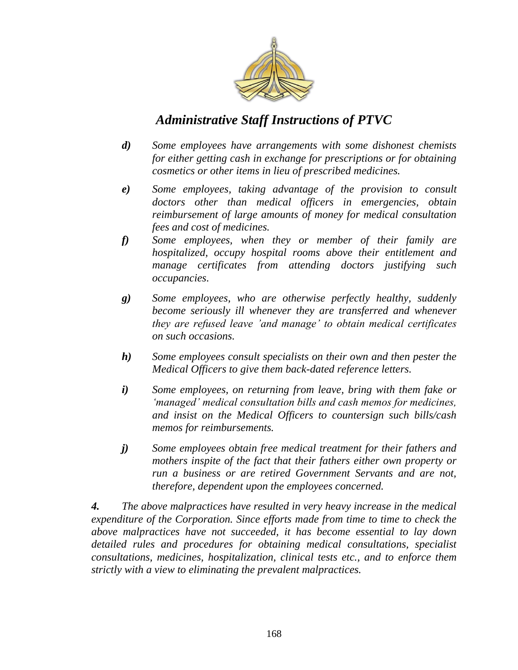

- *d) Some employees have arrangements with some dishonest chemists for either getting cash in exchange for prescriptions or for obtaining cosmetics or other items in lieu of prescribed medicines.*
- *e) Some employees, taking advantage of the provision to consult doctors other than medical officers in emergencies, obtain reimbursement of large amounts of money for medical consultation fees and cost of medicines.*
- *f) Some employees, when they or member of their family are hospitalized, occupy hospital rooms above their entitlement and manage certificates from attending doctors justifying such occupancies.*
- *g) Some employees, who are otherwise perfectly healthy, suddenly become seriously ill whenever they are transferred and whenever they are refused leave "and manage" to obtain medical certificates on such occasions.*
- *h) Some employees consult specialists on their own and then pester the Medical Officers to give them back-dated reference letters.*
- *i) Some employees, on returning from leave, bring with them fake or "managed" medical consultation bills and cash memos for medicines, and insist on the Medical Officers to countersign such bills/cash memos for reimbursements.*
- *j) Some employees obtain free medical treatment for their fathers and mothers inspite of the fact that their fathers either own property or run a business or are retired Government Servants and are not, therefore, dependent upon the employees concerned.*

*4. The above malpractices have resulted in very heavy increase in the medical expenditure of the Corporation. Since efforts made from time to time to check the above malpractices have not succeeded, it has become essential to lay down detailed rules and procedures for obtaining medical consultations, specialist consultations, medicines, hospitalization, clinical tests etc., and to enforce them strictly with a view to eliminating the prevalent malpractices.*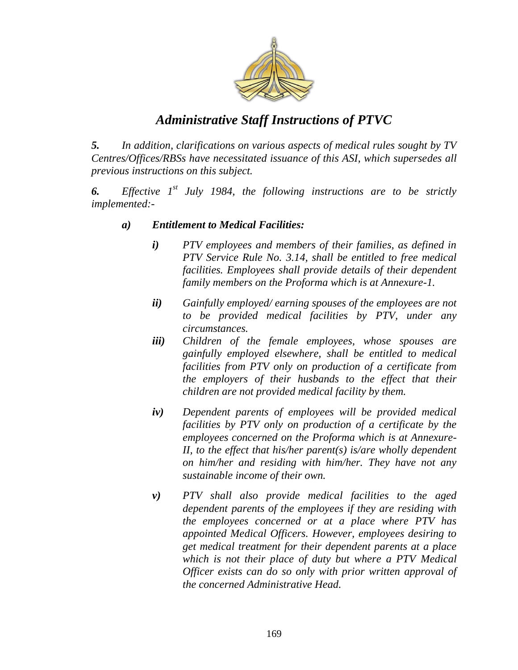

*5. In addition, clarifications on various aspects of medical rules sought by TV Centres/Offices/RBSs have necessitated issuance of this ASI, which supersedes all previous instructions on this subject.*

*6. Effective 1st July 1984, the following instructions are to be strictly implemented:-*

#### *a) Entitlement to Medical Facilities:*

- *i) PTV employees and members of their families, as defined in PTV Service Rule No. 3.14, shall be entitled to free medical facilities. Employees shall provide details of their dependent family members on the Proforma which is at Annexure-1.*
- *ii) Gainfully employed/ earning spouses of the employees are not to be provided medical facilities by PTV, under any circumstances.*
- *iii) Children of the female employees, whose spouses are gainfully employed elsewhere, shall be entitled to medical facilities from PTV only on production of a certificate from the employers of their husbands to the effect that their children are not provided medical facility by them.*
- *iv) Dependent parents of employees will be provided medical facilities by PTV only on production of a certificate by the employees concerned on the Proforma which is at Annexure-II, to the effect that his/her parent(s) is/are wholly dependent on him/her and residing with him/her. They have not any sustainable income of their own.*
- *v) PTV shall also provide medical facilities to the aged dependent parents of the employees if they are residing with the employees concerned or at a place where PTV has appointed Medical Officers. However, employees desiring to get medical treatment for their dependent parents at a place which is not their place of duty but where a PTV Medical Officer exists can do so only with prior written approval of the concerned Administrative Head.*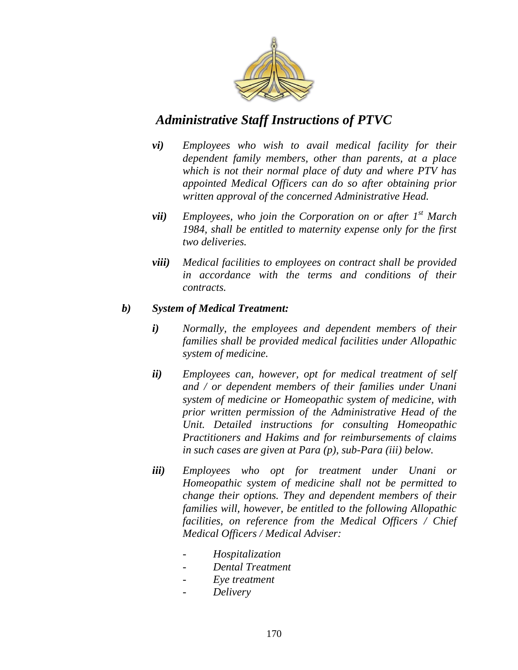

- *vi) Employees who wish to avail medical facility for their dependent family members, other than parents, at a place which is not their normal place of duty and where PTV has appointed Medical Officers can do so after obtaining prior written approval of the concerned Administrative Head.*
- *vii) Employees, who join the Corporation on or after 1st March 1984, shall be entitled to maternity expense only for the first two deliveries.*
- *viii) Medical facilities to employees on contract shall be provided in accordance with the terms and conditions of their contracts.*

#### *b) System of Medical Treatment:*

- *i) Normally, the employees and dependent members of their families shall be provided medical facilities under Allopathic system of medicine.*
- *ii) Employees can, however, opt for medical treatment of self and / or dependent members of their families under Unani system of medicine or Homeopathic system of medicine, with prior written permission of the Administrative Head of the Unit. Detailed instructions for consulting Homeopathic Practitioners and Hakims and for reimbursements of claims in such cases are given at Para (p), sub-Para (iii) below.*
- *iii) Employees who opt for treatment under Unani or Homeopathic system of medicine shall not be permitted to change their options. They and dependent members of their families will, however, be entitled to the following Allopathic facilities, on reference from the Medical Officers / Chief Medical Officers / Medical Adviser:*
	- *- Hospitalization*
	- *Dental Treatment*
	- *Eye treatment*
	- *Delivery*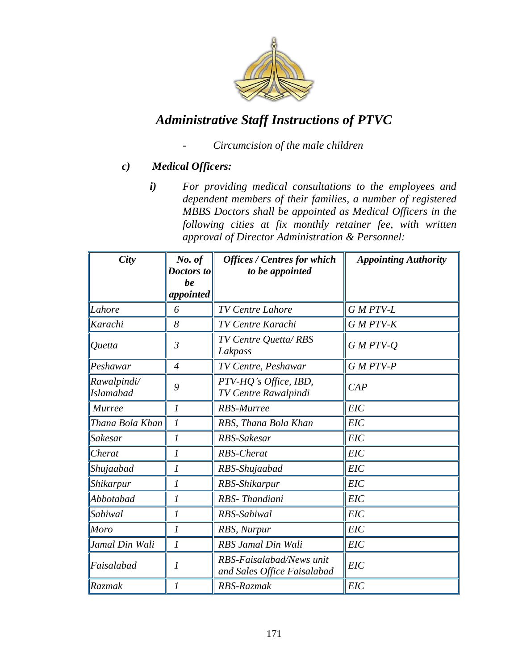

- *Circumcision of the male children*

#### *c) Medical Officers:*

*i) For providing medical consultations to the employees and dependent members of their families, a number of registered MBBS Doctors shall be appointed as Medical Officers in the following cities at fix monthly retainer fee, with written approval of Director Administration & Personnel:*

| <b>City</b>                     | No. of           | <b>Offices / Centres for which</b>                      | <b>Appointing Authority</b> |
|---------------------------------|------------------|---------------------------------------------------------|-----------------------------|
|                                 | Doctors to<br>be | to be appointed                                         |                             |
|                                 | appointed        |                                                         |                             |
| Lahore                          | 6                | <b>TV Centre Lahore</b>                                 | G M PTV-L                   |
| Karachi                         | 8                | TV Centre Karachi                                       | G M PTV-K                   |
| Quetta                          | $\mathfrak{Z}$   | TV Centre Quetta/RBS<br>Lakpass                         | $G$ M PTV- $Q$              |
| Peshawar                        | $\overline{4}$   | TV Centre, Peshawar                                     | G M PTV-P                   |
| Rawalpindi/<br><b>Islamabad</b> | 9                | PTV-HQ's Office, IBD,<br>TV Centre Rawalpindi           | CAP                         |
| <b>Murree</b>                   | $\mathfrak{I}$   | <b>RBS-Murree</b>                                       | <b>EIC</b>                  |
| Thana Bola Khan                 | $\mathcal{I}$    | RBS, Thana Bola Khan                                    | <b>EIC</b>                  |
| Sakesar                         | 1                | RBS-Sakesar                                             | <b>EIC</b>                  |
| Cherat                          | 1                | <b>RBS-Cherat</b>                                       | <b>EIC</b>                  |
| Shujaabad                       | $\boldsymbol{l}$ | RBS-Shujaabad                                           | <b>EIC</b>                  |
| Shikarpur                       | 1                | RBS-Shikarpur                                           | <b>EIC</b>                  |
| Abbotabad                       | $\mathcal I$     | RBS-Thandiani                                           | EIC                         |
| <i>Sahiwal</i>                  | 1                | RBS-Sahiwal                                             | <b>EIC</b>                  |
| Moro                            | 1                | RBS, Nurpur                                             | <b>EIC</b>                  |
| Jamal Din Wali                  | $\mathcal{I}$    | RBS Jamal Din Wali                                      | <b>EIC</b>                  |
| Faisalabad                      | 1                | RBS-Faisalabad/News unit<br>and Sales Office Faisalabad | <b>EIC</b>                  |
| Razmak                          | 1                | RBS-Razmak                                              | <b>EIC</b>                  |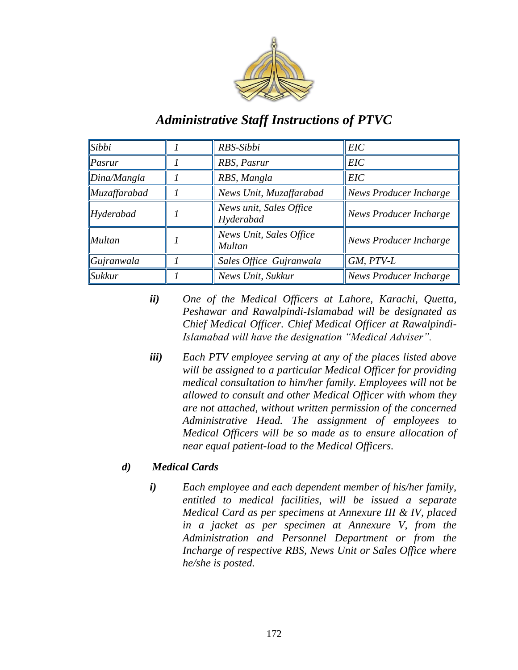

| $\vert$ Sibbi         | RBS-Sibbi                            | <b>EIC</b>                    |  |
|-----------------------|--------------------------------------|-------------------------------|--|
| $\ Pasrur\ $          | RBS, Pasrur                          | <b>EIC</b>                    |  |
| $\Delta$ lDina/Mangla | RBS, Mangla                          | <b>EIC</b>                    |  |
| $\vert Muz$ affarabad | News Unit, Muzaffarabad              | News Producer Incharge        |  |
| $H$ yderabad          | News unit, Sales Office<br>Hyderabad | News Producer Incharge        |  |
| Multan                | News Unit, Sales Office<br>Multan    | News Producer Incharge        |  |
| $\alpha$ Gujranwala   | Sales Office Gujranwala              | GM, PTV-L                     |  |
| $\mathbf$ Sukkur      | News Unit, Sukkur                    | <b>News Producer Incharge</b> |  |

- *ii) One of the Medical Officers at Lahore, Karachi, Quetta, Peshawar and Rawalpindi-Islamabad will be designated as Chief Medical Officer. Chief Medical Officer at Rawalpindi-Islamabad will have the designation "Medical Adviser".*
- *iii) Each PTV employee serving at any of the places listed above will be assigned to a particular Medical Officer for providing medical consultation to him/her family. Employees will not be allowed to consult and other Medical Officer with whom they are not attached, without written permission of the concerned Administrative Head. The assignment of employees to Medical Officers will be so made as to ensure allocation of near equal patient-load to the Medical Officers.*

#### *d) Medical Cards*

*i) Each employee and each dependent member of his/her family, entitled to medical facilities, will be issued a separate Medical Card as per specimens at Annexure III & IV, placed in a jacket as per specimen at Annexure V, from the Administration and Personnel Department or from the Incharge of respective RBS, News Unit or Sales Office where he/she is posted.*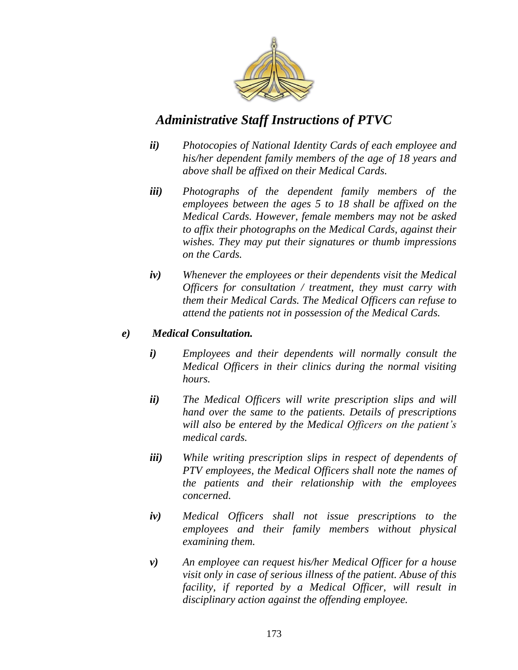

- *ii) Photocopies of National Identity Cards of each employee and his/her dependent family members of the age of 18 years and above shall be affixed on their Medical Cards.*
- *iii) Photographs of the dependent family members of the employees between the ages 5 to 18 shall be affixed on the Medical Cards. However, female members may not be asked to affix their photographs on the Medical Cards, against their wishes. They may put their signatures or thumb impressions on the Cards.*
- *iv) Whenever the employees or their dependents visit the Medical Officers for consultation / treatment, they must carry with them their Medical Cards. The Medical Officers can refuse to attend the patients not in possession of the Medical Cards.*

#### *e) Medical Consultation.*

- *i) Employees and their dependents will normally consult the Medical Officers in their clinics during the normal visiting hours.*
- *ii) The Medical Officers will write prescription slips and will hand over the same to the patients. Details of prescriptions will also be entered by the Medical Officers on the patient"s medical cards.*
- *iii) While writing prescription slips in respect of dependents of PTV employees, the Medical Officers shall note the names of the patients and their relationship with the employees concerned.*
- *iv) Medical Officers shall not issue prescriptions to the employees and their family members without physical examining them.*
- *v) An employee can request his/her Medical Officer for a house visit only in case of serious illness of the patient. Abuse of this facility, if reported by a Medical Officer, will result in disciplinary action against the offending employee.*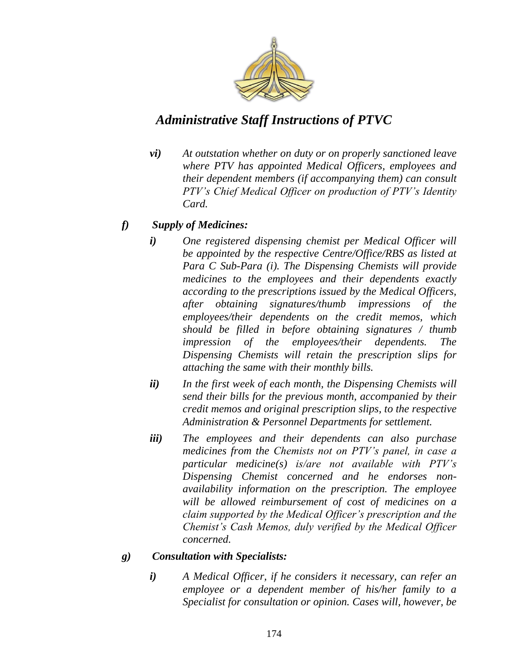

*vi) At outstation whether on duty or on properly sanctioned leave where PTV has appointed Medical Officers, employees and their dependent members (if accompanying them) can consult PTV"s Chief Medical Officer on production of PTV"s Identity Card.*

#### *f) Supply of Medicines:*

- *i) One registered dispensing chemist per Medical Officer will be appointed by the respective Centre/Office/RBS as listed at Para C Sub-Para (i). The Dispensing Chemists will provide medicines to the employees and their dependents exactly according to the prescriptions issued by the Medical Officers, after obtaining signatures/thumb impressions of the employees/their dependents on the credit memos, which should be filled in before obtaining signatures / thumb impression of the employees/their dependents. The Dispensing Chemists will retain the prescription slips for attaching the same with their monthly bills.*
- *ii) In the first week of each month, the Dispensing Chemists will send their bills for the previous month, accompanied by their credit memos and original prescription slips, to the respective Administration & Personnel Departments for settlement.*
- *iii) The employees and their dependents can also purchase medicines from the Chemists not on PTV"s panel, in case a particular medicine(s) is/are not available with PTV"s Dispensing Chemist concerned and he endorses nonavailability information on the prescription. The employee will be allowed reimbursement of cost of medicines on a claim supported by the Medical Officer"s prescription and the Chemist"s Cash Memos, duly verified by the Medical Officer concerned.*

#### *g) Consultation with Specialists:*

*i) A Medical Officer, if he considers it necessary, can refer an employee or a dependent member of his/her family to a Specialist for consultation or opinion. Cases will, however, be*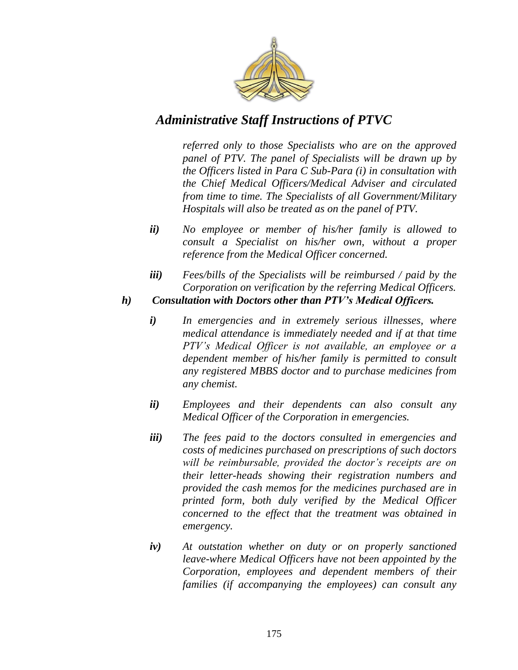

*referred only to those Specialists who are on the approved panel of PTV. The panel of Specialists will be drawn up by the Officers listed in Para C Sub-Para (i) in consultation with the Chief Medical Officers/Medical Adviser and circulated from time to time. The Specialists of all Government/Military Hospitals will also be treated as on the panel of PTV.*

- *ii) No employee or member of his/her family is allowed to consult a Specialist on his/her own, without a proper reference from the Medical Officer concerned.*
- *iii) Fees/bills of the Specialists will be reimbursed / paid by the Corporation on verification by the referring Medical Officers.*
- *h) Consultation with Doctors other than PTV's Medical Officers.*
	- *i) In emergencies and in extremely serious illnesses, where medical attendance is immediately needed and if at that time PTV"s Medical Officer is not available, an employee or a dependent member of his/her family is permitted to consult any registered MBBS doctor and to purchase medicines from any chemist.*
	- *ii) Employees and their dependents can also consult any Medical Officer of the Corporation in emergencies.*
	- *iii) The fees paid to the doctors consulted in emergencies and costs of medicines purchased on prescriptions of such doctors will be reimbursable, provided the doctor"s receipts are on their letter-heads showing their registration numbers and provided the cash memos for the medicines purchased are in printed form, both duly verified by the Medical Officer concerned to the effect that the treatment was obtained in emergency.*
	- *iv) At outstation whether on duty or on properly sanctioned leave-where Medical Officers have not been appointed by the Corporation, employees and dependent members of their families (if accompanying the employees) can consult any*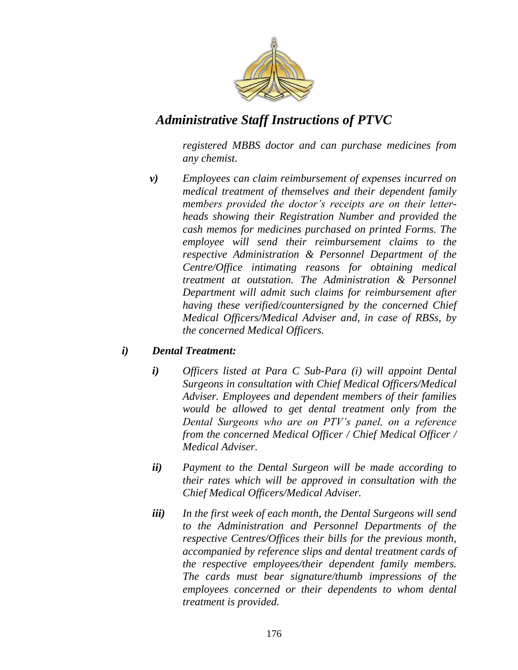

*registered MBBS doctor and can purchase medicines from any chemist.*

*v) Employees can claim reimbursement of expenses incurred on medical treatment of themselves and their dependent family members provided the doctor"s receipts are on their letterheads showing their Registration Number and provided the cash memos for medicines purchased on printed Forms. The employee will send their reimbursement claims to the respective Administration & Personnel Department of the Centre/Office intimating reasons for obtaining medical treatment at outstation. The Administration & Personnel Department will admit such claims for reimbursement after having these verified/countersigned by the concerned Chief Medical Officers/Medical Adviser and, in case of RBSs, by the concerned Medical Officers.*

#### *i) Dental Treatment:*

- *i) Officers listed at Para C Sub-Para (i) will appoint Dental Surgeons in consultation with Chief Medical Officers/Medical Adviser. Employees and dependent members of their families would be allowed to get dental treatment only from the Dental Surgeons who are on PTV"s panel, on a reference from the concerned Medical Officer / Chief Medical Officer / Medical Adviser.*
- *ii) Payment to the Dental Surgeon will be made according to their rates which will be approved in consultation with the Chief Medical Officers/Medical Adviser.*
- *iii) In the first week of each month, the Dental Surgeons will send to the Administration and Personnel Departments of the respective Centres/Offices their bills for the previous month, accompanied by reference slips and dental treatment cards of the respective employees/their dependent family members. The cards must bear signature/thumb impressions of the employees concerned or their dependents to whom dental treatment is provided.*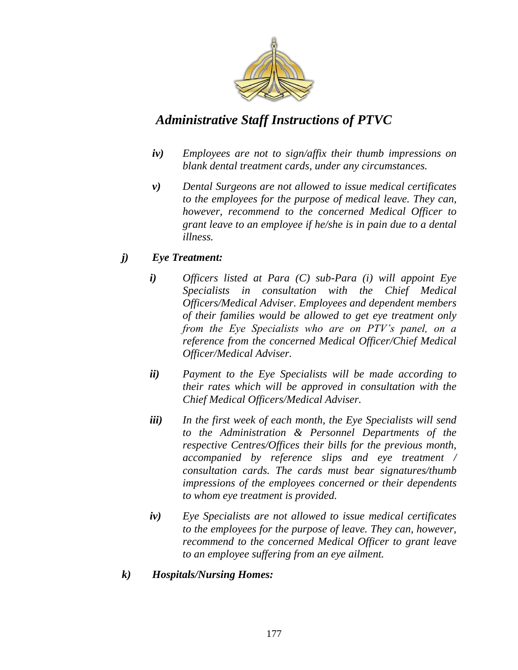

- *iv) Employees are not to sign/affix their thumb impressions on blank dental treatment cards, under any circumstances.*
- *v) Dental Surgeons are not allowed to issue medical certificates to the employees for the purpose of medical leave. They can, however, recommend to the concerned Medical Officer to grant leave to an employee if he/she is in pain due to a dental illness.*

#### *j) Eye Treatment:*

- *i) Officers listed at Para (C) sub-Para (i) will appoint Eye Specialists in consultation with the Chief Medical Officers/Medical Adviser. Employees and dependent members of their families would be allowed to get eye treatment only from the Eye Specialists who are on PTV"s panel, on a reference from the concerned Medical Officer/Chief Medical Officer/Medical Adviser.*
- *ii) Payment to the Eye Specialists will be made according to their rates which will be approved in consultation with the Chief Medical Officers/Medical Adviser.*
- *iii) In the first week of each month, the Eye Specialists will send to the Administration & Personnel Departments of the respective Centres/Offices their bills for the previous month, accompanied by reference slips and eye treatment / consultation cards. The cards must bear signatures/thumb impressions of the employees concerned or their dependents to whom eye treatment is provided.*
- *iv) Eye Specialists are not allowed to issue medical certificates to the employees for the purpose of leave. They can, however, recommend to the concerned Medical Officer to grant leave to an employee suffering from an eye ailment.*

#### *k) Hospitals/Nursing Homes:*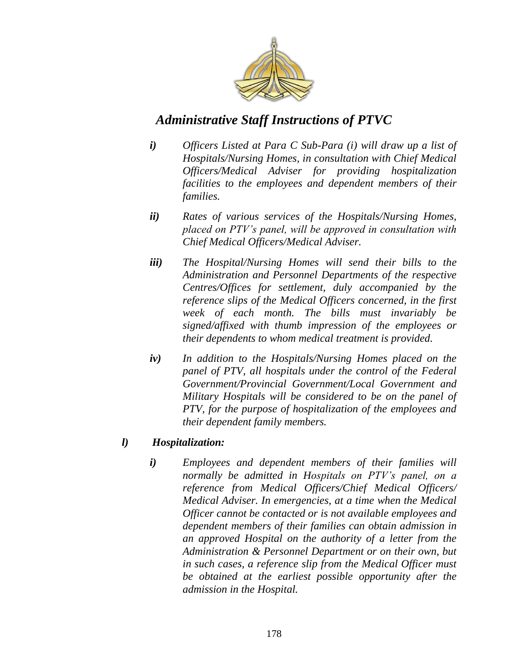

- *i) Officers Listed at Para C Sub-Para (i) will draw up a list of Hospitals/Nursing Homes, in consultation with Chief Medical Officers/Medical Adviser for providing hospitalization facilities to the employees and dependent members of their families.*
- *ii) Rates of various services of the Hospitals/Nursing Homes, placed on PTV"s panel, will be approved in consultation with Chief Medical Officers/Medical Adviser.*
- *iii) The Hospital/Nursing Homes will send their bills to the Administration and Personnel Departments of the respective Centres/Offices for settlement, duly accompanied by the reference slips of the Medical Officers concerned, in the first week of each month. The bills must invariably be signed/affixed with thumb impression of the employees or their dependents to whom medical treatment is provided.*
- *iv) In addition to the Hospitals/Nursing Homes placed on the panel of PTV, all hospitals under the control of the Federal Government/Provincial Government/Local Government and Military Hospitals will be considered to be on the panel of PTV, for the purpose of hospitalization of the employees and their dependent family members.*

#### *l) Hospitalization:*

*i) Employees and dependent members of their families will normally be admitted in Hospitals on PTV"s panel, on a reference from Medical Officers/Chief Medical Officers/ Medical Adviser. In emergencies, at a time when the Medical Officer cannot be contacted or is not available employees and dependent members of their families can obtain admission in an approved Hospital on the authority of a letter from the Administration & Personnel Department or on their own, but in such cases, a reference slip from the Medical Officer must be obtained at the earliest possible opportunity after the admission in the Hospital.*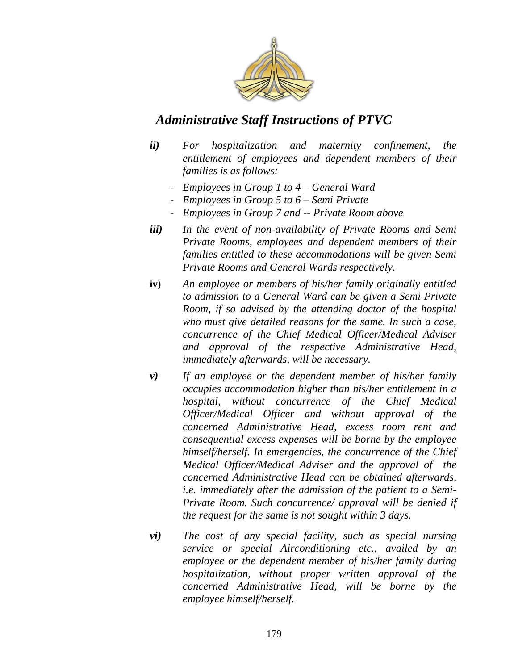

- *ii) For hospitalization and maternity confinement, the entitlement of employees and dependent members of their families is as follows:*
	- *- Employees in Group 1 to 4 – General Ward*
	- *- Employees in Group 5 to 6 – Semi Private*
	- *- Employees in Group 7 and -- Private Room above*
- *iii) In the event of non-availability of Private Rooms and Semi Private Rooms, employees and dependent members of their families entitled to these accommodations will be given Semi Private Rooms and General Wards respectively.*
- **iv)** *An employee or members of his/her family originally entitled to admission to a General Ward can be given a Semi Private Room, if so advised by the attending doctor of the hospital who must give detailed reasons for the same. In such a case, concurrence of the Chief Medical Officer/Medical Adviser and approval of the respective Administrative Head, immediately afterwards, will be necessary.*
- *v) If an employee or the dependent member of his/her family occupies accommodation higher than his/her entitlement in a hospital, without concurrence of the Chief Medical Officer/Medical Officer and without approval of the concerned Administrative Head, excess room rent and consequential excess expenses will be borne by the employee himself/herself. In emergencies, the concurrence of the Chief Medical Officer/Medical Adviser and the approval of the concerned Administrative Head can be obtained afterwards, i.e. immediately after the admission of the patient to a Semi-Private Room. Such concurrence/ approval will be denied if the request for the same is not sought within 3 days.*
- *vi) The cost of any special facility, such as special nursing service or special Airconditioning etc., availed by an employee or the dependent member of his/her family during hospitalization, without proper written approval of the concerned Administrative Head, will be borne by the employee himself/herself.*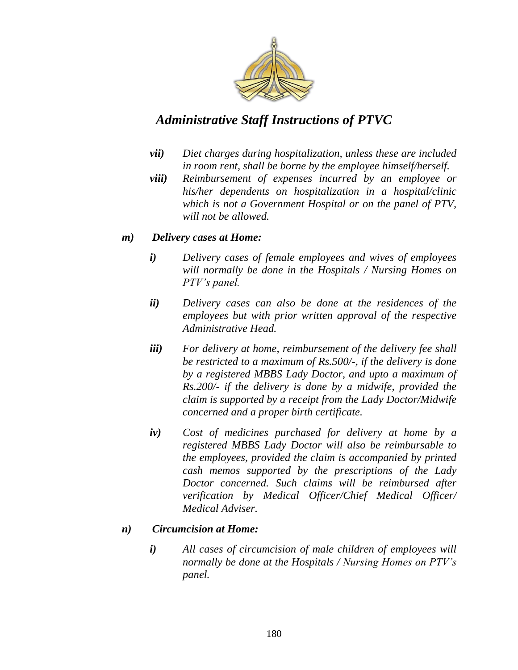

- *vii) Diet charges during hospitalization, unless these are included in room rent, shall be borne by the employee himself/herself.*
- *viii) Reimbursement of expenses incurred by an employee or his/her dependents on hospitalization in a hospital/clinic which is not a Government Hospital or on the panel of PTV, will not be allowed.*

#### *m) Delivery cases at Home:*

- *i) Delivery cases of female employees and wives of employees will normally be done in the Hospitals / Nursing Homes on PTV"s panel.*
- *ii) Delivery cases can also be done at the residences of the employees but with prior written approval of the respective Administrative Head.*
- *iii) For delivery at home, reimbursement of the delivery fee shall be restricted to a maximum of Rs.500/-, if the delivery is done by a registered MBBS Lady Doctor, and upto a maximum of Rs.200/- if the delivery is done by a midwife, provided the claim is supported by a receipt from the Lady Doctor/Midwife concerned and a proper birth certificate.*
- *iv) Cost of medicines purchased for delivery at home by a registered MBBS Lady Doctor will also be reimbursable to the employees, provided the claim is accompanied by printed cash memos supported by the prescriptions of the Lady Doctor concerned. Such claims will be reimbursed after verification by Medical Officer/Chief Medical Officer/ Medical Adviser.*

#### *n) Circumcision at Home:*

*i) All cases of circumcision of male children of employees will normally be done at the Hospitals / Nursing Homes on PTV"s panel.*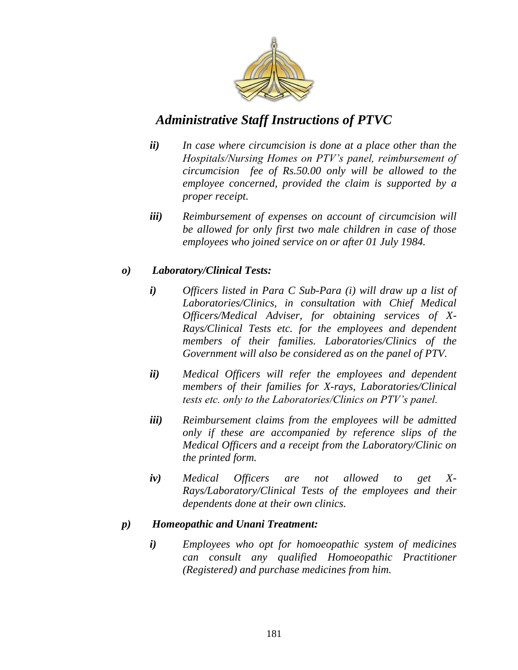

- *ii) In case where circumcision is done at a place other than the Hospitals/Nursing Homes on PTV"s panel, reimbursement of circumcision fee of Rs.50.00 only will be allowed to the employee concerned, provided the claim is supported by a proper receipt.*
- *iii) Reimbursement of expenses on account of circumcision will be allowed for only first two male children in case of those employees who joined service on or after 01 July 1984.*

#### *o) Laboratory/Clinical Tests:*

- *i) Officers listed in Para C Sub-Para (i) will draw up a list of Laboratories/Clinics, in consultation with Chief Medical Officers/Medical Adviser, for obtaining services of X-Rays/Clinical Tests etc. for the employees and dependent members of their families. Laboratories/Clinics of the Government will also be considered as on the panel of PTV.*
- *ii) Medical Officers will refer the employees and dependent members of their families for X-rays, Laboratories/Clinical tests etc. only to the Laboratories/Clinics on PTV"s panel.*
- *iii) Reimbursement claims from the employees will be admitted only if these are accompanied by reference slips of the Medical Officers and a receipt from the Laboratory/Clinic on the printed form.*
- *iv) Medical Officers are not allowed to get X-Rays/Laboratory/Clinical Tests of the employees and their dependents done at their own clinics.*

#### *p) Homeopathic and Unani Treatment:*

*i) Employees who opt for homoeopathic system of medicines can consult any qualified Homoeopathic Practitioner (Registered) and purchase medicines from him.*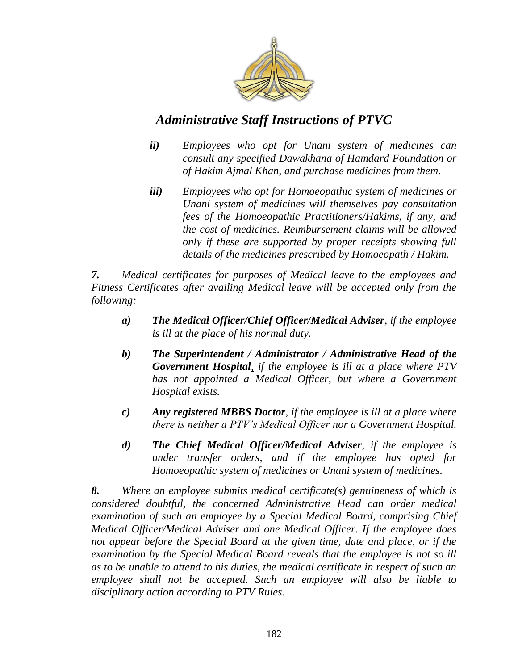

- *ii) Employees who opt for Unani system of medicines can consult any specified Dawakhana of Hamdard Foundation or of Hakim Ajmal Khan, and purchase medicines from them.*
- *iii) Employees who opt for Homoeopathic system of medicines or Unani system of medicines will themselves pay consultation fees of the Homoeopathic Practitioners/Hakims, if any, and the cost of medicines. Reimbursement claims will be allowed only if these are supported by proper receipts showing full details of the medicines prescribed by Homoeopath / Hakim.*

*7. Medical certificates for purposes of Medical leave to the employees and Fitness Certificates after availing Medical leave will be accepted only from the following:*

- *a) The Medical Officer/Chief Officer/Medical Adviser, if the employee is ill at the place of his normal duty.*
- *b) The Superintendent / Administrator / Administrative Head of the Government Hospital, if the employee is ill at a place where PTV has not appointed a Medical Officer, but where a Government Hospital exists.*
- *c) Any registered MBBS Doctor, if the employee is ill at a place where there is neither a PTV"s Medical Officer nor a Government Hospital.*
- *d) The Chief Medical Officer/Medical Adviser, if the employee is under transfer orders, and if the employee has opted for Homoeopathic system of medicines or Unani system of medicines.*

*8. Where an employee submits medical certificate(s) genuineness of which is considered doubtful, the concerned Administrative Head can order medical examination of such an employee by a Special Medical Board, comprising Chief Medical Officer/Medical Adviser and one Medical Officer. If the employee does not appear before the Special Board at the given time, date and place, or if the examination by the Special Medical Board reveals that the employee is not so ill as to be unable to attend to his duties, the medical certificate in respect of such an employee shall not be accepted. Such an employee will also be liable to disciplinary action according to PTV Rules.*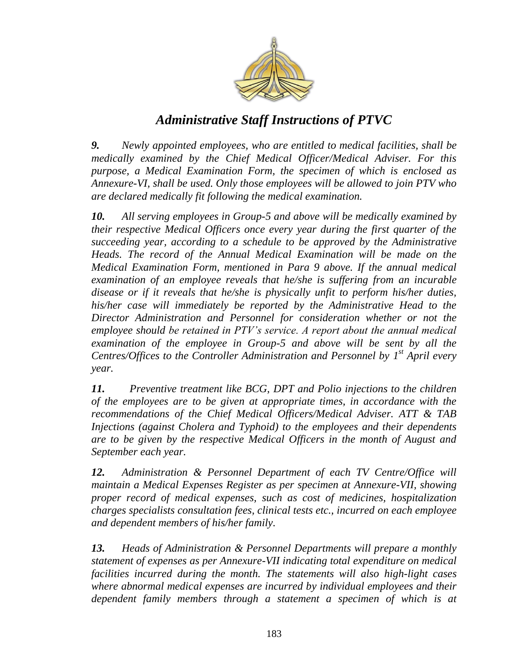

*9. Newly appointed employees, who are entitled to medical facilities, shall be medically examined by the Chief Medical Officer/Medical Adviser. For this purpose, a Medical Examination Form, the specimen of which is enclosed as Annexure-VI, shall be used. Only those employees will be allowed to join PTV who are declared medically fit following the medical examination.*

*10. All serving employees in Group-5 and above will be medically examined by their respective Medical Officers once every year during the first quarter of the succeeding year, according to a schedule to be approved by the Administrative Heads. The record of the Annual Medical Examination will be made on the Medical Examination Form, mentioned in Para 9 above. If the annual medical examination of an employee reveals that he/she is suffering from an incurable disease or if it reveals that he/she is physically unfit to perform his/her duties, his/her case will immediately be reported by the Administrative Head to the Director Administration and Personnel for consideration whether or not the employee should be retained in PTV"s service. A report about the annual medical examination of the employee in Group-5 and above will be sent by all the Centres/Offices to the Controller Administration and Personnel by 1 st April every year.*

*11. Preventive treatment like BCG, DPT and Polio injections to the children of the employees are to be given at appropriate times, in accordance with the recommendations of the Chief Medical Officers/Medical Adviser. ATT & TAB Injections (against Cholera and Typhoid) to the employees and their dependents are to be given by the respective Medical Officers in the month of August and September each year.*

*12. Administration & Personnel Department of each TV Centre/Office will maintain a Medical Expenses Register as per specimen at Annexure-VII, showing proper record of medical expenses, such as cost of medicines, hospitalization charges specialists consultation fees, clinical tests etc., incurred on each employee and dependent members of his/her family.*

*13. Heads of Administration & Personnel Departments will prepare a monthly statement of expenses as per Annexure-VII indicating total expenditure on medical facilities incurred during the month. The statements will also high-light cases where abnormal medical expenses are incurred by individual employees and their dependent family members through a statement a specimen of which is at*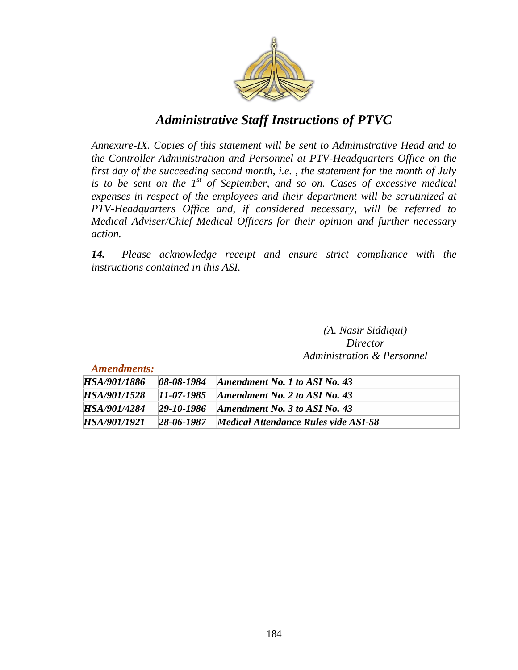

*Annexure-IX. Copies of this statement will be sent to Administrative Head and to the Controller Administration and Personnel at PTV-Headquarters Office on the first day of the succeeding second month, i.e. , the statement for the month of July is to be sent on the 1st of September, and so on. Cases of excessive medical expenses in respect of the employees and their department will be scrutinized at PTV-Headquarters Office and, if considered necessary, will be referred to Medical Adviser/Chief Medical Officers for their opinion and further necessary action.*

*14. Please acknowledge receipt and ensure strict compliance with the instructions contained in this ASI.*

> *(A. Nasir Siddiqui) Director Administration & Personnel*

*Amendments:*

| <i>HSA/901/1886</i> | $08 - 08 - 1984$ | Amendment No. 1 to ASI No. 43        |
|---------------------|------------------|--------------------------------------|
| HSA/901/1528        | $11 - 07 - 1985$ | Amendment No. 2 to ASI No. 43        |
| <i>HSA/901/4284</i> | $29 - 10 - 1986$ | Amendment No. 3 to ASI No. 43        |
| HSA/901/1921        | $28 - 06 - 1987$ | Medical Attendance Rules vide ASI-58 |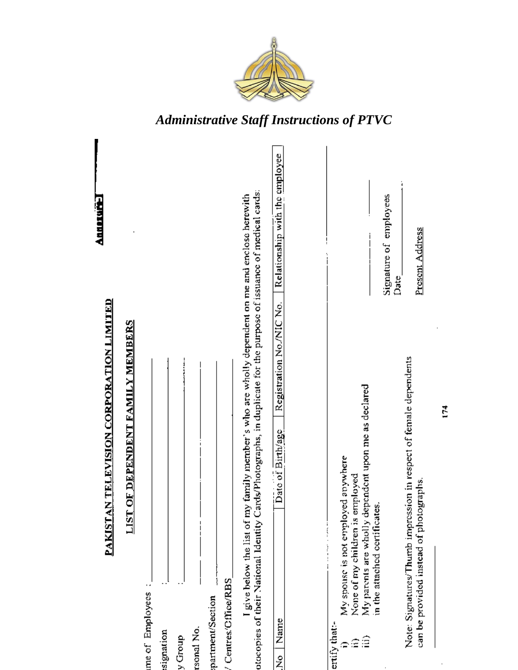

| AN TELEVISION CORPORATION LIMITED<br>PAKIST                                                                                                                                                                                 | Announce                       |
|-----------------------------------------------------------------------------------------------------------------------------------------------------------------------------------------------------------------------------|--------------------------------|
| <b>LIST OF DEPENDENT FAMILY MEMBERS</b>                                                                                                                                                                                     |                                |
| me of Employees:                                                                                                                                                                                                            |                                |
| signation                                                                                                                                                                                                                   |                                |
| y Group                                                                                                                                                                                                                     |                                |
| rsonal No.                                                                                                                                                                                                                  |                                |
| partment/Section                                                                                                                                                                                                            |                                |
| Centres/Cffice/RBS                                                                                                                                                                                                          |                                |
| Cards/Photographs, in duplicate for the purpose of issuance of medical cards:<br>my family member's who are wholly dependent on me and enclose herewith<br>otocopies of their National Identity<br>I give below the list of |                                |
| Registration No./NIC No.<br>Date of Birth/age<br>Name<br>ż                                                                                                                                                                  | Relationship with the employee |
|                                                                                                                                                                                                                             |                                |
| ertify that:-                                                                                                                                                                                                               |                                |
| My parents are wholly dependent upon me as declared<br>My spouse is not employed apywhere<br>employed<br>None of my children is<br>€<br>Ξ                                                                                   |                                |
| in the attached certificates.                                                                                                                                                                                               |                                |
|                                                                                                                                                                                                                             | Signature of employees<br>Date |
| Note: Signatures/Thumb impression in respect of female dependents<br>can be provided instead of photographs.                                                                                                                | Present Address                |
|                                                                                                                                                                                                                             |                                |
| Ě                                                                                                                                                                                                                           |                                |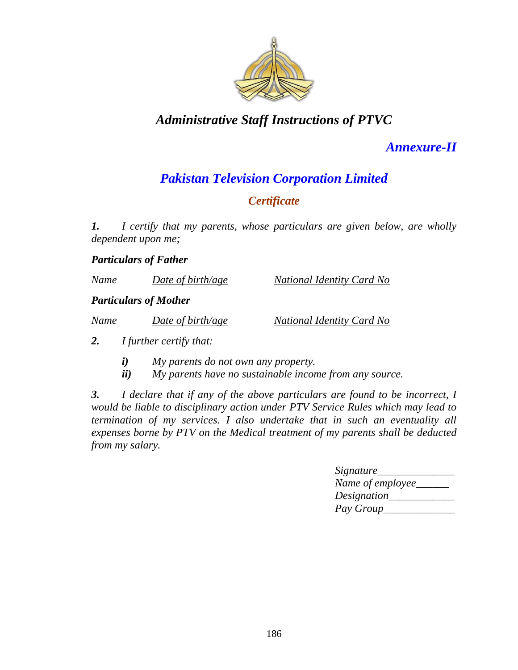

# *Annexure-II*

# *Pakistan Television Corporation Limited*

### *Certificate*

*1. I certify that my parents, whose particulars are given below, are wholly dependent upon me;*

*Particulars of Father*

| Name | Date of birth/age | National Identity Card No |
|------|-------------------|---------------------------|
|      |                   |                           |

#### *Particulars of Mother*

| Name | Date of birth/age | National Identity Card No |
|------|-------------------|---------------------------|
|      |                   |                           |

*2. I further certify that:*

- *i) My parents do not own any property.*
- *ii) My parents have no sustainable income from any source.*

*3. I declare that if any of the above particulars are found to be incorrect, I would be liable to disciplinary action under PTV Service Rules which may lead to termination of my services. I also undertake that in such an eventuality all expenses borne by PTV on the Medical treatment of my parents shall be deducted from my salary.*

| <i>Signature</i>   |  |
|--------------------|--|
| Name of employee_  |  |
| <i>Designation</i> |  |
| Pay Group          |  |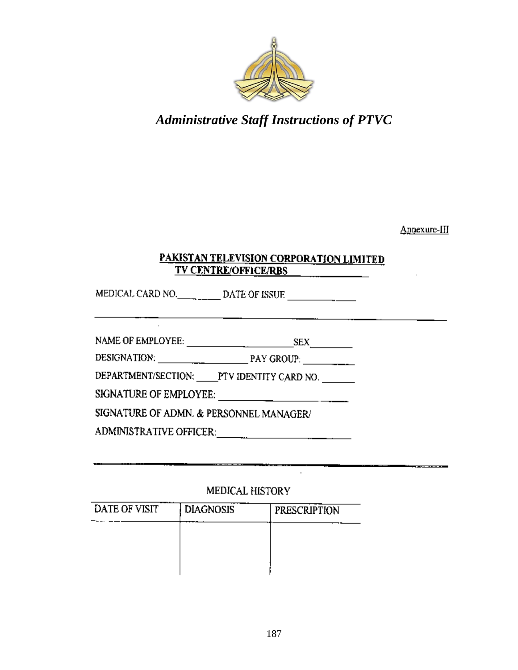

Annexure-III

### PAKISTAN TELEVISION CORPORATION LIMITED TV CENTRE/OFFICE/RBS

 $\mathcal{A}^{\mathcal{A}}$ 

MEDICAL CARD NO.  $\qquad \qquad$  DATE OF ISSUE

DEPARTMENT/SECTION: \_\_\_\_PTV IDENTITY CARD NO. \_\_\_\_\_\_\_

SIGNATURE OF EMPLOYEE:  $\frac{1}{\sqrt{1-\frac{1}{2}}\sqrt{1-\frac{1}{2}}\sqrt{1-\frac{1}{2}}}}$ 

SIGNATURE OF ADMN. & PERSONNEL MANAGER/

#### MEDICAL HISTORY

| DATE OF VISIT | <b>DIAGNOSIS</b> | <b>PRESCRIPTION</b> |
|---------------|------------------|---------------------|
|               |                  |                     |
|               |                  |                     |
|               |                  |                     |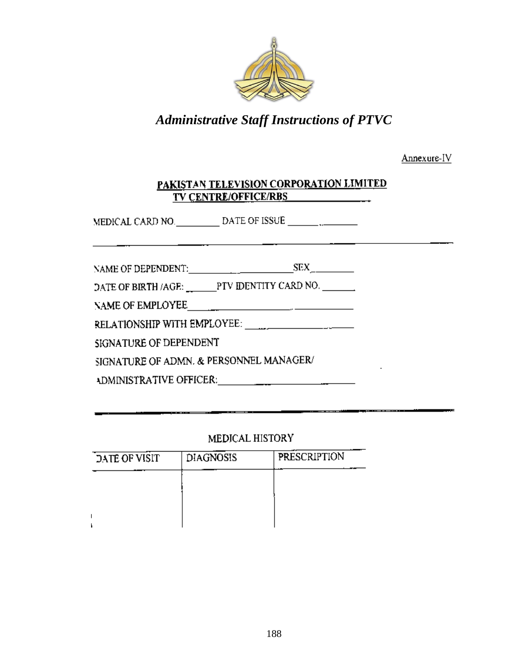

Annexure-IV

#### PAKISTAN TELEVISION CORPORATION LIMITED **TV CENTRE/OFFICE/RBS**

|  | NAME OF DEPENDENT: | SEX |
|--|--------------------|-----|
|--|--------------------|-----|

DATE OF BIRTH /AGE: \_\_\_\_\_\_\_PTV IDENTITY CARD NO. \_\_\_\_\_\_\_

SIGNATURE OF DEPENDENT

SIGNATURE OF ADMN. & PERSONNEL MANAGER/

ADMINISTRATIVE OFFICER: Production of the set of the set of the set of the set of the set of the set of the set of the set of the set of the set of the set of the set of the set of the set of the set of the set of the set

#### MEDICAL HISTORY

| DATE OF VISIT | <b>DIAGNOSIS</b> | <b>PRESCRIPTION</b> |
|---------------|------------------|---------------------|
|               |                  |                     |
|               |                  |                     |
|               |                  |                     |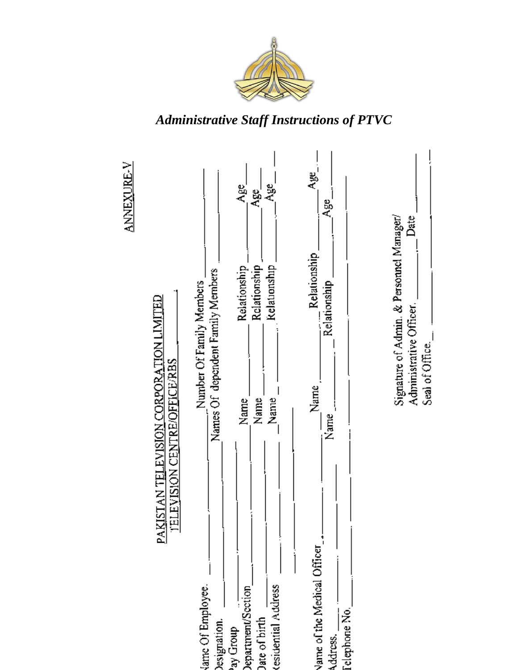

**ANNEXURE-V** Age<br>< ag<br>C ક્ષ્ Age'  $\mathbf{A}^{\mathrm{ge}}_{\mathrm{g}}$ Date Signature of Admin. & Personnel Manager/ Relationship Relationship Relationship Relationship Names Of dependent Family Members Number Of Family Members Relationship PAKISTAN TELEVISION CORPORATION LIMITED Administrative Officer. Seal of Office. <u>TELEVISION CENTRE/OFFICE/RBS</u> Name<sub>.</sub>  $\overline{\phantom{a}}$ Nanue Name\_ Name Name<sub>.</sub> Vame of the Medical Officer lame Of Employee. Jate of birth<br>
tesidential Address lepartment/Section Address. \_\_\_\_.<br>Telephone No.\_ besignation. quorp Gr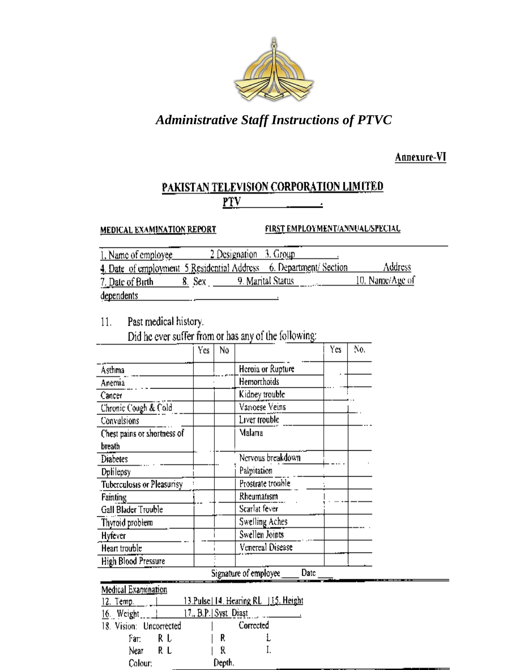

Annexure-VI

#### PAKISTAN TELEVISION CORPORATION LIMITED  $PTV$ Ŀ

**MEDICAL EXAMINATION REPORT** 

FIRST EMPLOYMENT/ANNUAL/SPECIAL

| 1. Name of employee |                          | 2 Designation 3. Group                                             |                 |
|---------------------|--------------------------|--------------------------------------------------------------------|-----------------|
|                     |                          | 4. Date of employment 5 Residential Address 6. Department/ Section | Address         |
| 7. Date of Birth    | 8. Sex. 9. Maπtal Status | the contract of the contract of the                                | 10. Name/Age of |
| dependents          |                          |                                                                    |                 |

Past medical history.  $11.$ 

Colour:

Did he ever suffer from or has any of the following:

|                             | Yes                  | N٥ |                                        | Yes | No. |
|-----------------------------|----------------------|----|----------------------------------------|-----|-----|
| Asthma                      |                      |    | Heroia or Rupture                      |     |     |
| Anemia                      |                      |    | Hemorrhoids                            |     |     |
| Cancer                      |                      |    | Kidney trouble                         |     |     |
| Chronic Cough & Cold        |                      |    | Varioese Veins                         |     |     |
| Convulsions                 |                      |    | Liver trouble                          |     |     |
| Chest pains or shortness of |                      |    | Malana                                 |     |     |
| breath                      |                      |    |                                        |     |     |
| <b>Diabetes</b>             |                      |    | Nervous breakdown                      |     |     |
| Dplilepsy                   |                      |    | Palpitation                            |     |     |
| Tuberculosis or Pleasurisy  |                      |    | Prostrate trouble                      |     |     |
| <b>Fainting</b>             |                      |    | Rheumatism                             |     |     |
| Gall Blader Trouble         |                      |    | Scarlat fever                          |     |     |
| Thyroid problem             |                      |    | Swelling Aches                         |     |     |
| Hyfever                     |                      |    | Swellen Joints                         |     |     |
| Heart trouble               |                      |    | Venereal Disease                       |     |     |
| High Blood Pressure         |                      |    |                                        |     |     |
|                             |                      |    | Signature of employee<br>Date          |     |     |
| Medical Examination         |                      |    |                                        |     |     |
| 12. Temp.                   |                      |    | 13.Pulse   14. Hearing RL   15. Height |     |     |
| 16. Weight                  | 17 B.P.   Syst_Diast |    |                                        |     |     |
| 18. Vision: Uncorrected     |                      |    | Corrected                              |     |     |
| RΙ<br>Fат:                  |                      | R  |                                        |     |     |
| RL<br>Near                  |                      | Ŕ  |                                        |     |     |

Depth.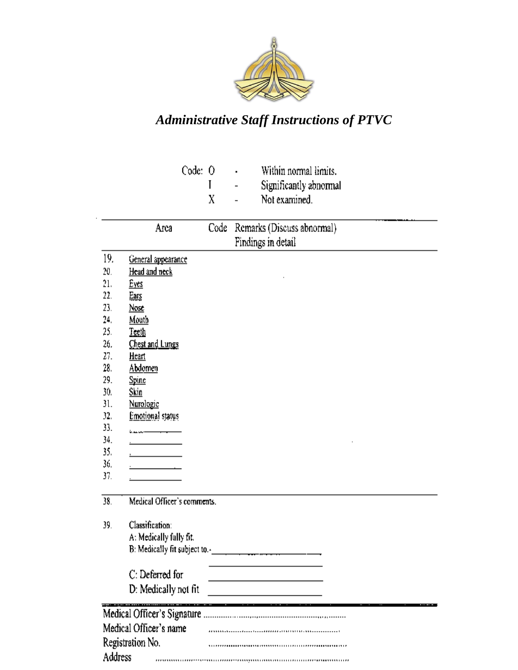

|         |                             | Code: O |      | Within normal limits.      |
|---------|-----------------------------|---------|------|----------------------------|
|         |                             |         | L    | Significantly abnormal     |
|         |                             |         | X    | Not examined.              |
|         |                             |         |      |                            |
|         | Arca                        |         | Code | Remarks (Discuss abnormal) |
|         |                             |         |      | Findings in detail         |
| 19.     | General appearance          |         |      |                            |
| 20.     | <u>Head and neck</u>        |         |      |                            |
| 21.     | <u>Eyes</u>                 |         |      |                            |
| 22.     | Ears                        |         |      |                            |
| 23.     | Nosc                        |         |      |                            |
| 24.     | <u>Mouth</u>                |         |      |                            |
| 25.     | Teeth                       |         |      |                            |
| 26,     | Chest and Lungs             |         |      |                            |
| 27.     | <u>Heart</u>                |         |      |                            |
| 28.     | Abdomen                     |         |      |                            |
| 29.     | <b>Spine</b>                |         |      |                            |
| 30.     | <u>Skin</u>                 |         |      |                            |
| 31.     | Nurologic                   |         |      |                            |
| 32.     | Emotional status            |         |      |                            |
| 33.     |                             |         |      |                            |
| 34.     |                             |         |      |                            |
| 35.     |                             |         |      |                            |
| 36,     |                             |         |      |                            |
| 37.     |                             |         |      |                            |
| 38.     | Medical Officer's comments. |         |      |                            |
|         |                             |         |      |                            |
| 39.     | Classification:             |         |      |                            |
|         | A: Medically fully fit.     |         |      |                            |
|         |                             |         |      |                            |
|         | C: Deferred for             |         |      |                            |
|         | D: Medically not fit        |         |      |                            |
|         |                             |         |      |                            |
|         |                             |         |      |                            |
|         | Medical Officer's name      |         |      |                            |
|         | Registration No.            |         |      |                            |
|         |                             |         |      |                            |
| Address |                             |         |      |                            |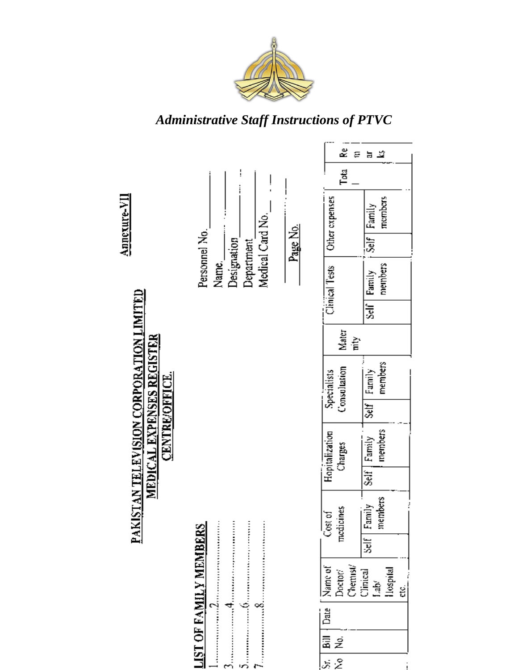

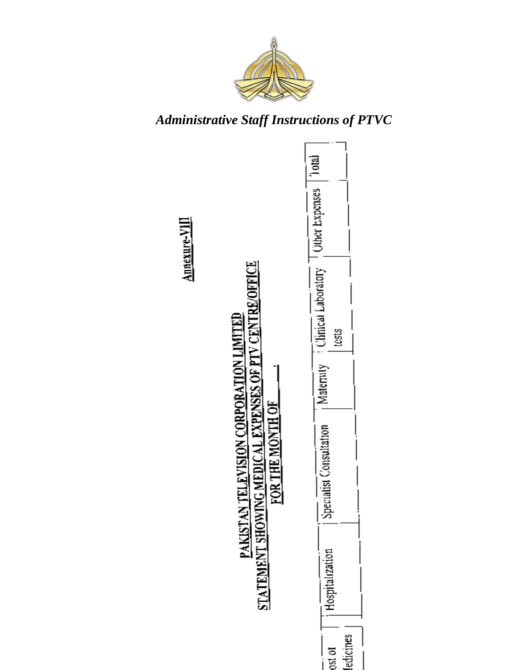

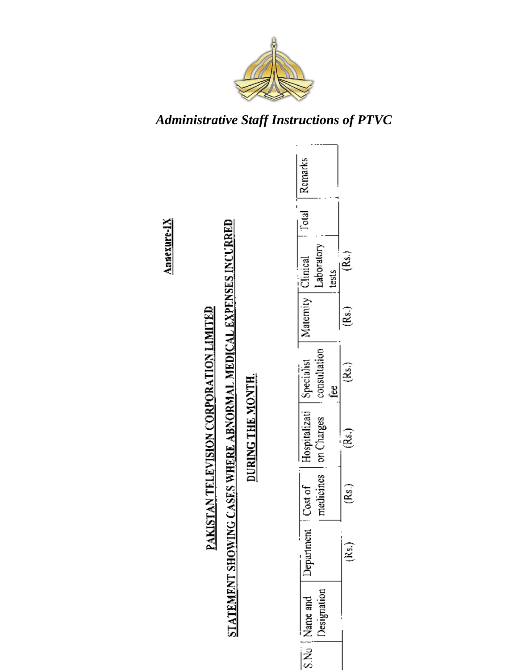

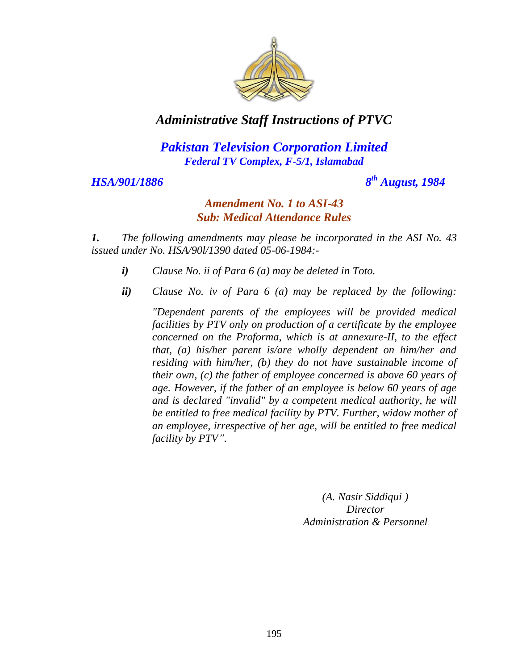

### *Pakistan Television Corporation Limited Federal TV Complex, F-5/1, Islamabad*

#### *HSA/901/1886*

*th August, 1984*

#### *Amendment No. 1 to ASI-43 Sub: Medical Attendance Rules*

*1. The following amendments may please be incorporated in the ASI No. 43 issued under No. HSA/90l/1390 dated 05-06-1984:-*

- *i) Clause No. ii of Para 6 (a) may be deleted in Toto.*
- *ii) Clause No. iv of Para 6 (a) may be replaced by the following:*

*"Dependent parents of the employees will be provided medical facilities by PTV only on production of a certificate by the employee concerned on the Proforma, which is at annexure-II, to the effect that, (a) his/her parent is/are wholly dependent on him/her and residing with him/her, (b) they do not have sustainable income of their own, (c) the father of employee concerned is above 60 years of age. However, if the father of an employee is below 60 years of age and is declared "invalid" by a competent medical authority, he will be entitled to free medical facility by PTV. Further, widow mother of an employee, irrespective of her age, will be entitled to free medical facility by PTV".*

> *(A. Nasir Siddiqui ) Director Administration & Personnel*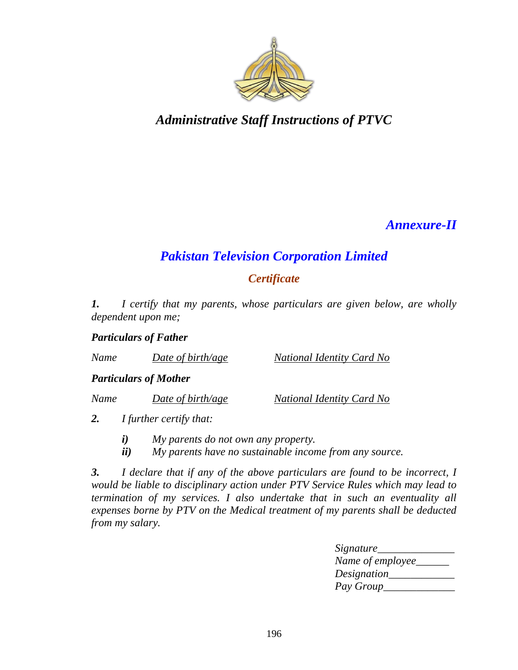

# *Annexure-II*

# *Pakistan Television Corporation Limited*

### *Certificate*

*1. I certify that my parents, whose particulars are given below, are wholly dependent upon me;*

#### *Particulars of Father*

*Name Date of birth/age National Identity Card No*

#### *Particulars of Mother*

*Name Date of birth/age National Identity Card No*

*2. I further certify that:*

- *i) My parents do not own any property.*
- *ii) My parents have no sustainable income from any source.*

*3. I declare that if any of the above particulars are found to be incorrect, I would be liable to disciplinary action under PTV Service Rules which may lead to termination of my services. I also undertake that in such an eventuality all expenses borne by PTV on the Medical treatment of my parents shall be deducted from my salary.*

| <i>Signature</i> |  |
|------------------|--|
| Name of employee |  |
| Designation      |  |
| Pay Group        |  |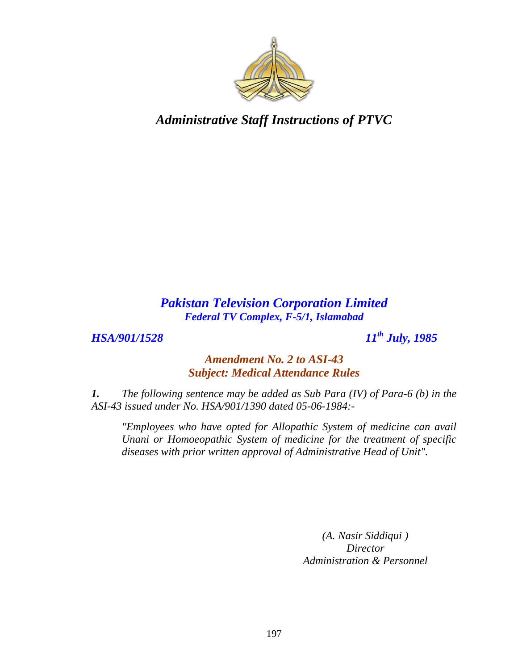

### *Pakistan Television Corporation Limited Federal TV Complex, F-5/1, Islamabad*

*HSA/901/1528 11th July, 1985*

#### *Amendment No. 2 to ASI-43 Subject: Medical Attendance Rules*

*1. The following sentence may be added as Sub Para (IV) of Para-6 (b) in the ASI-43 issued under No. HSA/901/1390 dated 05-06-1984:-*

*"Employees who have opted for Allopathic System of medicine can avail Unani or Homoeopathic System of medicine for the treatment of specific diseases with prior written approval of Administrative Head of Unit".*

> *(A. Nasir Siddiqui ) Director Administration & Personnel*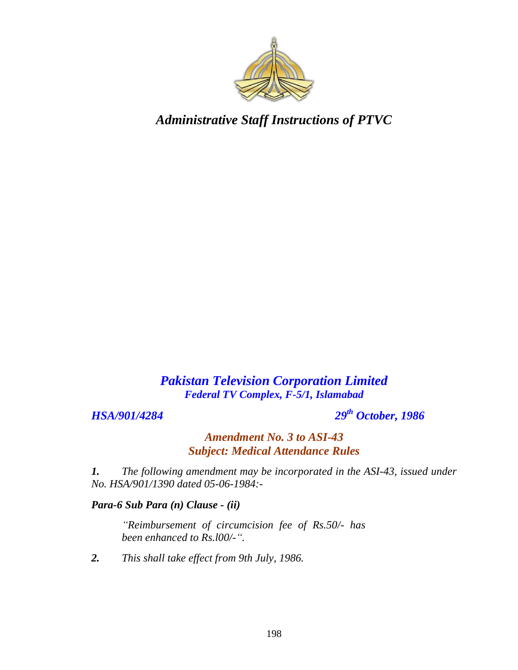

### *Pakistan Television Corporation Limited Federal TV Complex, F-5/1, Islamabad*

*HSA/901/4284 29th October, 1986*

*Amendment No. 3 to ASI-43 Subject: Medical Attendance Rules*

*1. The following amendment may be incorporated in the ASI-43, issued under No. HSA/901/1390 dated 05-06-1984:-*

#### *Para-6 Sub Para (n) Clause - (ii)*

*"Reimbursement of circumcision fee of Rs.50/- has been enhanced to Rs.l00/-".*

*2. This shall take effect from 9th July, 1986.*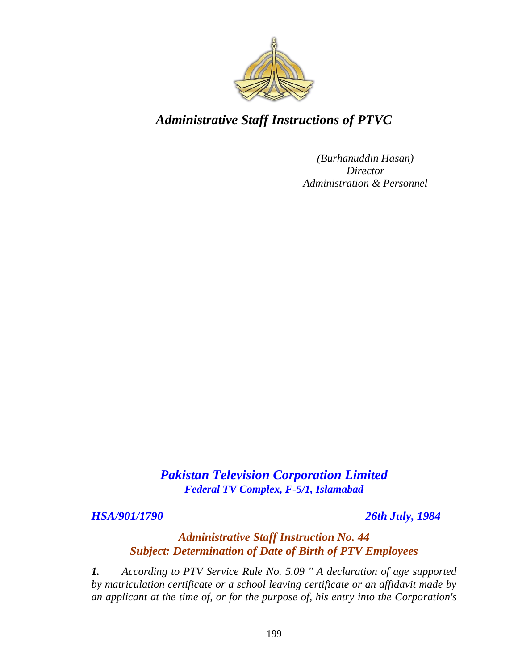

*(Burhanuddin Hasan) Director Administration & Personnel*

*Pakistan Television Corporation Limited Federal TV Complex, F-5/1, Islamabad*

*HSA/901/1790 26th July, 1984*

#### *Administrative Staff Instruction No. 44 Subject: Determination of Date of Birth of PTV Employees*

*1. According to PTV Service Rule No. 5.09 " A declaration of age supported by matriculation certificate or a school leaving certificate or an affidavit made by an applicant at the time of, or for the purpose of, his entry into the Corporation's*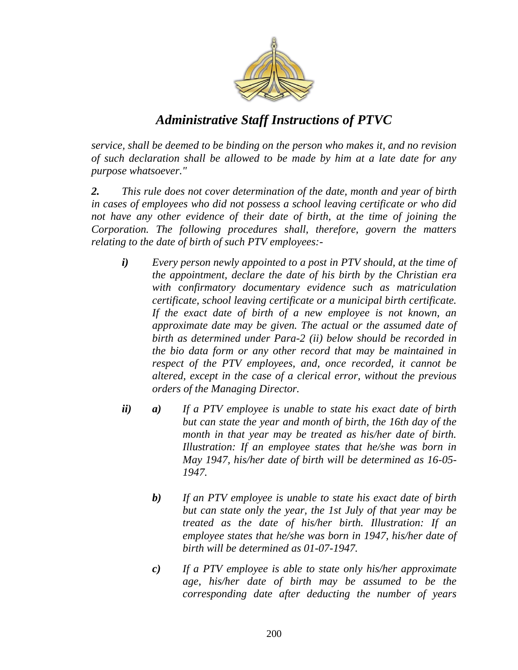

*service, shall be deemed to be binding on the person who makes it, and no revision of such declaration shall be allowed to be made by him at a late date for any purpose whatsoever."*

*2. This rule does not cover determination of the date, month and year of birth in cases of employees who did not possess a school leaving certificate or who did not have any other evidence of their date of birth, at the time of joining the Corporation. The following procedures shall, therefore, govern the matters relating to the date of birth of such PTV employees:-*

- *i) Every person newly appointed to a post in PTV should, at the time of the appointment, declare the date of his birth by the Christian era with confirmatory documentary evidence such as matriculation certificate, school leaving certificate or a municipal birth certificate. If the exact date of birth of a new employee is not known, an approximate date may be given. The actual or the assumed date of birth as determined under Para-2 (ii) below should be recorded in the bio data form or any other record that may be maintained in respect of the PTV employees, and, once recorded, it cannot be altered, except in the case of a clerical error, without the previous orders of the Managing Director.*
- *ii) a) If a PTV employee is unable to state his exact date of birth but can state the year and month of birth, the 16th day of the month in that year may be treated as his/her date of birth. Illustration: If an employee states that he/she was born in May 1947, his/her date of birth will be determined as 16-05- 1947.* 
	- *b) If an PTV employee is unable to state his exact date of birth but can state only the year, the 1st July of that year may be treated as the date of his/her birth. Illustration: If an employee states that he/she was born in 1947, his/her date of birth will be determined as 01-07-1947.*
	- *c) If a PTV employee is able to state only his/her approximate age, his/her date of birth may be assumed to be the corresponding date after deducting the number of years*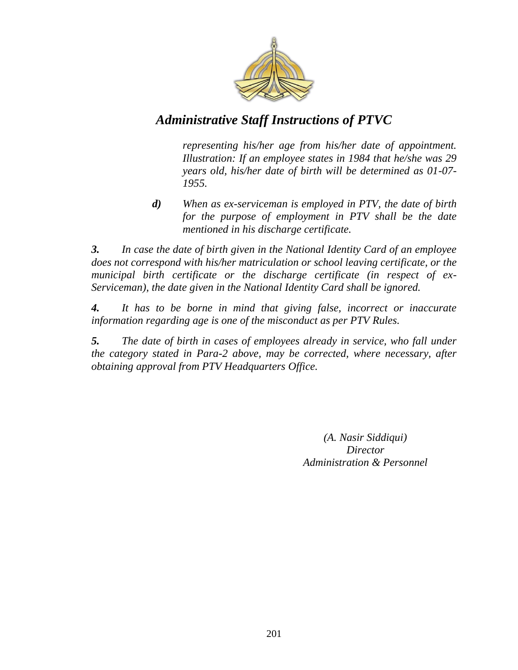

*representing his/her age from his/her date of appointment. Illustration: If an employee states in 1984 that he/she was 29 years old, his/her date of birth will be determined as 01-07- 1955.*

*d) When as ex-serviceman is employed in PTV, the date of birth for the purpose of employment in PTV shall be the date mentioned in his discharge certificate.* 

*3. In case the date of birth given in the National Identity Card of an employee does not correspond with his/her matriculation or school leaving certificate, or the municipal birth certificate or the discharge certificate (in respect of ex-Serviceman), the date given in the National Identity Card shall be ignored.* 

*4. It has to be borne in mind that giving false, incorrect or inaccurate information regarding age is one of the misconduct as per PTV Rules.* 

*5. The date of birth in cases of employees already in service, who fall under the category stated in Para-2 above, may be corrected, where necessary, after obtaining approval from PTV Headquarters Office.*

> *(A. Nasir Siddiqui) Director Administration & Personnel*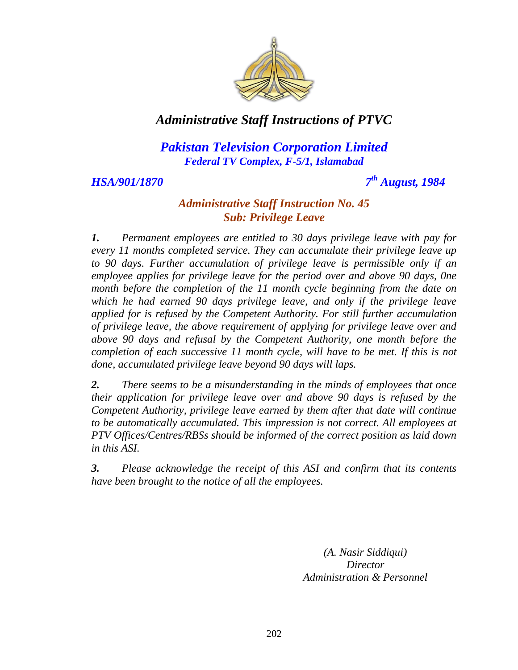

### *Pakistan Television Corporation Limited Federal TV Complex, F-5/1, Islamabad*

*HSA/901/1870* 

*th August, 1984*

#### *Administrative Staff Instruction No. 45 Sub: Privilege Leave*

*1. Permanent employees are entitled to 30 days privilege leave with pay for every 11 months completed service. They can accumulate their privilege leave up to 90 days. Further accumulation of privilege leave is permissible only if an employee applies for privilege leave for the period over and above 90 days, 0ne month before the completion of the 11 month cycle beginning from the date on which he had earned 90 days privilege leave, and only if the privilege leave applied for is refused by the Competent Authority. For still further accumulation of privilege leave, the above requirement of applying for privilege leave over and above 90 days and refusal by the Competent Authority, one month before the completion of each successive 11 month cycle, will have to be met. If this is not done, accumulated privilege leave beyond 90 days will laps.*

*2. There seems to be a misunderstanding in the minds of employees that once their application for privilege leave over and above 90 days is refused by the Competent Authority, privilege leave earned by them after that date will continue to be automatically accumulated. This impression is not correct. All employees at PTV Offices/Centres/RBSs should be informed of the correct position as laid down in this ASI.* 

*3. Please acknowledge the receipt of this ASI and confirm that its contents have been brought to the notice of all the employees.*

> *(A. Nasir Siddiqui) Director Administration & Personnel*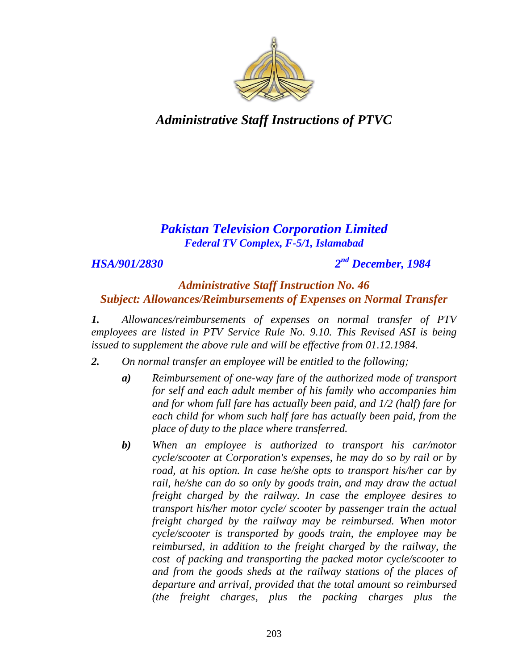

### *Pakistan Television Corporation Limited Federal TV Complex, F-5/1, Islamabad*

#### *HSA/901/2830 2*

# *nd December, 1984*

#### *Administrative Staff Instruction No. 46 Subject: Allowances/Reimbursements of Expenses on Normal Transfer*

*1. Allowances/reimbursements of expenses on normal transfer of PTV employees are listed in PTV Service Rule No. 9.10. This Revised ASI is being issued to supplement the above rule and will be effective from 01.12.1984.*

- *2. On normal transfer an employee will be entitled to the following;*
	- *a) Reimbursement of one-way fare of the authorized mode of transport for self and each adult member of his family who accompanies him and for whom full fare has actually been paid, and 1/2 (half) fare for each child for whom such half fare has actually been paid, from the place of duty to the place where transferred.*
	- *b) When an employee is authorized to transport his car/motor cycle/scooter at Corporation's expenses, he may do so by rail or by road, at his option. In case he/she opts to transport his/her car by rail, he/she can do so only by goods train, and may draw the actual freight charged by the railway. In case the employee desires to transport his/her motor cycle/ scooter by passenger train the actual freight charged by the railway may be reimbursed. When motor cycle/scooter is transported by goods train, the employee may be reimbursed, in addition to the freight charged by the railway, the cost of packing and transporting the packed motor cycle/scooter to and from the goods sheds at the railway stations of the places of departure and arrival, provided that the total amount so reimbursed (the freight charges, plus the packing charges plus the*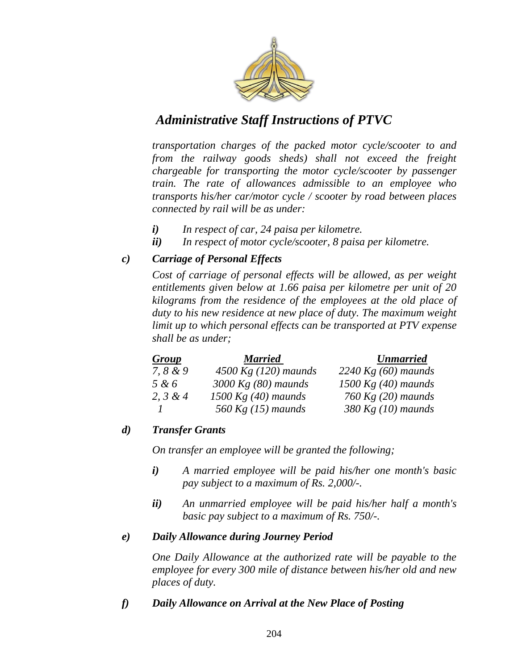

*transportation charges of the packed motor cycle/scooter to and from the railway goods sheds) shall not exceed the freight chargeable for transporting the motor cycle/scooter by passenger train. The rate of allowances admissible to an employee who transports his/her car/motor cycle / scooter by road between places connected by rail will be as under:*

- *i) In respect of car, 24 paisa per kilometre.*
- *ii) In respect of motor cycle/scooter, 8 paisa per kilometre.*

#### *c) Carriage of Personal Effects*

*Cost of carriage of personal effects will be allowed, as per weight entitlements given below at 1.66 paisa per kilometre per unit of 20 kilograms from the residence of the employees at the old place of duty to his new residence at new place of duty. The maximum weight limit up to which personal effects can be transported at PTV expense shall be as under;*

| Group      | <b>Married</b>         | <b>Unmarried</b>      |
|------------|------------------------|-----------------------|
| 7, $8 & 9$ | 4500 Kg $(120)$ maunds | 2240 Kg $(60)$ maunds |
| 5 & 6      | $3000$ Kg (80) maunds  | 1500 Kg $(40)$ maunds |
| 2, $3 & 4$ | 1500 Kg $(40)$ maunds  | 760 Kg $(20)$ maunds  |
|            | 560 Kg $(15)$ maunds   | 380 Kg $(10)$ maunds  |

#### *d) Transfer Grants*

*On transfer an employee will be granted the following;*

- *i) A married employee will be paid his/her one month's basic pay subject to a maximum of Rs. 2,000/-.*
- *ii) An unmarried employee will be paid his/her half a month's basic pay subject to a maximum of Rs. 750/-.*

#### *e) Daily Allowance during Journey Period*

*One Daily Allowance at the authorized rate will be payable to the employee for every 300 mile of distance between his/her old and new places of duty.* 

#### *f) Daily Allowance on Arrival at the New Place of Posting*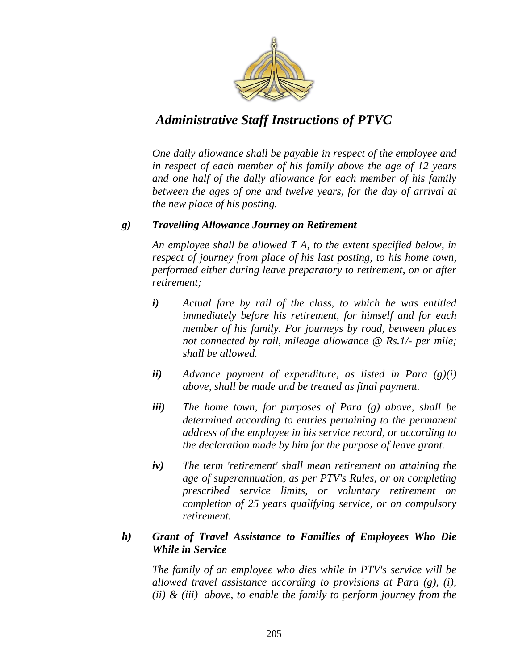

*One daily allowance shall be payable in respect of the employee and in respect of each member of his family above the age of 12 years and one half of the dally allowance for each member of his family between the ages of one and twelve years, for the day of arrival at the new place of his posting.* 

#### *g) Travelling Allowance Journey on Retirement*

*An employee shall be allowed T A, to the extent specified below, in respect of journey from place of his last posting, to his home town, performed either during leave preparatory to retirement, on or after retirement;*

- *i) Actual fare by rail of the class, to which he was entitled immediately before his retirement, for himself and for each member of his family. For journeys by road, between places not connected by rail, mileage allowance @ Rs.1/- per mile; shall be allowed.*
- *ii) Advance payment of expenditure, as listed in Para (g)(i) above, shall be made and be treated as final payment.*
- *iii) The home town, for purposes of Para (g) above, shall be determined according to entries pertaining to the permanent address of the employee in his service record, or according to the declaration made by him for the purpose of leave grant.*
- *iv) The term 'retirement' shall mean retirement on attaining the age of superannuation, as per PTV's Rules, or on completing prescribed service limits, or voluntary retirement on completion of 25 years qualifying service, or on compulsory retirement.*

#### *h) Grant of Travel Assistance to Families of Employees Who Die While in Service*

*The family of an employee who dies while in PTV's service will be allowed travel assistance according to provisions at Para (g), (i), (ii) & (iii) above, to enable the family to perform journey from the*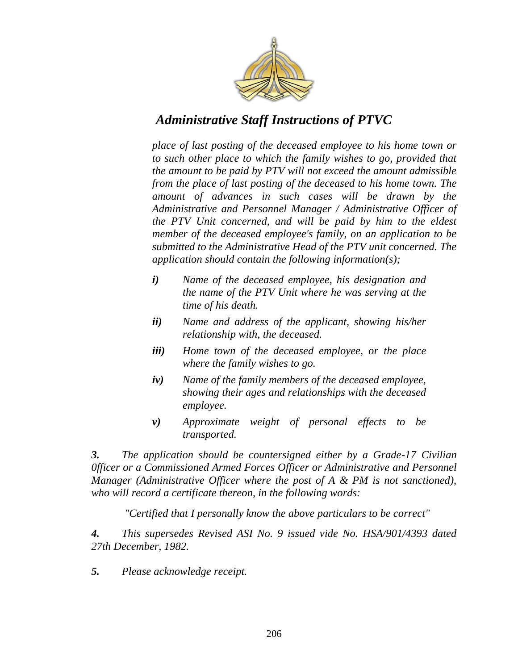

*place of last posting of the deceased employee to his home town or to such other place to which the family wishes to go, provided that the amount to be paid by PTV will not exceed the amount admissible from the place of last posting of the deceased to his home town. The amount of advances in such cases will be drawn by the Administrative and Personnel Manager / Administrative Officer of the PTV Unit concerned, and will be paid by him to the eldest member of the deceased employee's family, on an application to be submitted to the Administrative Head of the PTV unit concerned. The application should contain the following information(s);*

- *i) Name of the deceased employee, his designation and the name of the PTV Unit where he was serving at the time of his death.*
- *ii) Name and address of the applicant, showing his/her relationship with, the deceased.*
- *iii) Home town of the deceased employee, or the place where the family wishes to go.*
- *iv) Name of the family members of the deceased employee, showing their ages and relationships with the deceased employee.*
- *v) Approximate weight of personal effects to be transported.*

*3. The application should be countersigned either by a Grade-17 Civilian 0fficer or a Commissioned Armed Forces Officer or Administrative and Personnel Manager (Administrative Officer where the post of A & PM is not sanctioned), who will record a certificate thereon, in the following words:*

 *"Certified that I personally know the above particulars to be correct"* 

*4. This supersedes Revised ASI No. 9 issued vide No. HSA/901/4393 dated 27th December, 1982.*

*5. Please acknowledge receipt.*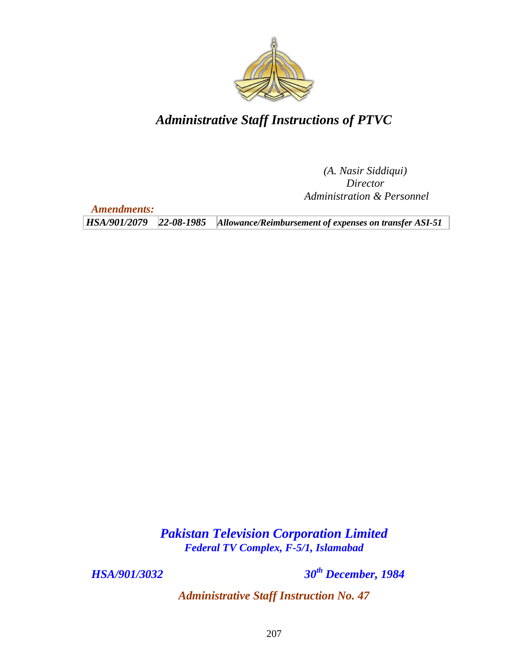

*(A. Nasir Siddiqui) Director Administration & Personnel*

*Amendments:*

*HSA/901/2079 22-08-1985 Allowance/Reimbursement of expenses on transfer ASI-51*

*Pakistan Television Corporation Limited Federal TV Complex, F-5/1, Islamabad*

*HSA/901/3032 30th December, 1984*

*Administrative Staff Instruction No. 47*